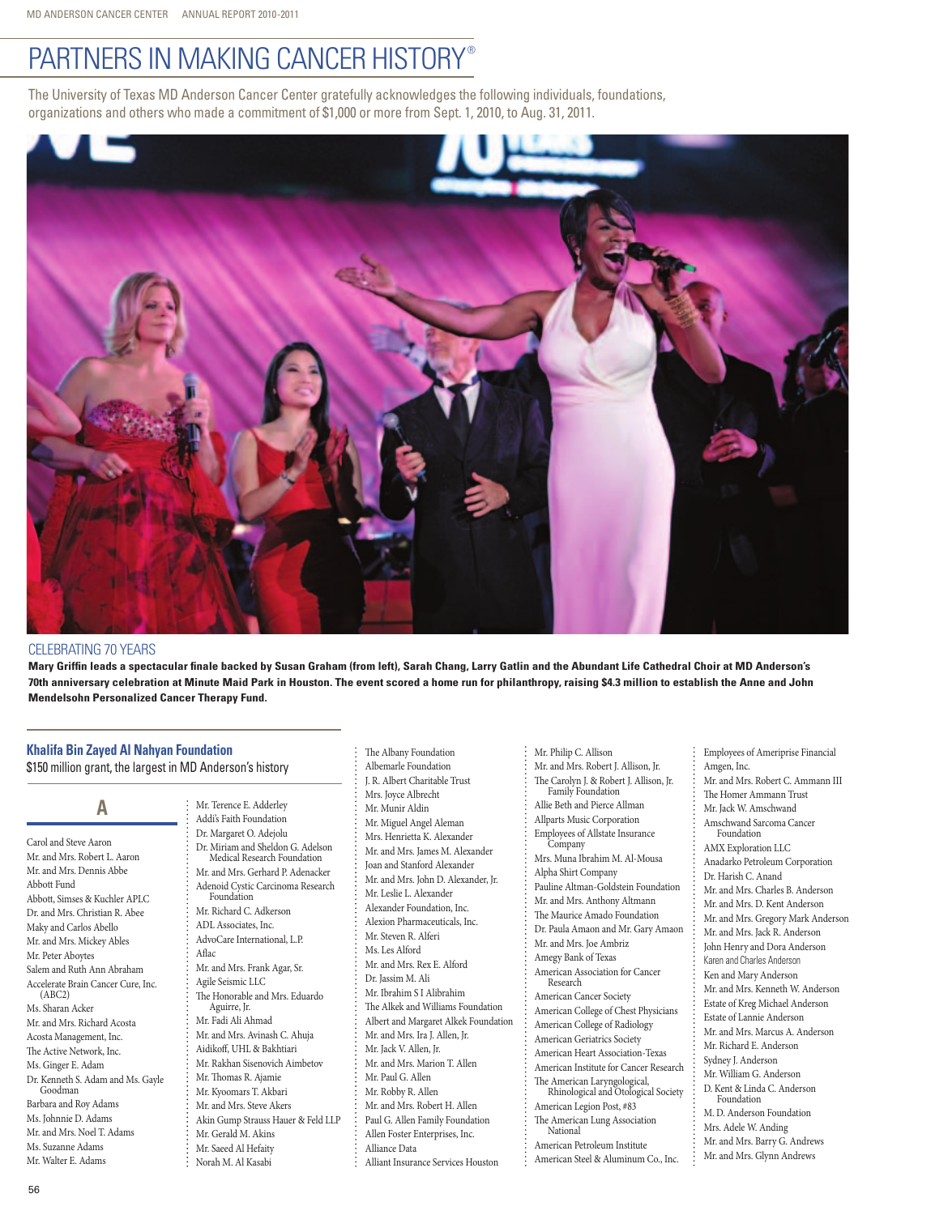# PARTNERS IN MAKING CANCER HISTORY®

The University of Texas MD Anderson Cancer Center gratefully acknowledges the following individuals, foundations, organizations and others who made a commitment of \$1,000 or more from Sept. 1, 2010, to Aug. 31, 2011.



### Celebrating 70 years

**Mary Griffin leads a spectacular finale backed by Susan Graham (from left), Sarah Chang, Larry Gatlin and the Abundant Life Cathedral Choir at MD Anderson's 70th anniversary celebration at Minute Maid Park in Houston. The event scored a home run for philanthropy, raising \$4.3 million to establish the Anne and John Mendelsohn Personalized Cancer Therapy Fund.**

## **Khalifa Bin Zayed Al Nahyan Foundation**

\$150 million grant, the largest in MD Anderson's history

### A **A**

Carol and Steve Aaron Mr. and Mrs. Robert L. Aaron Mr. and Mrs. Dennis Abbe Abbott Fund Abbott, Simses & Kuchler APLC Dr. and Mrs. Christian R. Abee Maky and Carlos Abello Mr. and Mrs. Mickey Ables Mr. Peter Aboytes Salem and Ruth Ann Abraham Accelerate Brain Cancer Cure, Inc. (ABC2) Ms. Sharan Acker Mr. and Mrs. Richard Acosta Acosta Management, Inc. The Active Network, Inc. Ms. Ginger E. Adam Dr. Kenneth S. Adam and Ms. Gayle Goodman Barbara and Roy Adams Ms. Johnnie D. Adams Mr. and Mrs. Noel T. Adams Ms. Suzanne Adams Mr. Walter E. Adams

Mr. Terence E. Adderley Addi's Faith Foundation Dr. Margaret O. Adejolu Dr. Miriam and Sheldon G. Adelson Medical Research Foundation Mr. and Mrs. Gerhard P. Adenacker Adenoid Cystic Carcinoma Research Foundation Mr. Richard C. Adkerson ADL Associates, Inc. AdvoCare International, L.P. Aflac Mr. and Mrs. Frank Agar, Sr. Agile Seismic LLC The Honorable and Mrs. Eduardo Aguirre, Jr. Mr. Fadi Ali Ahmad Mr. and Mrs. Avinash C. Ahuja Aidikoff, UHL & Bakhtiari Mr. Rakhan Sisenovich Aimbetov Mr. Thomas R. Ajamie Mr. Kyoomars T. Akbari Mr. and Mrs. Steve Akers Akin Gump Strauss Hauer & Feld LLP Mr. Gerald M. Akins Mr. Saeed Al Hefaity Norah M. Al Kasabi

The Albany Foundation Albemarle Foundation J. R. Albert Charitable Trust Mrs. Joyce Albrecht Mr. Munir Aldin Mr. Miguel Angel Aleman Mrs. Henrietta K. Alexander Mr. and Mrs. James M. Alexander Joan and Stanford Alexander Mr. and Mrs. John D. Alexander, Jr. Mr. Leslie L. Alexander Alexander Foundation, Inc. Alexion Pharmaceuticals, Inc. Mr. Steven R. Alferi Ms. Les Alford Mr. and Mrs. Rex E. Alford Dr. Jassim M. Ali Mr. Ibrahim S I Alibrahim The Alkek and Williams Foundation Albert and Margaret Alkek Foundation Mr. and Mrs. Ira J. Allen, Jr. Mr. Jack V. Allen, Jr. Mr. and Mrs. Marion T. Allen Mr. Paul G. Allen Mr. Robby R. Allen Mr. and Mrs. Robert H. Allen Paul G. Allen Family Foundation Allen Foster Enterprises, Inc. Alliance Data Alliant Insurance Services Houston

Mr. Philip C. Allison

- Mr. and Mrs. Robert J. Allison, Jr.
- The Carolyn J. & Robert J. Allison, Jr. Family Foundation
- Allie Beth and Pierce Allman
- Allparts Music Corporation
- Employees of Allstate Insurance **Company**
- Mrs. Muna Ibrahim M. Al-Mousa
- Alpha Shirt Company
- Pauline Altman-Goldstein Foundation
- Mr. and Mrs. Anthony Altmann
- The Maurice Amado Foundation
- Dr. Paula Amaon and Mr. Gary Amaon Mr. and Mrs. Joe Ambriz
- Amegy Bank of Texas
- American Association for Cancer Research
- American Cancer Society
- American College of Chest Physicians
- American College of Radiology
- American Geriatrics Society
- American Heart Association-Texas American Institute for Cancer Research
- 
- The American Laryngological, Rhinological and Otological Society American Legion Post, #83
- The American Lung Association National
- American Petroleum Institute
- American Steel & Aluminum Co., Inc.
- Amgen, Inc. Mr. and Mrs. Robert C. Ammann III The Homer Ammann Trust Mr. Jack W. Amschwand Amschwand Sarcoma Cancer Foundation AMX Exploration LLC Anadarko Petroleum Corporation Dr. Harish C. Anand Mr. and Mrs. Charles B. Anderson Mr. and Mrs. D. Kent Anderson Mr. and Mrs. Gregory Mark Anderson Mr. and Mrs. Jack R. Anderson John Henry and Dora Anderson Karen and Charles Anderson Ken and Mary Anderson Mr. and Mrs. Kenneth W. Anderson Estate of Kreg Michael Anderson Estate of Lannie Anderson Mr. and Mrs. Marcus A. Anderson Mr. Richard E. Anderson Sydney J. Anderson Mr. William G. Anderson D. Kent & Linda C. Anderson Foundation M. D. Anderson Foundation Mrs. Adele W. Anding Mr. and Mrs. Barry G. Andrews Mr. and Mrs. Glynn Andrews

Employees of Ameriprise Financial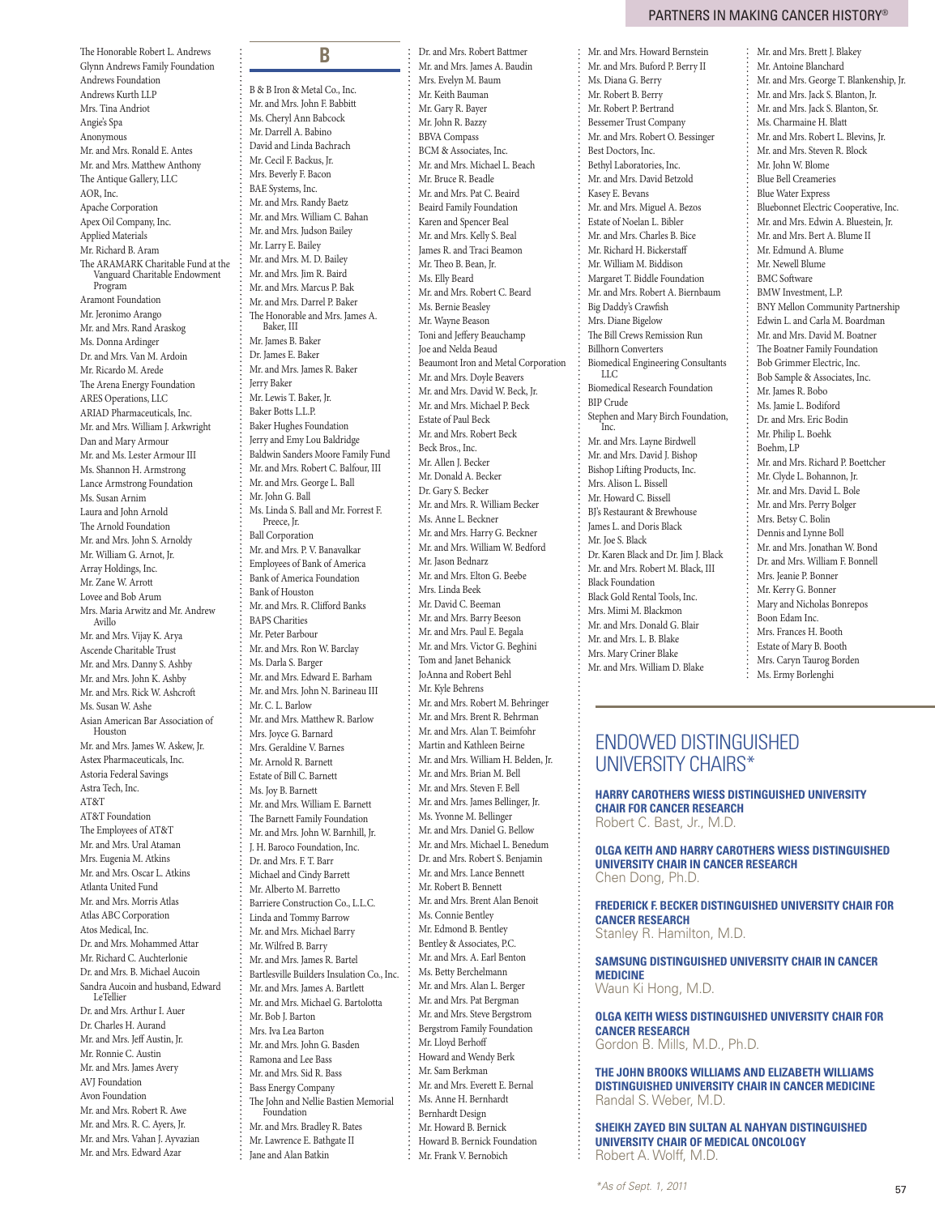The Honorable Robert L. Andrews Glynn Andrews Family Foundation Andrews Foundation Andrews Kurth LLP Mrs. Tina Andriot Angie's Spa Anonymous Mr. and Mrs. Ronald E. Antes Mr. and Mrs. Matthew Anthony The Antique Gallery, LLC AOR, Inc. Apache Corporation Apex Oil Company, Inc. Applied Materials Mr. Richard B. Aram The ARAMARK Charitable Fund at the Vanguard Charitable Endowment Program Aramont Foundation Mr. Jeronimo Arango Mr. and Mrs. Rand Araskog Ms. Donna Ardinger Dr. and Mrs. Van M. Ardoin Mr. Ricardo M. Arede The Arena Energy Foundation ARES Operations, LLC ARIAD Pharmaceuticals, Inc. Mr. and Mrs. William J. Arkwright Dan and Mary Armour Mr. and Ms. Lester Armour III Ms. Shannon H. Armstrong Lance Armstrong Foundation Ms. Susan Arnim Laura and John Arnold The Arnold Foundation Mr. and Mrs. John S. Arnoldy Mr. William G. Arnot, Jr. Array Holdings, Inc. Mr. Zane W. Arrott Lovee and Bob Arum Mrs. Maria Arwitz and Mr. Andrew Avillo Mr. and Mrs. Vijay K. Arya Ascende Charitable Trust Mr. and Mrs. Danny S. Ashby Mr. and Mrs. John K. Ashby Mr. and Mrs. Rick W. Ashcroft Ms. Susan W. Ashe Asian American Bar Association of Houston Mr. and Mrs. James W. Askew, Jr. Astex Pharmaceuticals, Inc. Astoria Federal Savings Astra Tech, Inc. AT&T AT&T Foundation The Employees of AT&T Mr. and Mrs. Ural Ataman Mrs. Eugenia M. Atkins Mr. and Mrs. Oscar L. Atkins Atlanta United Fund Mr. and Mrs. Morris Atlas Atlas ABC Corporation Atos Medical, Inc. Dr. and Mrs. Mohammed Attar Mr. Richard C. Auchterlonie Dr. and Mrs. B. Michael Aucoin Sandra Aucoin and husband, Edward LeTellier Dr. and Mrs. Arthur I. Auer Dr. Charles H. Aurand Mr. and Mrs. Jeff Austin, Jr. Mr. Ronnie C. Austin Mr. and Mrs. James Avery AVJ Foundation Avon Foundation Mr. and Mrs. Robert R. Awe Mr. and Mrs. R. C. Ayers, Jr. Mr. and Mrs. Vahan J. Ayvazian

Mr. and Mrs. Edward Azar

B **B** B & B Iron & Metal Co., Inc. Mr. and Mrs. John F. Babbitt Ms. Cheryl Ann Babcock Mr. Darrell A. Babino David and Linda Bachrach Mr. Cecil F. Backus, Jr. Mrs. Beverly F. Bacon BAE Systems, Inc. Mr. and Mrs. Randy Baetz Mr. and Mrs. William C. Bahan Mr. and Mrs. Judson Bailey Mr. Larry E. Bailey Mr. and Mrs. M. D. Bailey Mr. and Mrs. Jim R. Baird Mr. and Mrs. Marcus P. Bak Mr. and Mrs. Darrel P. Baker The Honorable and Mrs. James A. Baker, III Mr. James B. Baker Dr. James E. Baker Mr. and Mrs. James R. Baker Jerry Baker Mr. Lewis T. Baker, Jr. Baker Botts L.L.P. Baker Hughes Foundation Jerry and Emy Lou Baldridge Baldwin Sanders Moore Family Fund Mr. and Mrs. Robert C. Balfour, III Mr. and Mrs. George L. Ball Mr. John G. Ball Ms. Linda S. Ball and Mr. Forrest F. Preece, Jr. Ball Corporation Mr. and Mrs. P. V. Banavalkar Employees of Bank of America Bank of America Foundation Bank of Houston Mr. and Mrs. R. Clifford Banks BAPS Charities Mr. Peter Barbour Mr. and Mrs. Ron W. Barclay Ms. Darla S. Barger Mr. and Mrs. Edward E. Barham Mr. and Mrs. John N. Barineau III Mr. C. L. Barlow Mr. and Mrs. Matthew R. Barlow Mrs. Joyce G. Barnard Mrs. Geraldine V. Barnes Mr. Arnold R. Barnett Estate of Bill C. Barnett Ms. Joy B. Barnett Mr. and Mrs. William E. Barnett The Barnett Family Foundation Mr. and Mrs. John W. Barnhill, Jr. J. H. Baroco Foundation, Inc. Dr. and Mrs. F. T. Barr. Michael and Cindy Barrett Mr. Alberto M. Barretto Barriere Construction Co., L.L.C. Linda and Tommy Barrow Mr. and Mrs. Michael Barry Mr. Wilfred B. Barry Mr. and Mrs. James R. Bartel Bartlesville Builders Insulation Co., Inc. Mr. and Mrs. James A. Bartlett Mr. and Mrs. Michael G. Bartolotta Mr. Bob J. Barton Mrs. Iva Lea Barton Mr. and Mrs. John G. Basden Ramona and Lee Bass Mr. and Mrs. Sid R. Bass Bass Energy Company The John and Nellie Bastien Memorial Foundation

Mr. and Mrs. Bradley R. Bates Mr. Lawrence E. Bathgate II Jane and Alan Batkin

Dr. and Mrs. Robert Battmer Mr. and Mrs. James A. Baudin Mrs. Evelyn M. Baum Mr. Keith Bauman Mr. Gary R. Bayer Mr. John R. Bazzy BBVA Compass BCM & Associates, Inc. Mr. and Mrs. Michael L. Beach Mr. Bruce R. Beadle Mr. and Mrs. Pat C. Beaird Beaird Family Foundation Karen and Spencer Beal Mr. and Mrs. Kelly S. Beal James R. and Traci Beamon Mr. Theo B. Bean, Jr. Ms. Elly Beard Mr. and Mrs. Robert C. Beard Ms. Bernie Beasley Mr. Wayne Beason Toni and Jeffery Beauchamp Joe and Nelda Beaud Beaumont Iron and Metal Corporation Mr. and Mrs. Doyle Beavers Mr. and Mrs. David W. Beck, Jr. Mr. and Mrs. Michael P. Beck Estate of Paul Beck Mr. and Mrs. Robert Beck Beck Bros., Inc. Mr. Allen J. Becker Mr. Donald A. Becker Dr. Gary S. Becker Mr. and Mrs. R. William Becker Ms. Anne L. Beckner Mr. and Mrs. Harry G. Beckner Mr. and Mrs. William W. Bedford Mr. Jason Bednarz Mr. and Mrs. Elton G. Beebe Mrs. Linda Beek Mr. David C. Beeman Mr. and Mrs. Barry Beeson Mr. and Mrs. Paul E. Begala Mr. and Mrs. Victor G. Beghini Tom and Janet Behanick JoAnna and Robert Behl Mr. Kyle Behrens Mr. and Mrs. Robert M. Behringer Mr. and Mrs. Brent R. Behrman Mr. and Mrs. Alan T. Beimfohr Martin and Kathleen Beirne Mr. and Mrs. William H. Belden, Jr. Mr. and Mrs. Brian M. Bell Mr. and Mrs. Steven F. Bell Mr. and Mrs. James Bellinger, Jr. Ms. Yvonne M. Bellinger Mr. and Mrs. Daniel G. Bellow Mr. and Mrs. Michael L. Benedum Dr. and Mrs. Robert S. Benjamin Mr. and Mrs. Lance Bennett Mr. Robert B. Bennett Mr. and Mrs. Brent Alan Benoit Ms. Connie Bentley Mr. Edmond B. Bentley Bentley & Associates, P.C. Mr. and Mrs. A. Earl Benton Ms. Betty Berchelmann Mr. and Mrs. Alan L. Berger Mr. and Mrs. Pat Bergman Mr. and Mrs. Steve Bergstrom Bergstrom Family Foundation Mr. Lloyd Berhoff Howard and Wendy Berk Mr. Sam Berkman Mr. and Mrs. Everett E. Bernal Ms. Anne H. Bernhardt Bernhardt Design Mr. Howard B. Bernick Howard B. Bernick Foundation :<br>Mr. Frank V. Bernobich

Mr. and Mrs. Howard Bernstein Mr. and Mrs. Buford P. Berry II Ms. Diana G. Berry Mr. Robert B. Berry Mr. Robert P. Bertrand Bessemer Trust Company Mr. and Mrs. Robert O. Bessinger Best Doctors, Inc. Bethyl Laboratories, Inc. Mr. and Mrs. David Betzold Kasey E. Bevans Mr. and Mrs. Miguel A. Bezos Estate of Noelan L. Bibler Mr. and Mrs. Charles B. Bice Mr. Richard H. Bickerstaff Mr. William M. Biddison Margaret T. Biddle Foundation Mr. and Mrs. Robert A. Biernbaum Big Daddy's Crawfish Mrs. Diane Bigelow The Bill Crews Remission Run Billhorn Converters Biomedical Engineering Consultants LLC Biomedical Research Foundation BIP Crude Stephen and Mary Birch Foundation, Inc. Mr. and Mrs. Layne Birdwell Mr. and Mrs. David J. Bishop Bishop Lifting Products, Inc. Mrs. Alison L. Bissell Mr. Howard C. Bissell BJ's Restaurant & Brewhouse James L. and Doris Black Mr. Joe S. Black Dr. Karen Black and Dr. Jim J. Black Mr. and Mrs. Robert M. Black, III Black Foundation Black Gold Rental Tools, Inc. Mrs. Mimi M. Blackmon Mr. and Mrs. Donald G. Blair Mr. and Mrs. L. B. Blake Mrs. Mary Criner Blake

Mr. and Mrs. Brett J. Blakey Mr. Antoine Blanchard Mr. and Mrs. George T. Blankenship, Jr. Mr. and Mrs. Jack S. Blanton, Jr. Mr. and Mrs. Jack S. Blanton, Sr. Ms. Charmaine H. Blatt Mr. and Mrs. Robert L. Blevins, Jr. Mr. and Mrs. Steven R. Block Mr. John W. Blome Blue Bell Creameries Blue Water Express Bluebonnet Electric Cooperative, Inc. Mr. and Mrs. Edwin A. Bluestein, Jr. Mr. and Mrs. Bert A. Blume II Mr. Edmund A. Blume Mr. Newell Blume BMC Software BMW Investment, L.P. BNY Mellon Community Partnership Edwin L. and Carla M. Boardman Mr. and Mrs. David M. Boatner The Boatner Family Foundation Bob Grimmer Electric, Inc. Bob Sample & Associates, Inc. Mr. James R. Bobo Ms. Jamie L. Bodiford Dr. and Mrs. Eric Bodin Mr. Philip L. Boehk Boehm, LP Mr. and Mrs. Richard P. Boettcher Mr. Clyde L. Bohannon, Jr. Mr. and Mrs. David L. Bole Mr. and Mrs. Perry Bolger Mrs. Betsy C. Bolin Dennis and Lynne Boll Mr. and Mrs. Jonathan W. Bond Dr. and Mrs. William F. Bonnell Mrs. Jeanie P. Bonner Mr. Kerry G. Bonner Mary and Nicholas Bonrepos Boon Edam Inc. Mrs. Frances H. Booth Estate of Mary B. Booth Mrs. Caryn Taurog Borden Ms. Ermy Borlenghi

# Endowed distinguished university chairs\*

Mr. and Mrs. William D. Blake

**Harry Carothers Wiess Distinguished University Chair for Cancer Research** Robert C. Bast, Jr., M.D.

**Olga Keith and Harry Carothers Wiess Distinguished University Chair in Cancer Research** Chen Dong, Ph.D.

**Frederick F. Becker Distinguished University Chair for Cancer Research** Stanley R. Hamilton, M.D.

**Samsung Distinguished University Chair in Cancer Medicine** Waun Ki Hong, M.D.

**Olga Keith Wiess Distinguished University Chair for Cancer Research** Gordon B. Mills, M.D., Ph.D.

**The John Brooks Williams and Elizabeth Williams Distinguished University Chair in Cancer Medicine** Randal S. Weber, M.D.

**Sheikh Zayed Bin Sultan Al Nahyan Distinguished University Chair of Medical Oncology** Robert A. Wolff, M.D.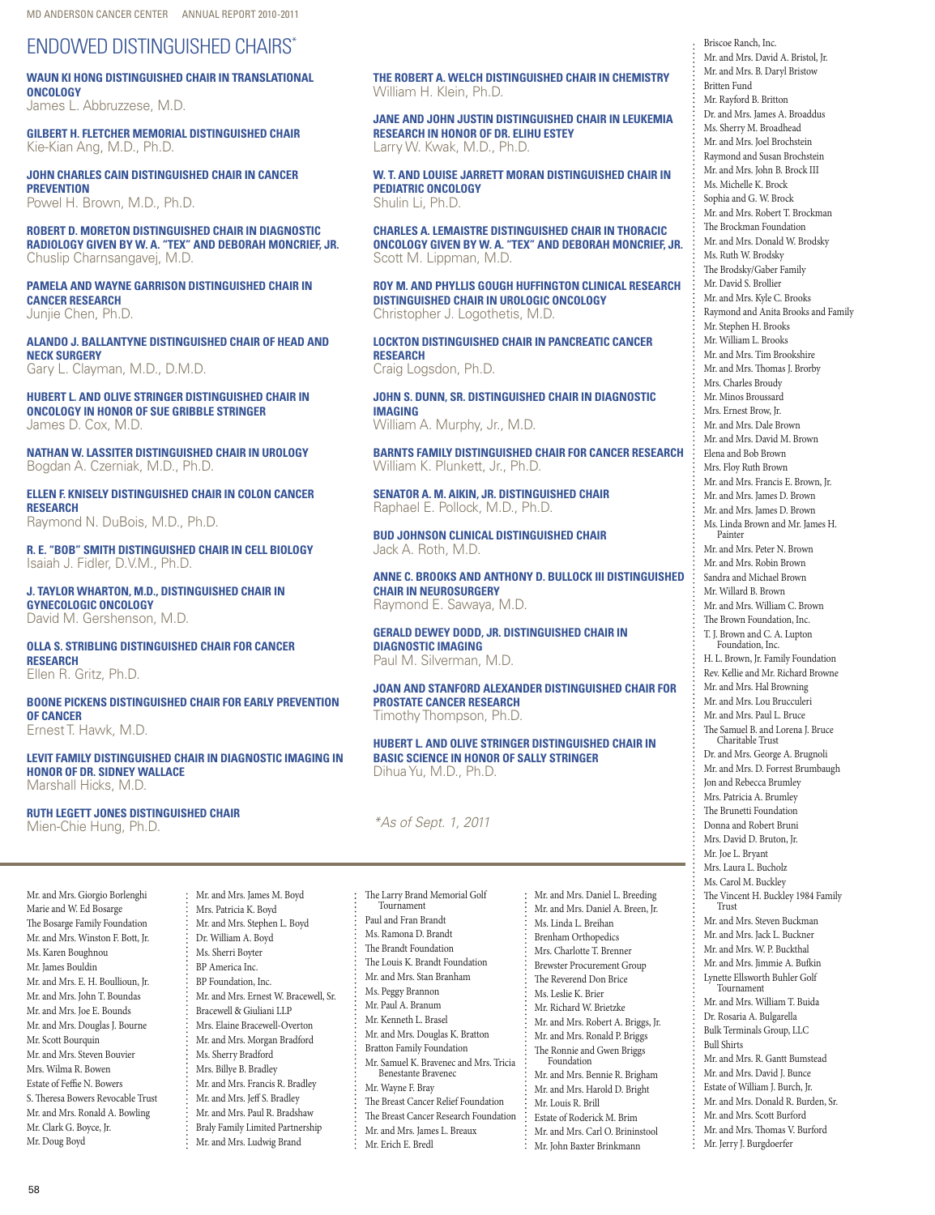# Endowed distinguished chairs\*

**Waun Ki Hong Distinguished Chair in Translational Oncology**

James L. Abbruzzese, M.D.

**Gilbert H. Fletcher Memorial Distinguished Chair** Kie-Kian Ang, M.D., Ph.D.

**John Charles Cain Distinguished Chair in Cancer Prevention** Powel H. Brown, M.D., Ph.D.

**Robert D. Moreton Distinguished Chair in Diagnostic Radiology given by W. A. "Tex" and Deborah Moncrief, Jr.** Chuslip Charnsangavej, M.D.

**Pamela and Wayne Garrison Distinguished Chair in Cancer Research** Junjie Chen, Ph.D.

**Alando J. Ballantyne Distinguished Chair of Head and Neck Surgery** Gary L. Clayman, M.D., D.M.D.

**Hubert L. and Olive Stringer Distinguished Chair in Oncology in Honor of Sue Gribble Stringer** James D. Cox, M.D.

**Nathan W. Lassiter Distinguished Chair in Urology** Bogdan A. Czerniak, M.D., Ph.D.

**Ellen F. Knisely Distinguished Chair in Colon Cancer Research** Raymond N. DuBois, M.D., Ph.D.

**R. E. "Bob" Smith Distinguished Chair in Cell Biology** Isaiah J. Fidler, D.V.M., Ph.D.

**J. Taylor Wharton, M.D., Distinguished Chair in Gynecologic Oncology** David M. Gershenson, M.D.

**Olla S. Stribling Distinguished Chair for Cancer Research** Ellen R. Gritz, Ph.D.

**Boone Pickens Distinguished Chair for Early Prevention of Cancer** Ernest T. Hawk, M.D.

**Levit Family Distinguished Chair in Diagnostic Imaging in Honor of Dr. Sidney Wallace** Marshall Hicks, M.D.

**Ruth Legett Jones Distinguished Chair** Mien-Chie Hung, Ph.D.

Mr. and Mrs. Giorgio Borlenghi Marie and W. Ed Bosarge The Bosarge Family Foundation Mr. and Mrs. Winston F. Bott, Jr. Ms. Karen Boughnou Mr. James Bouldin Mr. and Mrs. E. H. Boullioun, Jr. Mr. and Mrs. John T. Boundas Mr. and Mrs. Joe E. Bounds Mr. and Mrs. Douglas J. Bourne Mr. Scott Bourquin Mr. and Mrs. Steven Bouvier Mrs. Wilma R. Bowen Estate of Feffie N. Bowers S. Theresa Bowers Revocable Trust Mr. and Mrs. Ronald A. Bowling Mr. Clark G. Boyce, Jr. Mr. Doug Boyd

Mr. and Mrs. James M. Boyd Mrs. Patricia K. Boyd Mr. and Mrs. Stephen L. Boyd Dr. William A. Boyd Ms. Sherri Boyter BP America Inc. BP Foundation, Inc. Mr. and Mrs. Ernest W. Bracewell, Sr. Bracewell & Giuliani LLP Mrs. Elaine Bracewell-Overton Mr. and Mrs. Morgan Bradford Ms. Sherry Bradford Mrs. Billye B. Bradley Mr. and Mrs. Francis R. Bradley Mr. and Mrs. Jeff S. Bradley Mr. and Mrs. Paul R. Bradshaw Braly Family Limited Partnership Mr. and Mrs. Ludwig Brand

**The Robert A. Welch Distinguished Chair in Chemistry** William H. Klein, Ph.D.

**Jane and John Justin Distinguished Chair in Leukemia Research in Honor of Dr. Elihu Estey** Larry W. Kwak, M.D., Ph.D.

**W. T. and Louise Jarrett Moran Distinguished Chair in Pediatric Oncology** Shulin Li, Ph.D.

**Charles A. LeMaistre Distinguished Chair in Thoracic Oncology Given by W. A. "Tex" and Deborah Moncrief, Jr.** Scott M. Lippman, M.D.

**Roy M. and Phyllis Gough Huffington Clinical Research Distinguished Chair in Urologic Oncology** Christopher J. Logothetis, M.D.

**Lockton Distinguished Chair in Pancreatic Cancer Research** Craig Logsdon, Ph.D.

**John S. Dunn, Sr. Distinguished Chair in Diagnostic Imaging** William A. Murphy, Jr., M.D.

**Barnts Family Distinguished Chair for Cancer Research** William K. Plunkett, Jr., Ph.D.

**Senator A. M. Aikin, Jr. Distinguished Chair** Raphael E. Pollock, M.D., Ph.D.

**Bud Johnson Clinical Distinguished Chair** Jack A. Roth, M.D.

**Anne C. Brooks and Anthony D. Bullock III Distinguished Chair in Neurosurgery** Raymond E. Sawaya, M.D.

**Gerald Dewey Dodd, Jr. Distinguished Chair in Diagnostic Imaging** Paul M. Silverman, M.D.

**Joan and Stanford Alexander Distinguished Chair for Prostate Cancer Research** Timothy Thompson, Ph.D.

> Mr. and Mrs. Daniel L. Breeding Mr. and Mrs. Daniel A. Breen, Jr. Ms. Linda L. Breihan Brenham Orthopedics Mrs. Charlotte T. Brenner Brewster Procurement Group The Reverend Don Brice Ms. Leslie K. Brier Mr. Richard W. Brietzke Mr. and Mrs. Robert A. Briggs, Jr. Mr. and Mrs. Ronald P. Briggs The Ronnie and Gwen Briggs Foundation Mr. and Mrs. Bennie R. Brigham Mr. and Mrs. Harold D. Bright Mr. Louis R. Brill Estate of Roderick M. Brim Mr. and Mrs. Carl O. Brininstool Mr. John Baxter Brinkmann

**Hubert L. and Olive Stringer Distinguished Chair in Basic Science in Honor of Sally Stringer** Dihua Yu, M.D., Ph.D.

*\*As of Sept. 1, 2011*

The Larry Brand Memorial Golf **Tournament** Paul and Fran Brandt Ms. Ramona D. Brandt The Brandt Foundation The Louis K. Brandt Foundation Mr. and Mrs. Stan Branham Ms. Peggy Brannon Mr. Paul A. Branum Mr. Kenneth L. Brasel Mr. and Mrs. Douglas K. Bratton Bratton Family Foundation Mr. Samuel K. Bravenec and Mrs. Tricia Benestante Bravenec Mr. Wayne F. Bray The Breast Cancer Relief Foundation The Breast Cancer Research Foundation Mr. and Mrs. James L. Breaux Mr. Erich E. Bredl

Briscoe Ranch, Inc. Mr. and Mrs. David A. Bristol, Jr. Mr. and Mrs. B. Daryl Bristow Britten Fund Mr. Rayford B. Britton Dr. and Mrs. James A. Broaddus Ms. Sherry M. Broadhead Mr. and Mrs. Joel Brochstein Raymond and Susan Brochstein Mr. and Mrs. John B. Brock III Ms. Michelle K. Brock Sophia and G. W. Brock Mr. and Mrs. Robert T. Brockman The Brockman Foundation Mr. and Mrs. Donald W. Brodsky Ms. Ruth W. Brodsky The Brodsky/Gaber Family Mr. David S. Brollier Mr. and Mrs. Kyle C. Brooks Raymond and Anita Brooks and Family Mr. Stephen H. Brooks Mr. William L. Brooks Mr. and Mrs. Tim Brookshire Mr. and Mrs. Thomas J. Brorby Mrs. Charles Broudy Mr. Minos Broussard Mrs. Ernest Brow, Jr. Mr. and Mrs. Dale Brown Mr. and Mrs. David M. Brown Elena and Bob Brown Mrs. Floy Ruth Brown Mr. and Mrs. Francis E. Brown, Jr. Mr. and Mrs. James D. Brown Mr. and Mrs. James D. Brown Ms. Linda Brown and Mr. James H. Painter Mr. and Mrs. Peter N. Brown Mr. and Mrs. Robin Brown Sandra and Michael Brown Mr. Willard B. Brown Mr. and Mrs. William C. Brown The Brown Foundation, Inc. T. J. Brown and C. A. Lupton Foundation, Inc. H. L. Brown, Jr. Family Foundation Rev. Kellie and Mr. Richard Browne Mr. and Mrs. Hal Browning Mr. and Mrs. Lou Brucculeri Mr. and Mrs. Paul L. Bruce The Samuel B. and Lorena J. Bruce Charitable Trust Dr. and Mrs. George A. Brugnoli Mr. and Mrs. D. Forrest Brumbaugh Jon and Rebecca Brumley Mrs. Patricia A. Brumley The Brunetti Foundation Donna and Robert Bruni Mrs. David D. Bruton, Jr. Mr. Joe L. Bryant Mrs. Laura L. Bucholz Ms. Carol M. Buckley The Vincent H. Buckley 1984 Family Trust Mr. and Mrs. Steven Buckman Mr. and Mrs. Jack L. Buckner Mr. and Mrs. W. P. Buckthal Mr. and Mrs. Jimmie A. Bufkin Lynette Ellsworth Buhler Golf Tournament Mr. and Mrs. William T. Buida Dr. Rosaria A. Bulgarella Bulk Terminals Group, LLC Bull Shirts Mr. and Mrs. R. Gantt Bumstead Mr. and Mrs. David J. Bunce Estate of William J. Burch, Jr. Mr. and Mrs. Donald R. Burden, Sr. Mr. and Mrs. Scott Burford Mr. and Mrs. Thomas V. Burford Mr. Jerry J. Burgdoerfer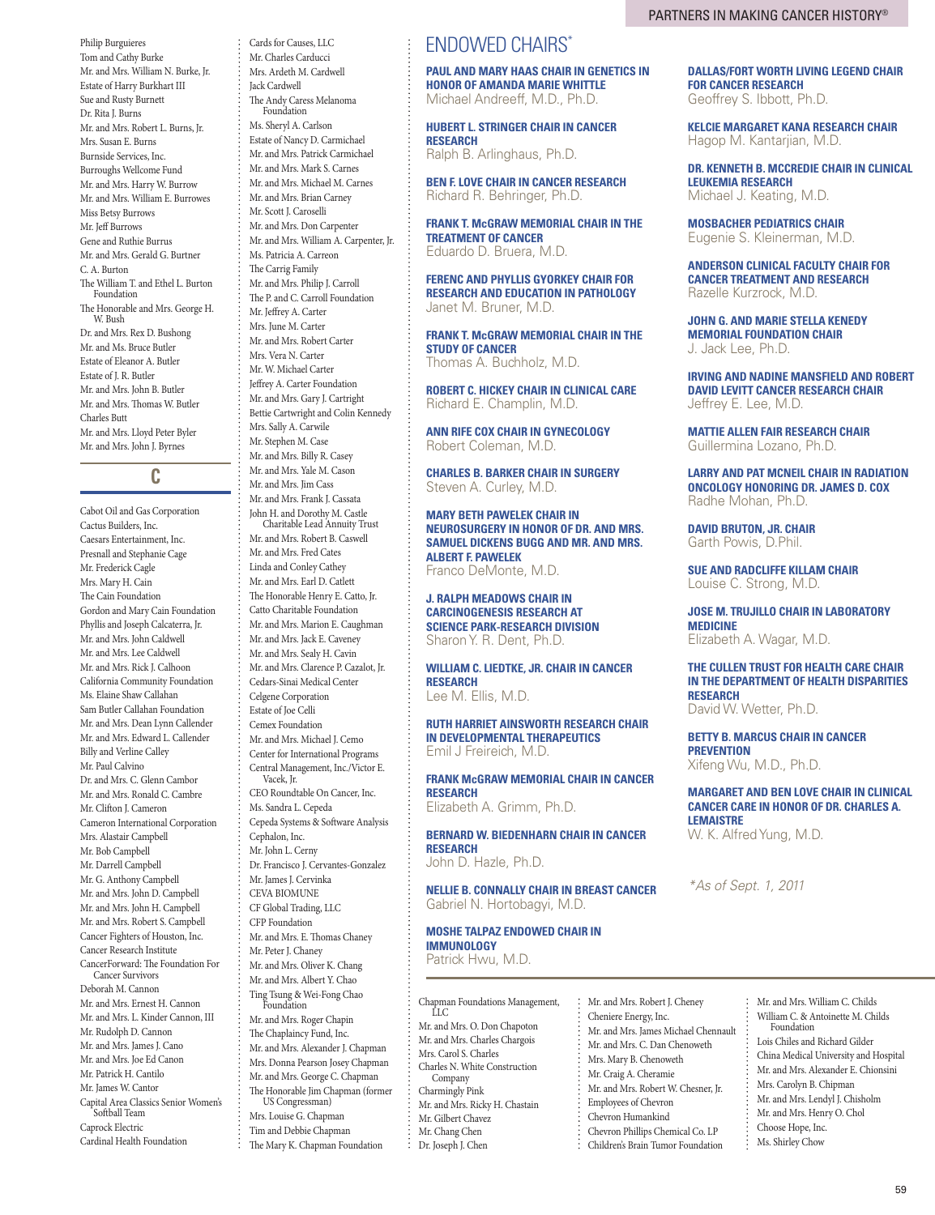Tom and Cathy Burke Mr. and Mrs. William N. Burke, Jr. Estate of Harry Burkhart III Sue and Rusty Burnett Dr. Rita J. Burns Mr. and Mrs. Robert L. Burns, Jr. Mrs. Susan E. Burns Burnside Services, Inc. Burroughs Wellcome Fund Mr. and Mrs. Harry W. Burrow Mr. and Mrs. William E. Burrowes Miss Betsy Burrows Mr. Jeff Burrows Gene and Ruthie Burrus Mr. and Mrs. Gerald G. Burtner C. A. Burton The William T. and Ethel L. Burton Foundation The Honorable and Mrs. George H. W. Bush Dr. and Mrs. Rex D. Bushong Mr. and Ms. Bruce Butler Estate of Eleanor A. Butler Estate of J. R. Butler Mr. and Mrs. John B. Butler Mr. and Mrs. Thomas W. Butler Charles Butt Mr. and Mrs. Lloyd Peter Byler Mr. and Mrs. John J. Byrnes

Philip Burguieres

## **C**

Cabot Oil and Gas Corporation Cactus Builders, Inc. Caesars Entertainment, Inc. Presnall and Stephanie Cage Mr. Frederick Cagle Mrs. Mary H. Cain The Cain Foundation Gordon and Mary Cain Foundation Phyllis and Joseph Calcaterra, Jr. Mr. and Mrs. John Caldwell Mr. and Mrs. Lee Caldwell Mr. and Mrs. Rick J. Calhoon California Community Foundation Ms. Elaine Shaw Callahan Sam Butler Callahan Foundation Mr. and Mrs. Dean Lynn Callender Mr. and Mrs. Edward L. Callender Billy and Verline Calley Mr. Paul Calvino Dr. and Mrs. C. Glenn Cambor Mr. and Mrs. Ronald C. Cambre Mr. Clifton J. Cameron Cameron International Corporation Mrs. Alastair Campbell Mr. Bob Campbell Mr. Darrell Campbell Mr. G. Anthony Campbell Mr. and Mrs. John D. Campbell Mr. and Mrs. John H. Campbell Mr. and Mrs. Robert S. Campbell Cancer Fighters of Houston, Inc. Cancer Research Institute CancerForward: The Foundation For Cancer Survivors Deborah M. Cannon Mr. and Mrs. Ernest H. Cannon Mr. and Mrs. L. Kinder Cannon, III Mr. Rudolph D. Cannon Mr. and Mrs. James J. Cano Mr. and Mrs. Joe Ed Canon Mr. Patrick H. Cantilo Mr. James W. Cantor Capital Area Classics Senior Women's Softball Team Caprock Electric Cardinal Health Foundation

Cards for Causes, LLC Mr. Charles Carducci Mrs. Ardeth M. Cardwell Jack Cardwell The Andy Caress Melanoma Foundation Ms. Sheryl A. Carlson Estate of Nancy D. Carmichael Mr. and Mrs. Patrick Carmichael Mr. and Mrs. Mark S. Carnes Mr. and Mrs. Michael M. Carnes Mr. and Mrs. Brian Carney Mr. Scott J. Caroselli Mr. and Mrs. Don Carpenter Mr. and Mrs. William A. Carpenter, Jr. Ms. Patricia A. Carreon The Carrig Family Mr. and Mrs. Philip J. Carroll The P. and C. Carroll Foundation Mr. Jeffrey A. Carter Mrs. June M. Carter Mr. and Mrs. Robert Carter Mrs. Vera N. Carter Mr. W. Michael Carter Jeffrey A. Carter Foundation Mr. and Mrs. Gary J. Cartright Bettie Cartwright and Colin Kennedy Mrs. Sally A. Carwile Mr. Stephen M. Case Mr. and Mrs. Billy R. Casey Mr. and Mrs. Yale M. Cason Mr. and Mrs. Jim Cass Mr. and Mrs. Frank J. Cassata John H. and Dorothy M. Castle Charitable Lead Annuity Trust Mr. and Mrs. Robert B. Caswell Mr. and Mrs. Fred Cates Linda and Conley Cathey Mr. and Mrs. Earl D. Catlett The Honorable Henry E. Catto, Jr. Catto Charitable Foundation Mr. and Mrs. Marion E. Caughman Mr. and Mrs. Jack E. Caveney Mr. and Mrs. Sealy H. Cavin Mr. and Mrs. Clarence P. Cazalot, Jr. Cedars-Sinai Medical Center Celgene Corporation Estate of Joe Celli Cemex Foundation Mr. and Mrs. Michael J. Cemo Center for International Programs Central Management, Inc./Victor E. Vacek, Jr. CEO Roundtable On Cancer, Inc. Ms. Sandra L. Cepeda Cepeda Systems & Software Analysis Cephalon, Inc. Mr. John L. Cerny Dr. Francisco J. Cervantes-Gonzalez Mr. James J. Cervinka CEVA BIOMUNE CF Global Trading, LLC CFP Foundation Mr. and Mrs. E. Thomas Chaney Mr. Peter J. Chaney Mr. and Mrs. Oliver K. Chang Mr. and Mrs. Albert Y. Chao Ting Tsung & Wei-Fong Chao Foundation Mr. and Mrs. Roger Chapin The Chaplaincy Fund, Inc. Mr. and Mrs. Alexander J. Chapman Mrs. Donna Pearson Josey Chapman Mr. and Mrs. George C. Chapman The Honorable Jim Chapman (former US Congressman)

Mrs. Louise G. Chapman Tim and Debbie Chapman The Mary K. Chapman Foundation

# Endowed chairs\*

**Paul and Mary Haas Chair in Genetics in Honor of Amanda Marie Whittle** Michael Andreeff, M.D., Ph.D.

**Hubert L. Stringer Chair in Cancer Research** Ralph B. Arlinghaus, Ph.D.

**Ben F. Love Chair in Cancer Research** Richard R. Behringer, Ph.D.

**Frank T. McGraw Memorial Chair in the Treatment of Cancer** Eduardo D. Bruera, M.D.

**Ferenc and Phyllis Gyorkey Chair for Research and Education in Pathology** Janet M. Bruner, M.D.

**Frank T. McGraw Memorial Chair in the Study of Cancer** Thomas A. Buchholz, M.D.

**Robert C. Hickey Chair in Clinical Care** Richard E. Champlin, M.D.

**Ann Rife Cox Chair in Gynecology** Robert Coleman, M.D.

**Charles B. Barker Chair in Surgery** Steven A. Curley, M.D.

### **Mary Beth Pawelek Chair in Neurosurgery in Honor of Dr. and Mrs. Samuel Dickens Bugg and Mr. and Mrs. Albert F. Pawelek** Franco DeMonte, M.D.

**J. Ralph Meadows Chair in Carcinogenesis Research at Science Park-Research Division** Sharon Y. R. Dent, Ph.D.

**William C. Liedtke, Jr. Chair in Cancer Research** Lee M. Ellis, M.D.

**Ruth Harriet Ainsworth Research Chair in Developmental Therapeutics** Emil J Freireich, M.D.

**Frank McGraw Memorial Chair in Cancer Research** Elizabeth A. Grimm, Ph.D.

## **Bernard W. Biedenharn Chair in Cancer Research**

John D. Hazle, Ph.D.

**Nellie B. Connally Chair in Breast Cancer** Gabriel N. Hortobagyi, M.D.

### **Moshe Talpaz Endowed Chair in Immunology**

Patrick Hwu, M.D.

Chapman Foundations Management, LLC Mr. and Mrs. O. Don Chapoton Mr. and Mrs. Charles Chargois Mrs. Carol S. Charles Charles N. White Construction Company Charmingly Pink Mr. and Mrs. Ricky H. Chastain Mr. Gilbert Chavez Mr. Chang Chen

Dr. Joseph J. Chen

Mr. and Mrs. Robert J. Cheney Cheniere Energy, Inc. Mr. and Mrs. James Michael Chennault Mr. and Mrs. C. Dan Chenoweth Mrs. Mary B. Chenoweth Mr. Craig A. Cheramie Mr. and Mrs. Robert W. Chesner, Jr. Employees of Chevron Chevron Humankind Chevron Phillips Chemical Co. LP Children's Brain Tumor Foundation

**Dallas/Fort Worth Living Legend Chair for Cancer Research** Geoffrey S. Ibbott, Ph.D.

**Kelcie Margaret Kana Research Chair** Hagop M. Kantarjian, M.D.

**Dr. Kenneth B. McCredie Chair in Clinical Leukemia Research** Michael J. Keating, M.D.

**Mosbacher Pediatrics Chair** Eugenie S. Kleinerman, M.D.

**Anderson Clinical Faculty Chair for Cancer Treatment and Research** Razelle Kurzrock, M.D.

**John G. and Marie Stella Kenedy Memorial Foundation Chair**  J. Jack Lee, Ph.D.

**Irving and Nadine Mansfield and Robert David Levitt Cancer Research Chair** Jeffrey E. Lee, M.D.

**Mattie Allen Fair Research Chair** Guillermina Lozano, Ph.D.

**Larry and Pat McNeil Chair in Radiation Oncology Honoring Dr. James D. Cox** Radhe Mohan, Ph.D.

**David Bruton, Jr. Chair** Garth Powis, D.Phil.

**Sue and Radcliffe Killam Chair** Louise C. Strong, M.D.

**Jose M. Trujillo Chair in Laboratory Medicine** Elizabeth A. Wagar, M.D.

**The Cullen Trust for Health Care Chair in the Department of Health Disparities Research** David W. Wetter, Ph.D.

**Betty B. Marcus Chair in Cancer Prevention** Xifeng Wu, M.D., Ph.D.

**Margaret and Ben Love Chair in Clinical Cancer Care in Honor of Dr. Charles A. LeMaistre** W. K. Alfred Yung, M.D.

*\*As of Sept. 1, 2011*

- Mr. and Mrs. William C. Childs William C. & Antoinette M. Childs Foundation Lois Chiles and Richard Gilder China Medical University and Hospital
- Mr. and Mrs. Alexander E. Chionsini
- Mrs. Carolyn B. Chipman Mr. and Mrs. Lendyl J. Chisholm
- Mr. and Mrs. Henry O. Chol
- Choose Hope, Inc.
- Ms. Shirley Chow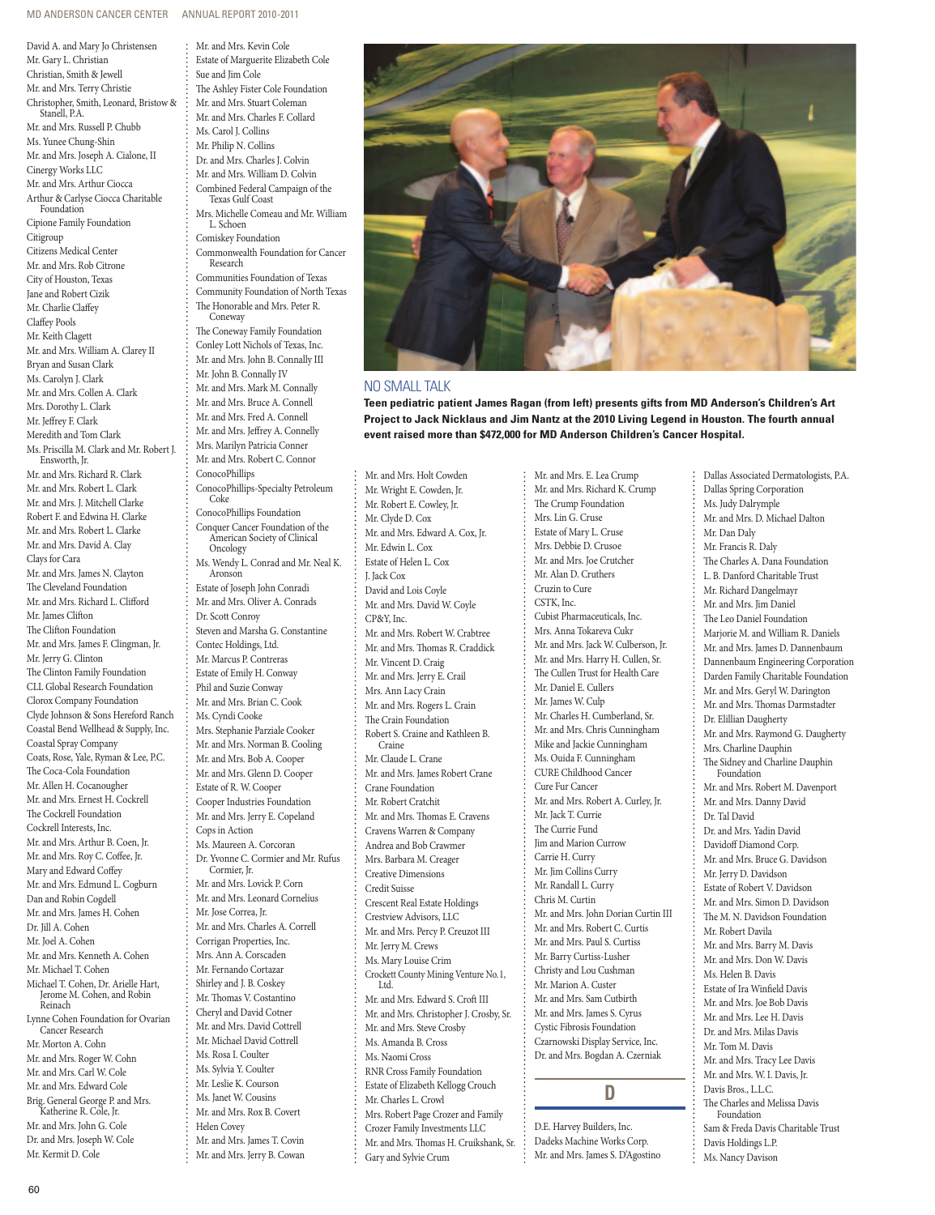Mr. and Mrs. Kevin Cole

David A. and Mary Jo Christensen Mr. Gary L. Christian Christian, Smith & Jewell Mr. and Mrs. Terry Christie Christopher, Smith, Leonard, Bristow & Stanell, P.A. Mr. and Mrs. Russell P. Chubb Ms. Yunee Chung-Shin Mr. and Mrs. Joseph A. Cialone, II Cinergy Works LLC Mr. and Mrs. Arthur Ciocca Arthur & Carlyse Ciocca Charitable Foundation Cipione Family Foundation Citigroup Citizens Medical Center Mr. and Mrs. Rob Citrone City of Houston, Texas Jane and Robert Cizik Mr. Charlie Claffey Claffey Pools Mr. Keith Clagett Mr. and Mrs. William A. Clarey II Bryan and Susan Clark Ms. Carolyn J. Clark Mr. and Mrs. Collen A. Clark Mrs. Dorothy L. Clark Mr. Jeffrey F. Clark Meredith and Tom Clark Ms. Priscilla M. Clark and Mr. Robert J. Ensworth, Jr. Mr. and Mrs. Richard R. Clark Mr. and Mrs. Robert L. Clark Mr. and Mrs. J. Mitchell Clarke Robert F. and Edwina H. Clarke Mr. and Mrs. Robert L. Clarke Mr. and Mrs. David A. Clay Clays for Cara Mr. and Mrs. James N. Clayton The Cleveland Foundation Mr. and Mrs. Richard L. Clifford Mr. James Clifton The Clifton Foundation Mr. and Mrs. James F. Clingman, Jr. Mr. Jerry G. Clinton The Clinton Family Foundation CLL Global Research Foundation Clorox Company Foundation Clyde Johnson & Sons Hereford Ranch Coastal Bend Wellhead & Supply, Inc. Coastal Spray Company Coats, Rose, Yale, Ryman & Lee, P.C. The Coca-Cola Foundation Mr. Allen H. Cocanougher Mr. and Mrs. Ernest H. Cockrell The Cockrell Foundation Cockrell Interests, Inc. Mr. and Mrs. Arthur B. Coen, Jr. Mr. and Mrs. Roy C. Coffee, Jr. Mary and Edward Coffey Mr. and Mrs. Edmund L. Cogburn Dan and Robin Cogdell Mr. and Mrs. James H. Cohen Dr. Jill A. Cohen Mr. Joel A. Cohen Mr. and Mrs. Kenneth A. Cohen Mr. Michael T. Cohen Michael T. Cohen, Dr. Arielle Hart, Jerome M. Cohen, and Robin Reinach Lynne Cohen Foundation for Ovarian Cancer Research Mr. Morton A. Cohn Mr. and Mrs. Roger W. Cohn Mr. and Mrs. Carl W. Cole Mr. and Mrs. Edward Cole Brig. General George P. and Mrs. Katherine R. Cole, Jr. Mr. and Mrs. John G. Cole Dr. and Mrs. Joseph W. Cole Mr. Kermit D. Cole

Estate of Marguerite Elizabeth Cole Sue and Jim Cole The Ashley Fister Cole Foundation Mr. and Mrs. Stuart Coleman Mr. and Mrs. Charles F. Collard Ms. Carol J. Collins Mr. Philip N. Collins Dr. and Mrs. Charles J. Colvin Mr. and Mrs. William D. Colvin Combined Federal Campaign of the Texas Gulf Coast Mrs. Michelle Comeau and Mr. William L. Schoen Comiskey Foundation Commonwealth Foundation for Cancer Research Communities Foundation of Texas Community Foundation of North Texas The Honorable and Mrs. Peter R. Coneway The Coneway Family Foundation Conley Lott Nichols of Texas, Inc. Mr. and Mrs. John B. Connally III Mr. John B. Connally IV Mr. and Mrs. Mark M. Connally Mr. and Mrs. Bruce A. Connell Mr. and Mrs. Fred A. Connell Mr. and Mrs. Jeffrey A. Connelly Mrs. Marilyn Patricia Conner Mr. and Mrs. Robert C. Connor ConocoPhillips ConocoPhillips-Specialty Petroleum Coke ConocoPhillips Foundation Conquer Cancer Foundation of the American Society of Clinical **Oncology** Ms. Wendy L. Conrad and Mr. Neal K. Aronson Estate of Joseph John Conradi Mr. and Mrs. Oliver A. Conrads Dr. Scott Conroy Steven and Marsha G. Constantine Contec Holdings, Ltd. Mr. Marcus P. Contreras Estate of Emily H. Conway Phil and Suzie Conway Mr. and Mrs. Brian C. Cook Ms. Cyndi Cooke Mrs. Stephanie Parziale Cooker Mr. and Mrs. Norman B. Cooling Mr. and Mrs. Bob A. Cooper Mr. and Mrs. Glenn D. Cooper Estate of R. W. Cooper Cooper Industries Foundation Mr. and Mrs. Jerry E. Copeland Cops in Action Ms. Maureen A. Corcoran Dr. Yvonne C. Cormier and Mr. Rufus Cormier, Jr. Mr. and Mrs. Lovick P. Corn Mr. and Mrs. Leonard Cornelius Mr. Jose Correa, Jr. Mr. and Mrs. Charles A. Correll Corrigan Properties, Inc. Mrs. Ann A. Corscaden Mr. Fernando Cortazar Shirley and J. B. Coskey Mr. Thomas V. Costantino Cheryl and David Cotner Mr. and Mrs. David Cottrell Mr. Michael David Cottrell Ms. Rosa I. Coulter Ms. Sylvia Y. Coulter Mr. Leslie K. Courson Ms. Janet W. Cousins Mr. and Mrs. Rox B. Covert Helen Covey Mr. and Mrs. James T. Covin Mr. and Mrs. Jerry B. Cowan



### No small talk

**Teen pediatric patient James Ragan (from left) presents gifts from MD Anderson's Children's Art Project to Jack Nicklaus and Jim Nantz at the 2010 Living Legend in Houston. The fourth annual event raised more than \$472,000 for MD Anderson Children's Cancer Hospital.**

Mr. and Mrs. E. Lea Crump

Mr. and Mrs. Holt Cowden Mr. Wright E. Cowden, Jr. Mr. Robert E. Cowley, Jr. Mr. Clyde D. Cox Mr. and Mrs. Edward A. Cox, Jr. Mr. Edwin L. Cox Estate of Helen L. Cox J. Jack Cox David and Lois Coyle Mr. and Mrs. David W. Coyle CP&Y, Inc. Mr. and Mrs. Robert W. Crabtree Mr. and Mrs. Thomas R. Craddick Mr. Vincent D. Craig Mr. and Mrs. Jerry E. Crail Mrs. Ann Lacy Crain Mr. and Mrs. Rogers L. Crain The Crain Foundation Robert S. Craine and Kathleen B. Craine Mr. Claude L. Crane Mr. and Mrs. James Robert Crane Crane Foundation Mr. Robert Cratchit Mr. and Mrs. Thomas E. Cravens Cravens Warren & Company Andrea and Bob Crawmer Mrs. Barbara M. Creager Creative Dimensions Credit Suisse Crescent Real Estate Holdings Crestview Advisors, LLC Mr. and Mrs. Percy P. Creuzot III Mr. Jerry M. Crews Ms. Mary Louise Crim Crockett County Mining Venture No.1, Ltd. Mr. and Mrs. Edward S. Croft III Mr. and Mrs. Christopher J. Crosby, Sr. Mr. and Mrs. Steve Crosby Ms. Amanda B. Cross Ms. Naomi Cross RNR Cross Family Foundation Estate of Elizabeth Kellogg Crouch Mr. Charles L. Crowl Mrs. Robert Page Crozer and Family Crozer Family Investments LLC Mr. and Mrs. Thomas H. Cruikshank, Sr.

Gary and Sylvie Crum

Mr. and Mrs. Richard K. Crump The Crump Foundation Mrs. Lin G. Cruse Estate of Mary L. Cruse Mrs. Debbie D. Crusoe Mr. and Mrs. Joe Crutcher Mr. Alan D. Cruthers Cruzin to Cure CSTK, Inc. Cubist Pharmaceuticals, Inc. Mrs. Anna Tokareva Cukr Mr. and Mrs. Jack W. Culberson, Jr. Mr. and Mrs. Harry H. Cullen, Sr. The Cullen Trust for Health Care Mr. Daniel E. Cullers Mr. James W. Culp Mr. Charles H. Cumberland, Sr. Mr. and Mrs. Chris Cunningham Mike and Jackie Cunningham Ms. Ouida F. Cunningham CURE Childhood Cancer Cure Fur Cancer Mr. and Mrs. Robert A. Curley, Jr. Mr. Jack T. Currie The Currie Fund Jim and Marion Currow Carrie H. Curry Mr. Jim Collins Curry Mr. Randall L. Curry Chris M. Curtin Mr. and Mrs. John Dorian Curtin III Mr. and Mrs. Robert C. Curtis Mr. and Mrs. Paul S. Curtiss Mr. Barry Curtiss-Lusher Christy and Lou Cushman Mr. Marion A. Custer Mr. and Mrs. Sam Cutbirth Mr. and Mrs. James S. Cyrus Cystic Fibrosis Foundation Czarnowski Display Service, Inc. Dr. and Mrs. Bogdan A. Czerniak

### **D**

D.E. Harvey Builders, Inc. Dadeks Machine Works Corp. Mr. and Mrs. James S. D'Agostino Dallas Associated Dermatologists, P.A. Dallas Spring Corporation Ms. Judy Dalrymple Mr. and Mrs. D. Michael Dalton Mr. Dan Daly Mr. Francis R. Daly The Charles A. Dana Foundation L. B. Danford Charitable Trust Mr. Richard Dangelmayr Mr. and Mrs. Jim Daniel The Leo Daniel Foundation Marjorie M. and William R. Daniels Mr. and Mrs. James D. Dannenbaum Dannenbaum Engineering Corporation Darden Family Charitable Foundation Mr. and Mrs. Geryl W. Darington Mr. and Mrs. Thomas Darmstadter Dr. Elillian Daugherty Mr. and Mrs. Raymond G. Daugherty Mrs. Charline Dauphin The Sidney and Charline Dauphin Foundation Mr. and Mrs. Robert M. Davenport Mr. and Mrs. Danny David Dr. Tal David Dr. and Mrs. Yadin David Davidoff Diamond Corp. Mr. and Mrs. Bruce G. Davidson Mr. Jerry D. Davidson Estate of Robert V. Davidson Mr. and Mrs. Simon D. Davidson The M. N. Davidson Foundation Mr. Robert Davila Mr. and Mrs. Barry M. Davis Mr. and Mrs. Don W. Davis Ms. Helen B. Davis Estate of Ira Winfield Davis Mr. and Mrs. Joe Bob Davis Mr. and Mrs. Lee H. Davis Dr. and Mrs. Milas Davis Mr. Tom M. Davis Mr. and Mrs. Tracy Lee Davis Mr. and Mrs. W. I. Davis, Jr. Davis Bros., L.L.C. The Charles and Melissa Davis Foundation Sam & Freda Davis Charitable Trust Davis Holdings L.P.

Ms. Nancy Davison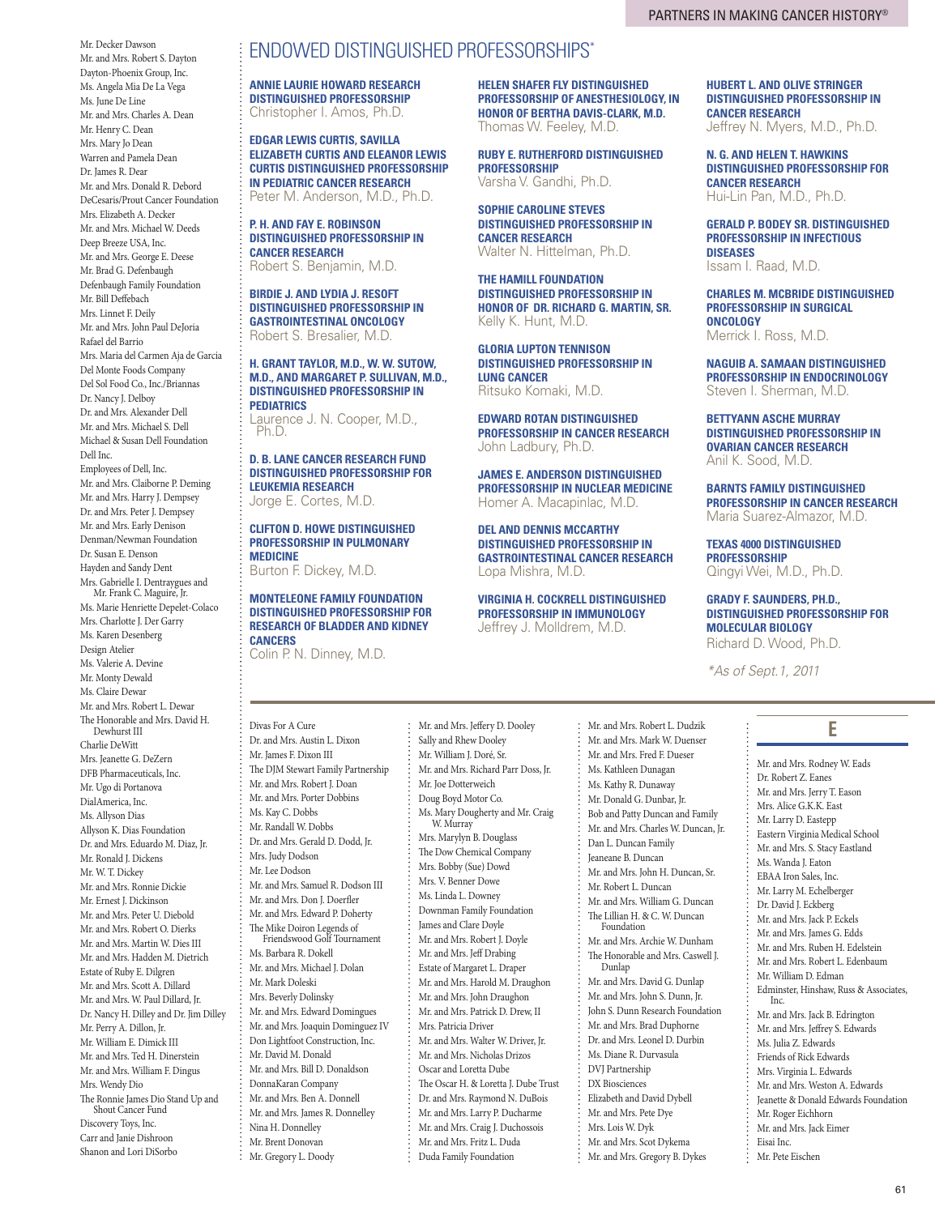Mr. Decker Dawson Mr. and Mrs. Robert S. Dayton Dayton-Phoenix Group, Inc. Ms. Angela Mia De La Vega Ms. June De Line Mr. and Mrs. Charles A. Dean Mr. Henry C. Dean Mrs. Mary Jo Dean Warren and Pamela Dean Dr. James R. Dear Mr. and Mrs. Donald R. Debord DeCesaris/Prout Cancer Foundation Mrs. Elizabeth A. Decker Mr. and Mrs. Michael W. Deeds Deep Breeze USA, Inc. Mr. and Mrs. George E. Deese Mr. Brad G. Defenbaugh Defenbaugh Family Foundation Mr. Bill Deffebach Mrs. Linnet F. Deily Mr. and Mrs. John Paul DeJoria Rafael del Barrio Mrs. Maria del Carmen Aja de Garcia Del Monte Foods Company Del Sol Food Co., Inc./Briannas Dr. Nancy J. Delboy Dr. and Mrs. Alexander Dell Mr. and Mrs. Michael S. Dell Michael & Susan Dell Foundation Dell Inc. Employees of Dell, Inc. Mr. and Mrs. Claiborne P. Deming Mr. and Mrs. Harry J. Dempsey Dr. and Mrs. Peter J. Dempsey Mr. and Mrs. Early Denison Denman/Newman Foundation Dr. Susan E. Denson Hayden and Sandy Dent Mrs. Gabrielle I. Dentraygues and Mr. Frank C. Maguire, Jr. Ms. Marie Henriette Depelet-Colaco Mrs. Charlotte J. Der Garry Ms. Karen Desenberg Design Atelier Ms. Valerie A. Devine Mr. Monty Dewald Ms. Claire Dewar Mr. and Mrs. Robert L. Dewar The Honorable and Mrs. David H. Dewhurst III Charlie DeWitt Mrs. Jeanette G. DeZern DFB Pharmaceuticals, Inc. Mr. Ugo di Portanova DialAmerica, Inc. Ms. Allyson Dias Allyson K. Dias Foundation Dr. and Mrs. Eduardo M. Diaz, Jr. Mr. Ronald J. Dickens Mr. W. T. Dickey Mr. and Mrs. Ronnie Dickie Mr. Ernest J. Dickinson Mr. and Mrs. Peter U. Diebold Mr. and Mrs. Robert O. Dierks

Mr. and Mrs. Martin W. Dies III Mr. and Mrs. Hadden M. Dietrich Estate of Ruby E. Dilgren Mr. and Mrs. Scott A. Dillard Mr. and Mrs. W. Paul Dillard, Jr. Dr. Nancy H. Dilley and Dr. Jim Dilley Mr. Perry A. Dillon, Jr. Mr. William E. Dimick III Mr. and Mrs. Ted H. Dinerstein Mr. and Mrs. William F. Dingus Mrs. Wendy Dio The Ronnie James Dio Stand Up and

Shout Cancer Fund Discovery Toys, Inc. Carr and Janie Dishroon Shanon and Lori DiSorbo

# Endowed distinguished professorships\*

**Annie Laurie Howard Research Distinguished Professorship** Christopher I. Amos, Ph.D.

**Edgar Lewis Curtis, Savilla Elizabeth Curtis and Eleanor Lewis Curtis Distinguished Professorship in Pediatric Cancer Research** Peter M. Anderson, M.D., Ph.D.

**P. H. and Fay E. Robinson Distinguished Professorship in Cancer Research** Robert S. Benjamin, M.D.

**Birdie J. and Lydia J. Resoft Distinguished Professorship in Gastrointestinal Oncology** Robert S. Bresalier, M.D.

### **H. Grant Taylor, M.D., W. W. Sutow, M.D., and Margaret P. Sullivan, M.D., Distinguished Professorship in Pediatrics**

Laurence J. N. Cooper, M.D., Ph.D.

### **D. B. Lane Cancer Research Fund Distinguished Professorship for Leukemia Research** Jorge E. Cortes, M.D.

### **Clifton D. Howe Distinguished Professorship in Pulmonary Medicine**

Burton F. Dickey, M.D.

### **Monteleone Family Foundation Distinguished Professorship for Research of Bladder and Kidney Cancers**

Colin P. N. Dinney, M.D.

Divas For A Cure Dr. and Mrs. Austin L. Dixon Mr. James F. Dixon III The DJM Stewart Family Partnership Mr. and Mrs. Robert J. Doan Mr. and Mrs. Porter Dobbins Ms. Kay C. Dobbs Mr. Randall W. Dobbs Dr. and Mrs. Gerald D. Dodd, Jr. Mrs. Judy Dodson Mr. Lee Dodson Mr. and Mrs. Samuel R. Dodson III Mr. and Mrs. Don J. Doerfler Mr. and Mrs. Edward P. Doherty The Mike Doiron Legends of Friendswood Golf Tournament Ms. Barbara R. Dokell Mr. and Mrs. Michael J. Dolan Mr. Mark Doleski Mrs. Beverly Dolinsky Mr. and Mrs. Edward Domingues Mr. and Mrs. Joaquin Dominguez IV Don Lightfoot Construction, Inc. Mr. David M. Donald Mr. and Mrs. Bill D. Donaldson DonnaKaran Company Mr. and Mrs. Ben A. Donnell Mr. and Mrs. James R. Donnelley

Nina H. Donnelley Mr. Brent Donovan Mr. Gregory L. Doody Sally and Rhew Dooley Mr. William J. Doré, Sr. Mr. and Mrs. Richard Parr Doss, Jr. Mr. Joe Dotterweich Doug Boyd Motor Co. Ms. Mary Dougherty and Mr. Craig W. Murray Mrs. Marylyn B. Douglass The Dow Chemical Company Mrs. Bobby (Sue) Dowd Mrs. V. Benner Dowe Ms. Linda L. Downey Downman Family Foundation James and Clare Doyle Mr. and Mrs. Robert J. Doyle Mr. and Mrs. Jeff Drabing Estate of Margaret L. Draper Mr. and Mrs. Harold M. Draughon Mr. and Mrs. John Draughon Mr. and Mrs. Patrick D. Drew, II Mrs. Patricia Driver Mr. and Mrs. Walter W. Driver, Jr. Mr. and Mrs. Nicholas Drizos Oscar and Loretta Dube The Oscar H. & Loretta J. Dube Trust Dr. and Mrs. Raymond N. DuBois Mr. and Mrs. Larry P. Ducharme Mr. and Mrs. Craig J. Duchossois Mr. and Mrs. Fritz L. Duda

Mr. and Mrs. Jeffery D. Dooley

Duda Family Foundation

**Helen Shafer Fly Distinguished Professorship of Anesthesiology, in Honor of Bertha Davis-Clark, M.D.** Thomas W. Feeley, M.D.

**Ruby E. Rutherford Distinguished Professorship** Varsha V. Gandhi, Ph.D.

**Sophie Caroline Steves Distinguished Professorship in Cancer Research** Walter N. Hittelman, Ph.D.

**The Hamill Foundation Distinguished Professorship in Honor of Dr. Richard G. Martin, Sr.** Kelly K. Hunt, M.D.

**Gloria Lupton Tennison Distinguished Professorship in Lung Cancer** Ritsuko Komaki, M.D.

**Edward Rotan Distinguished Professorship in Cancer Research** John Ladbury, Ph.D.

**James E. Anderson Distinguished Professorship in Nuclear Medicine** Homer A. Macapinlac, M.D.

**Del and Dennis McCarthy Distinguished Professorship in Gastrointestinal Cancer Research** Lopa Mishra, M.D.

**Virginia H. Cockrell Distinguished Professorship in Immunology** Jeffrey J. Molldrem, M.D.

> Mr. and Mrs. Robert L. Dudzik Mr. and Mrs. Mark W. Duenser Mr. and Mrs. Fred F. Dueser Ms. Kathleen Dunagan Ms. Kathy R. Dunaway Mr. Donald G. Dunbar, Jr. Bob and Patty Duncan and Family Mr. and Mrs. Charles W. Duncan, Jr.

Dan L. Duncan Family Jeaneane B. Duncan

Dunlap

Mr. and Mrs. John H. Duncan, Sr. Mr. Robert L. Duncan Mr. and Mrs. William G. Duncan The Lillian H. & C. W. Duncan Foundation

Mr. and Mrs. Archie W. Dunham The Honorable and Mrs. Caswell J.

Mr. and Mrs. David G. Dunlap Mr. and Mrs. John S. Dunn, Jr. John S. Dunn Research Foundation Mr. and Mrs. Brad Duphorne Dr. and Mrs. Leonel D. Durbin Ms. Diane R. Durvasula DVJ Partnership DX Biosciences Elizabeth and David Dybell Mr. and Mrs. Pete Dye Mrs. Lois W. Dyk Mr. and Mrs. Scot Dykema Mr. and Mrs. Gregory B. Dykes

**Hubert L. and Olive Stringer Distinguished Professorship in Cancer Research** Jeffrey N. Myers, M.D., Ph.D.

**N. G. and Helen T. Hawkins Distinguished Professorship for Cancer Research** Hui-Lin Pan, M.D., Ph.D.

**Gerald P. Bodey Sr. Distinguished Professorship in Infectious Diseases** Issam I. Raad, M.D.

**Charles M. McBride Distinguished Professorship in Surgical Oncology** Merrick I. Ross, M.D.

**Naguib A. Samaan Distinguished Professorship in Endocrinology** Steven I. Sherman, M.D.

**Bettyann Asche Murray Distinguished Professorship in Ovarian Cancer Research** Anil K. Sood, M.D.

**Barnts Family Distinguished Professorship in Cancer Research** Maria Suarez-Almazor, M.D.

**Texas 4000 Distinguished Professorship** Qingyi Wei, M.D., Ph.D.

**Grady F. Saunders, Ph.D., Distinguished Professorship for Molecular Biology**

Richard D. Wood, Ph.D.

*\*As of Sept.1, 2011*

# **E**

Mr. and Mrs. Rodney W. Eads Dr. Robert Z. Eanes Mr. and Mrs. Jerry T. Eason Mrs. Alice G.K.K. East Mr. Larry D. Eastepp Eastern Virginia Medical School Mr. and Mrs. S. Stacy Eastland Ms. Wanda J. Eaton EBAA Iron Sales, Inc. Mr. Larry M. Echelberger Dr. David J. Eckberg Mr. and Mrs. Jack P. Eckels Mr. and Mrs. James G. Edds Mr. and Mrs. Ruben H. Edelstein Mr. and Mrs. Robert L. Edenbaum Mr. William D. Edman Edminster, Hinshaw, Russ & Associates, Inc. Mr. and Mrs. Jack B. Edrington Mr. and Mrs. Jeffrey S. Edwards Ms. Julia Z. Edwards Friends of Rick Edwards Mrs. Virginia L. Edwards Mr. and Mrs. Weston A. Edwards Jeanette & Donald Edwards Foundation Mr. Roger Eichhorn Mr. and Mrs. Jack Eimer Eisai Inc. Mr. Pete Eischen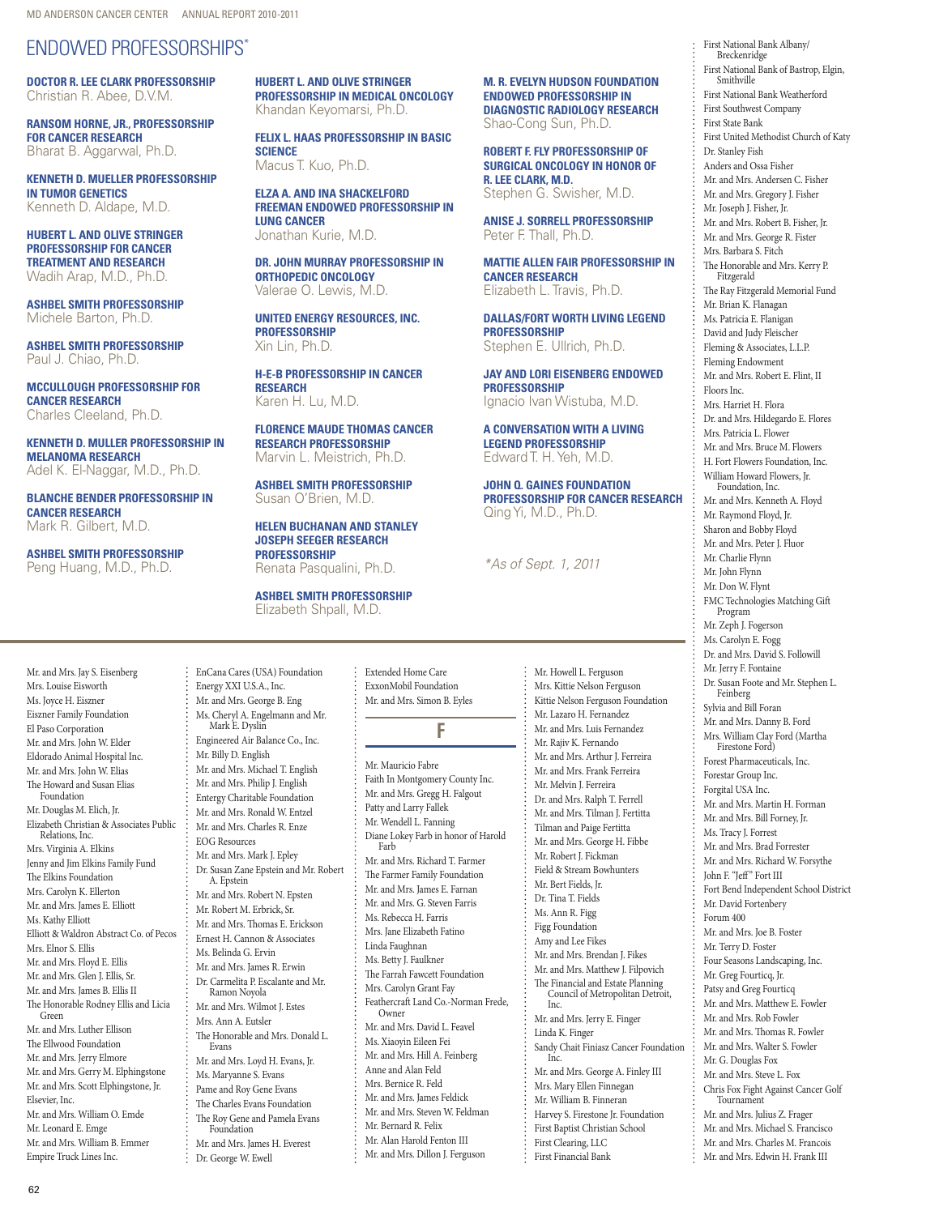# Endowed professorships\*

**Doctor R. Lee Clark Professorship** Christian R. Abee, D.V.M.

**Ransom Horne, Jr., Professorship for Cancer Research** Bharat B. Aggarwal, Ph.D.

**Kenneth D. Mueller Professorship in Tumor Genetics** Kenneth D. Aldape, M.D.

**Hubert L. and Olive Stringer Professorship for Cancer Treatment and Research** Wadih Arap, M.D., Ph.D.

**Ashbel Smith Professorship** Michele Barton, Ph.D.

**Ashbel Smith Professorship** Paul J. Chiao, Ph.D.

**McCullough Professorship for Cancer Research** Charles Cleeland, Ph.D.

**Kenneth D. Muller Professorship in Melanoma Research** Adel K. El-Naggar, M.D., Ph.D.

**Blanche Bender Professorship in Cancer Research** Mark R. Gilbert, M.D.

**Ashbel Smith Professorship** Peng Huang, M.D., Ph.D.

**Hubert L. and Olive Stringer Professorship in Medical Oncology** Khandan Keyomarsi, Ph.D.

**Felix L. Haas Professorship in Basic Science** Macus T. Kuo, Ph.D.

**Elza A. and Ina Shackelford Freeman Endowed Professorship in Lung Cancer** Jonathan Kurie, M.D.

**Dr. John Murray Professorship in Orthopedic Oncology** Valerae O. Lewis, M.D.

**United Energy Resources, Inc. Professorship**  Xin Lin, Ph.D.

**H-E-B Professorship in Cancer Research** Karen H. Lu, M.D.

**Florence Maude Thomas Cancer Research Professorship** Marvin L. Meistrich, Ph.D.

**Ashbel Smith Professorship** Susan O'Brien, M.D.

**Helen Buchanan and Stanley Joseph Seeger Research Professorship** Renata Pasqualini, Ph.D.

**Ashbel Smith Professorship** Elizabeth Shpall, M.D.

**M. R. Evelyn Hudson Foundation Endowed Professorship in Diagnostic Radiology Research** Shao-Cong Sun, Ph.D.

**Robert F. Fly Professorship of Surgical Oncology in Honor of R. Lee Clark, M.D.** Stephen G. Swisher, M.D.

**Anise J. Sorrell Professorship** Peter F. Thall, Ph.D.

**Mattie Allen Fair Professorship in Cancer Research** Elizabeth L. Travis, Ph.D.

**Dallas/Fort Worth Living Legend Professorship** Stephen E. Ullrich, Ph.D.

**Jay and Lori Eisenberg Endowed Professorship**  Ignacio Ivan Wistuba, M.D.

**A Conversation with a Living Legend Professorship** Edward T. H. Yeh, M.D.

**John Q. Gaines Foundation Professorship for Cancer Research** Qing Yi, M.D., Ph.D.

*\*As of Sept. 1, 2011*

Mr. and Mrs. Jay S. Eisenberg Mrs. Louise Eisworth Ms. Joyce H. Eiszner Eiszner Family Foundation El Paso Corporation Mr. and Mrs. John W. Elder Eldorado Animal Hospital Inc. Mr. and Mrs. John W. Elias The Howard and Susan Elias Foundation Mr. Douglas M. Elich, Jr. Elizabeth Christian & Associates Public Relations, Inc. Mrs. Virginia A. Elkins Jenny and Jim Elkins Family Fund The Elkins Foundation Mrs. Carolyn K. Ellerton Mr. and Mrs. James E. Elliott Ms. Kathy Elliott Elliott & Waldron Abstract Co. of Pecos Mrs. Elnor S. Ellis Mr. and Mrs. Floyd E. Ellis Mr. and Mrs. Glen J. Ellis, Sr. Mr. and Mrs. James B. Ellis II The Honorable Rodney Ellis and Licia Green Mr. and Mrs. Luther Ellison The Ellwood Foundation Mr. and Mrs. Jerry Elmore Mr. and Mrs. Gerry M. Elphingstone Mr. and Mrs. Scott Elphingstone, Jr. Elsevier, Inc. Mr. and Mrs. William O. Emde Mr. Leonard E. Emge Mr. and Mrs. William B. Emmer

EnCana Cares (USA) Foundation Energy XXI U.S.A., Inc. Mr. and Mrs. George B. Eng Ms. Cheryl A. Engelmann and Mr. Mark E. Dyslin Engineered Air Balance Co., Inc. Mr. Billy D. English Mr. and Mrs. Michael T. English Mr. and Mrs. Philip J. English Entergy Charitable Foundation Mr. and Mrs. Ronald W. Entzel Mr. and Mrs. Charles R. Enze EOG Resources Mr. and Mrs. Mark J. Epley Dr. Susan Zane Epstein and Mr. Robert A. Epstein Mr. and Mrs. Robert N. Epsten Mr. Robert M. Erbrick, Sr. Mr. and Mrs. Thomas E. Erickson Ernest H. Cannon & Associates Ms. Belinda G. Ervin Mr. and Mrs. James R. Erwin Dr. Carmelita P. Escalante and Mr. Ramon Noyola Mr. and Mrs. Wilmot J. Estes Mrs. Ann A. Eutsler The Honorable and Mrs. Donald L. Evans Mr. and Mrs. Loyd H. Evans, Jr. Ms. Maryanne S. Evans Pame and Roy Gene Evans The Charles Evans Foundation The Roy Gene and Pamela Evans Foundation Mr. and Mrs. James H. Everest Dr. George W. Ewell

Extended Home Care ExxonMobil Foundation Mr. and Mrs. Simon B. Eyles

**F**

Mr. Mauricio Fabre Faith In Montgomery County Inc. Mr. and Mrs. Gregg H. Falgout Patty and Larry Fallek Mr. Wendell L. Fanning Diane Lokey Farb in honor of Harold Mr. and Mrs. Richard T. Farmer The Farmer Family Foundation Mr. and Mrs. James E. Farnan Mr. and Mrs. G. Steven Farris Ms. Rebecca H. Farris Mrs. Jane Elizabeth Fatino Linda Faughnan Ms. Betty J. Faulkner The Farrah Fawcett Foundation Mrs. Carolyn Grant Fay Feathercraft Land Co.-Norman Frede, Owner Mr. and Mrs. David L. Feavel Ms. Xiaoyin Eileen Fei Mr. and Mrs. Hill A. Feinberg Anne and Alan Feld Mrs. Bernice R. Feld Mr. and Mrs. James Feldick Mr. and Mrs. Steven W. Feldman Mr. Bernard R. Felix

Mr. Alan Harold Fenton III Mr. and Mrs. Dillon J. Ferguson

Mr. Howell L. Ferguson Mrs. Kittie Nelson Ferguson Kittie Nelson Ferguson Foundation Mr. Lazaro H. Fernandez Mr. and Mrs. Luis Fernandez Mr. Rajiv K. Fernando Mr. and Mrs. Arthur J. Ferreira Mr. and Mrs. Frank Ferreira Mr. Melvin J. Ferreira Dr. and Mrs. Ralph T. Ferrell Mr. and Mrs. Tilman J. Fertitta Tilman and Paige Fertitta Mr. and Mrs. George H. Fibbe Mr. Robert J. Fickman Field & Stream Bowhunters Mr. Bert Fields, Jr. Dr. Tina T. Fields Ms. Ann R. Figg Figg Foundation Amy and Lee Fikes Mr. and Mrs. Brendan J. Fikes Mr. and Mrs. Matthew J. Filpovich The Financial and Estate Planning Council of Metropolitan Detroit, Inc. Mr. and Mrs. Jerry E. Finger Linda K. Finger Sandy Chait Finiasz Cancer Foundation Inc. Mr. and Mrs. George A. Finley III Mrs. Mary Ellen Finnegan Mr. William B. Finneran Harvey S. Firestone Jr. Foundation First Baptist Christian School First Clearing, LLC First Financial Bank

**Breckenridge** First National Bank of Bastrop, Elgin, Smithville First National Bank Weatherford First Southwest Company First State Bank First United Methodist Church of Katy Dr. Stanley Fish Anders and Ossa Fisher Mr. and Mrs. Andersen C. Fisher Mr. and Mrs. Gregory J. Fisher Mr. Joseph J. Fisher, Jr. Mr. and Mrs. Robert B. Fisher, Jr. Mr. and Mrs. George R. Fister Mrs. Barbara S. Fitch The Honorable and Mrs. Kerry P. Fitzgerald The Ray Fitzgerald Memorial Fund Mr. Brian K. Flanagan Ms. Patricia E. Flanigan David and Judy Fleischer Fleming & Associates, L.L.P. Fleming Endowment Mr. and Mrs. Robert E. Flint, II Floors Inc. Mrs. Harriet H. Flora Dr. and Mrs. Hildegardo E. Flores Mrs. Patricia L. Flower Mr. and Mrs. Bruce M. Flowers H. Fort Flowers Foundation, Inc. William Howard Flowers, Jr. Foundation, Inc. Mr. and Mrs. Kenneth A. Floyd Mr. Raymond Floyd, Jr. Sharon and Bobby Floyd Mr. and Mrs. Peter J. Fluor Mr. Charlie Flynn Mr. John Flynn Mr. Don W. Flynt FMC Technologies Matching Gift Program Mr. Zeph J. Fogerson Ms. Carolyn E. Fogg Dr. and Mrs. David S. Followill Mr. Jerry F. Fontaine Dr. Susan Foote and Mr. Stephen L. Feinberg Sylvia and Bill Foran Mr. and Mrs. Danny B. Ford Mrs. William Clay Ford (Martha Firestone Ford) Forest Pharmaceuticals, Inc. Forestar Group Inc. Forgital USA Inc. Mr. and Mrs. Martin H. Forman Mr. and Mrs. Bill Forney, Jr. Ms. Tracy J. Forrest Mr. and Mrs. Brad Forrester Mr. and Mrs. Richard W. Forsythe John F. "Jeff" Fort III Fort Bend Independent School District Mr. David Fortenbery Forum 400 Mr. and Mrs. Joe B. Foster Mr. Terry D. Foster Four Seasons Landscaping, Inc. Mr. Greg Fourticq, Jr. Patsy and Greg Fourticq Mr. and Mrs. Matthew E. Fowler Mr. and Mrs. Rob Fowler Mr. and Mrs. Thomas R. Fowler Mr. and Mrs. Walter S. Fowler Mr. G. Douglas Fox Mr. and Mrs. Steve L. Fox Chris Fox Fight Against Cancer Golf Tournament Mr. and Mrs. Julius Z. Frager Mr. and Mrs. Michael S. Francisco Mr. and Mrs. Charles M. Francois Mr. and Mrs. Edwin H. Frank III

First National Bank Albany/

Empire Truck Lines Inc.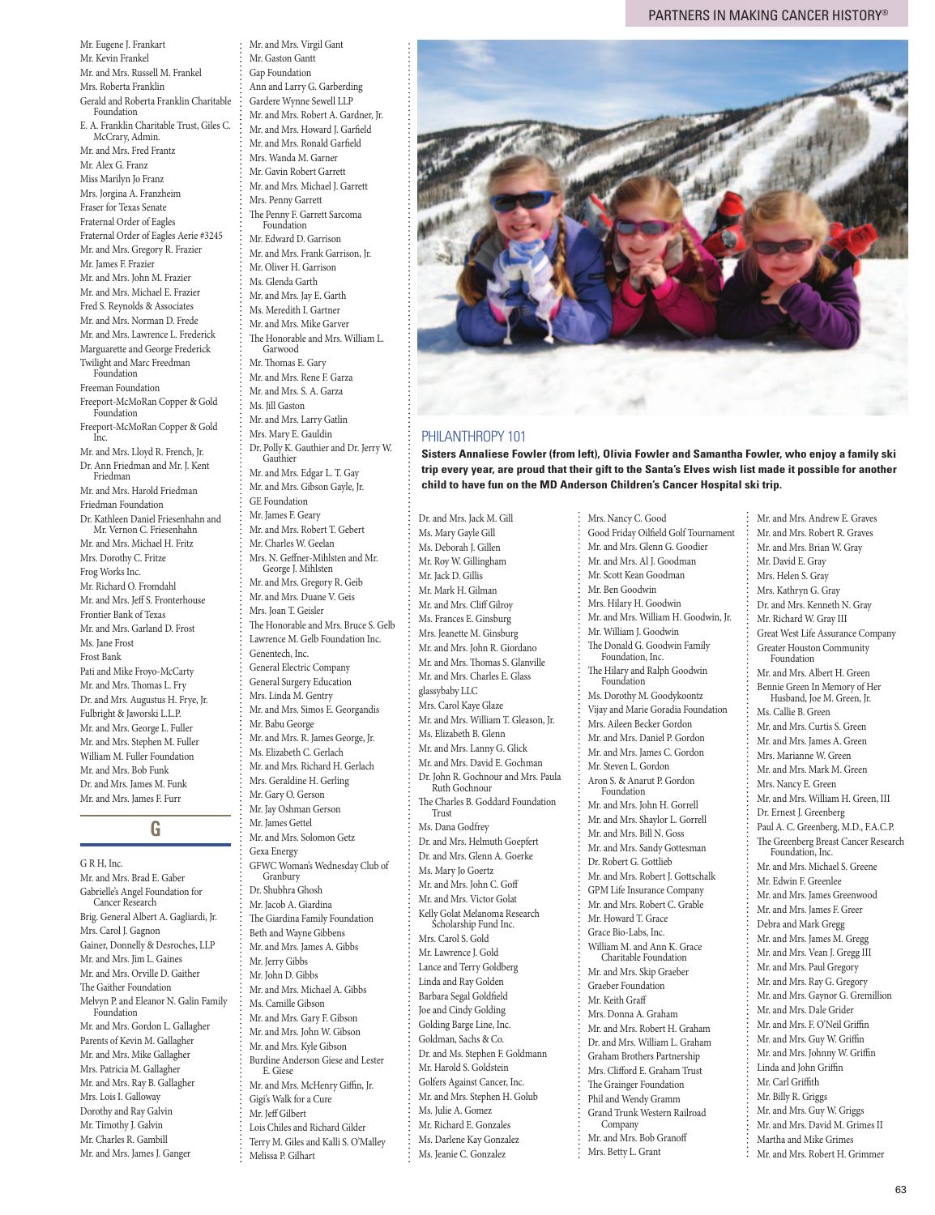Mr. Eugene J. Frankart Mr. Kevin Frankel Mr. and Mrs. Russell M. Frankel Mrs. Roberta Franklin Gerald and Roberta Franklin Charitable Foundation E. A. Franklin Charitable Trust, Giles C. McCrary, Admin. Mr. and Mrs. Fred Frantz Mr. Alex G. Franz Miss Marilyn Jo Franz Mrs. Jorgina A. Franzheim Fraser for Texas Senate Fraternal Order of Eagles Fraternal Order of Eagles Aerie #3245 Mr. and Mrs. Gregory R. Frazier Mr. James F. Frazier Mr. and Mrs. John M. Frazier Mr. and Mrs. Michael E. Frazier Fred S. Reynolds & Associates Mr. and Mrs. Norman D. Frede Mr. and Mrs. Lawrence L. Frederick Marguarette and George Frederick Twilight and Marc Freedman Foundation Freeman Foundation Freeport-McMoRan Copper & Gold Foundation Freeport-McMoRan Copper & Gold Inc. Mr. and Mrs. Lloyd R. French, Jr. Dr. Ann Friedman and Mr. J. Kent Friedman Mr. and Mrs. Harold Friedman Friedman Foundation Dr. Kathleen Daniel Friesenhahn and Mr. Vernon C. Friesenhahn Mr. and Mrs. Michael H. Fritz Mrs. Dorothy C. Fritze Frog Works Inc. Mr. Richard O. Fromdahl Mr. and Mrs. Jeff S. Fronterhouse Frontier Bank of Texas Mr. and Mrs. Garland D. Frost Ms. Jane Frost Frost Bank Pati and Mike Froyo-McCarty Mr. and Mrs. Thomas L. Fry Dr. and Mrs. Augustus H. Frye, Jr. Fulbright & Jaworski L.L.P. Mr. and Mrs. George L. Fuller Mr. and Mrs. Stephen M. Fuller William M. Fuller Foundation Mr. and Mrs. Bob Funk Dr. and Mrs. James M. Funk Mr. and Mrs. James F. Furr

### G **G**

G R H, Inc. Mr. and Mrs. Brad E. Gaber Gabrielle's Angel Foundation for Cancer Research Brig. General Albert A. Gagliardi, Jr. Mrs. Carol J. Gagnon Gainer, Donnelly & Desroches, LLP Mr. and Mrs. Jim L. Gaines Mr. and Mrs. Orville D. Gaither The Gaither Foundation Melvyn P. and Eleanor N. Galin Family Foundation Mr. and Mrs. Gordon L. Gallagher Parents of Kevin M. Gallagher Mr. and Mrs. Mike Gallagher Mrs. Patricia M. Gallagher Mr. and Mrs. Ray B. Gallagher Mrs. Lois I. Galloway Dorothy and Ray Galvin Mr. Timothy J. Galvin Mr. Charles R. Gambill Mr. and Mrs. James J. Ganger

Mr. and Mrs. Virgil Gant Mr. Gaston Gantt Gap Foundation Ann and Larry G. Garberding Gardere Wynne Sewell LLP Mr. and Mrs. Robert A. Gardner, Jr. Mr. and Mrs. Howard J. Garfield Mr. and Mrs. Ronald Garfield Mrs. Wanda M. Garner Mr. Gavin Robert Garrett Mr. and Mrs. Michael J. Garrett Mrs. Penny Garrett The Penny F. Garrett Sarcoma Foundation Mr. Edward D. Garrison Mr. and Mrs. Frank Garrison, Jr. Mr. Oliver H. Garrison Ms. Glenda Garth Mr. and Mrs. Jay E. Garth Ms. Meredith I. Gartner Mr. and Mrs. Mike Garver The Honorable and Mrs. William L. Garwood Mr. Thomas E. Gary Mr. and Mrs. Rene F. Garza Mr. and Mrs. S. A. Garza Ms. Jill Gaston Mr. and Mrs. Larry Gatlin Mrs. Mary E. Gauldin Dr. Polly K. Gauthier and Dr. Jerry W. Gauthier Mr. and Mrs. Edgar L. T. Gay Mr. and Mrs. Gibson Gayle, Jr. GE Foundation Mr. James F. Geary Mr. and Mrs. Robert T. Gebert Mr. Charles W. Geelan Mrs. N. Geffner-Mihlsten and Mr. George J. Mihlsten Mr. and Mrs. Gregory R. Geib Mr. and Mrs. Duane V. Geis Mrs. Joan T. Geisler The Honorable and Mrs. Bruce S. Gelb Lawrence M. Gelb Foundation Inc. Genentech, Inc. General Electric Company General Surgery Education Mrs. Linda M. Gentry Mr. and Mrs. Simos E. Georgandis Mr. Babu George Mr. and Mrs. R. James George, Jr. Ms. Elizabeth C. Gerlach Mr. and Mrs. Richard H. Gerlach Mrs. Geraldine H. Gerling Mr. Gary O. Gerson Mr. Jay Oshman Gerson Mr. James Gettel Mr. and Mrs. Solomon Getz Gexa Energy GFWC Woman's Wednesday Club of Granbury Dr. Shubhra Ghosh Mr. Jacob A. Giardina The Giardina Family Foundation Beth and Wayne Gibbens Mr. and Mrs. James A. Gibbs Mr. Jerry Gibbs Mr. John D. Gibbs Mr. and Mrs. Michael A. Gibbs Ms. Camille Gibson Mr. and Mrs. Gary F. Gibson Mr. and Mrs. John W. Gibson Mr. and Mrs. Kyle Gibson Burdine Anderson Giese and Lester E. Giese Mr. and Mrs. McHenry Giffin, Jr. Gigi's Walk for a Cure Mr. Jeff Gilbert Lois Chiles and Richard Gilder

Terry M. Giles and Kalli S. O'Malley

Melissa P. Gilhart

Dr. and Mrs. Jack M. Gill Ms. Mary Gayle Gill Ms. Deborah J. Gillen Mr. Roy W. Gillingham Mr. Jack D. Gillis Mr. Mark H. Gilman Mr. and Mrs. Cliff Gilroy Ms. Frances E. Ginsburg Mrs. Jeanette M. Ginsburg Mr. and Mrs. John R. Giordano Mr. and Mrs. Thomas S. Glanville Mr. and Mrs. Charles E. Glass glassybaby LLC Mrs. Carol Kaye Glaze Mr. and Mrs. William T. Gleason, Jr. Ms. Elizabeth B. Glenn Mr. and Mrs. Lanny G. Glick Mr. and Mrs. David E. Gochman Dr. John R. Gochnour and Mrs. Paula Ruth Gochnour The Charles B. Goddard Foundation Trust Ms. Dana Godfrey Dr. and Mrs. Helmuth Goepfert Dr. and Mrs. Glenn A. Goerke Ms. Mary Jo Goertz Mr. and Mrs. John C. Goff Mr. and Mrs. Victor Golat Kelly Golat Melanoma Research Scholarship Fund Inc. Mrs. Carol S. Gold Mr. Lawrence J. Gold Lance and Terry Goldberg Linda and Ray Golden Barbara Segal Goldfield Joe and Cindy Golding Golding Barge Line, Inc. Goldman, Sachs & Co. Dr. and Ms. Stephen F. Goldmann Mr. Harold S. Goldstein Golfers Against Cancer, Inc. Mr. and Mrs. Stephen H. Golub Ms. Julie A. Gomez Mr. Richard E. Gonzales Ms. Darlene Kay Gonzalez Ms. Jeanie C. Gonzalez PHILANTHROPY 101



**Sisters Annaliese Fowler (from left), Olivia Fowler and Samantha Fowler, who enjoy a family ski trip every year, are proud that their gift to the Santa's Elves wish list made it possible for another child to have fun on the MD Anderson Children's Cancer Hospital ski trip.** 

> Mrs. Nancy C. Good Good Friday Oilfield Golf Tournament Mr. and Mrs. Glenn G. Goodier Mr. and Mrs. Al J. Goodman Mr. Scott Kean Goodman Mr. Ben Goodwin Mrs. Hilary H. Goodwin Mr. and Mrs. William H. Goodwin, Jr. Mr. William J. Goodwin The Donald G. Goodwin Family Foundation, Inc. The Hilary and Ralph Goodwin Foundation Ms. Dorothy M. Goodykoontz Vijay and Marie Goradia Foundation Mrs. Aileen Becker Gordon Mr. and Mrs. Daniel P. Gordon Mr. and Mrs. James C. Gordon Mr. Steven L. Gordon Aron S. & Anarut P. Gordon Foundation Mr. and Mrs. John H. Gorrell Mr. and Mrs. Shaylor L. Gorrell Mr. and Mrs. Bill N. Goss Mr. and Mrs. Sandy Gottesman Dr. Robert G. Gottlieb Mr. and Mrs. Robert J. Gottschalk GPM Life Insurance Company Mr. and Mrs. Robert C. Grable Mr. Howard T. Grace Grace Bio-Labs, Inc. William M. and Ann K. Grace Charitable Foundation Mr. and Mrs. Skip Graeber Graeber Foundation Mr. Keith Graff Mrs. Donna A. Graham Mr. and Mrs. Robert H. Graham Dr. and Mrs. William L. Graham Graham Brothers Partnership Mrs. Clifford E. Graham Trust The Grainger Foundation Phil and Wendy Gramm Grand Trunk Western Railroad Company Mr. and Mrs. Bob Granoff Mrs. Betty L. Grant

Mr. and Mrs. Andrew E. Graves Mr. and Mrs. Robert R. Graves Mr. and Mrs. Brian W. Gray Mr. David E. Gray Mrs. Helen S. Gray Mrs. Kathryn G. Gray Dr. and Mrs. Kenneth N. Gray Mr. Richard W. Gray III Great West Life Assurance Company Greater Houston Community Foundation Mr. and Mrs. Albert H. Green Bennie Green In Memory of Her Husband, Joe M. Green, Jr. Ms. Callie B. Green Mr. and Mrs. Curtis S. Green Mr. and Mrs. James A. Green Mrs. Marianne W. Green Mr. and Mrs. Mark M. Green Mrs. Nancy E. Green Mr. and Mrs. William H. Green, III Dr. Ernest J. Greenberg Paul A. C. Greenberg, M.D., F.A.C.P. The Greenberg Breast Cancer Research Foundation, Inc. Mr. and Mrs. Michael S. Greene Mr. Edwin F. Greenlee Mr. and Mrs. James Greenwood Mr. and Mrs. James F. Greer Debra and Mark Gregg Mr. and Mrs. James M. Gregg Mr. and Mrs. Vean J. Gregg III Mr. and Mrs. Paul Gregory Mr. and Mrs. Ray G. Gregory Mr. and Mrs. Gaynor G. Gremillion Mr. and Mrs. Dale Grider Mr. and Mrs. F. O'Neil Griffin Mr. and Mrs. Guy W. Griffin Mr. and Mrs. Johnny W. Griffin Linda and John Griffin Mr. Carl Griffith Mr. Billy R. Griggs Mr. and Mrs. Guy W. Griggs Mr. and Mrs. David M. Grimes II Martha and Mike Grimes Mr. and Mrs. Robert H. Grimmer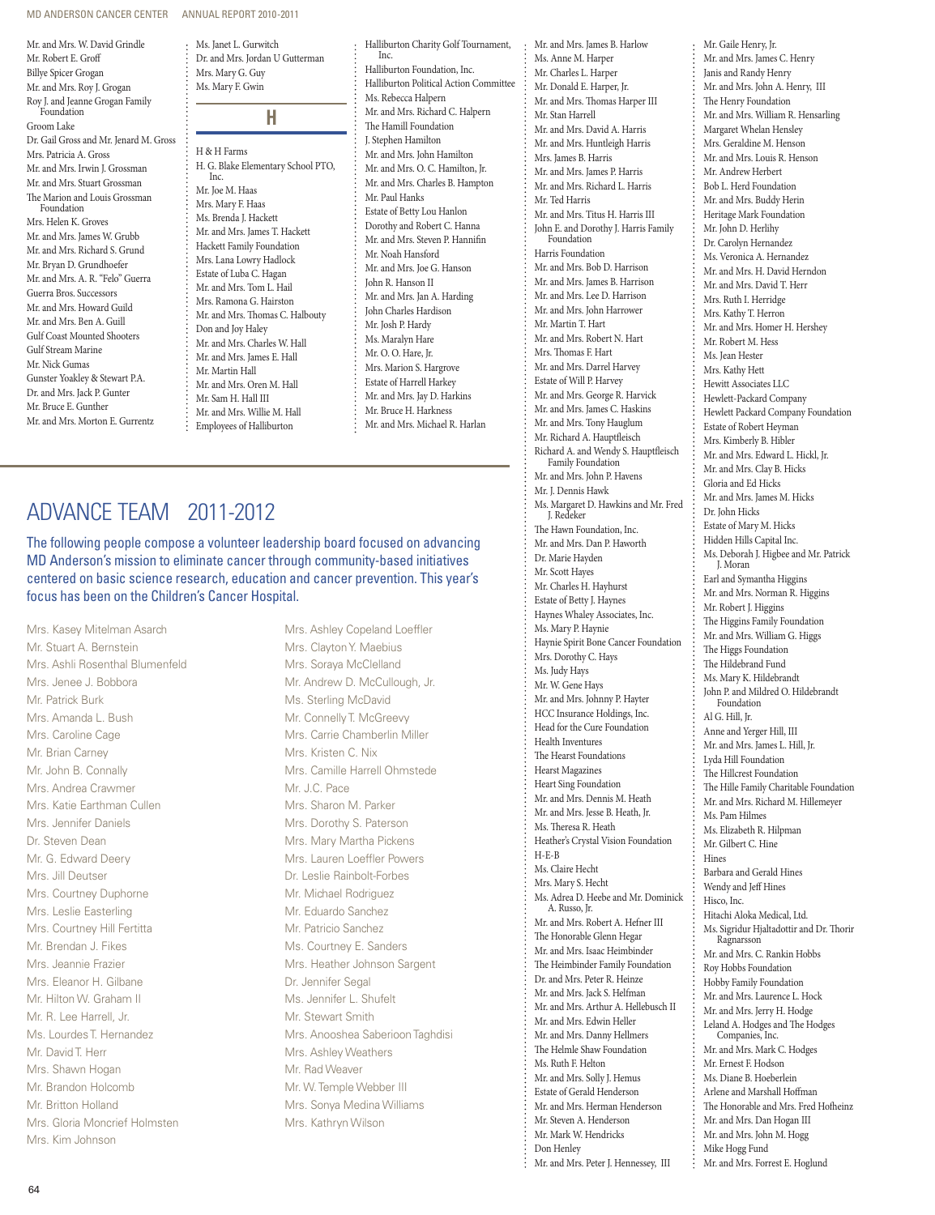MD ANDERSON CANCER CENTER ANNUAL REPORT 2010-2011

Mr. and Mrs. W. David Grindle Mr. Robert E. Groff Billye Spicer Grogan Mr. and Mrs. Roy J. Grogan Roy J. and Jeanne Grogan Family Foundation Groom Lake Dr. Gail Gross and Mr. Jenard M. Gross Mrs. Patricia A. Gross Mr. and Mrs. Irwin J. Grossman Mr. and Mrs. Stuart Grossman The Marion and Louis Grossman Foundation Mrs. Helen K. Groves Mr. and Mrs. James W. Grubb Mr. and Mrs. Richard S. Grund Mr. Bryan D. Grundhoefer Mr. and Mrs. A. R. "Felo" Guerra Guerra Bros. Successors Mr. and Mrs. Howard Guild Mr. and Mrs. Ben A. Guill Gulf Coast Mounted Shooters Gulf Stream Marine Mr. Nick Gumas Gunster Yoakley & Stewart P.A. Dr. and Mrs. Jack P. Gunter Mr. Bruce E. Gunther Mr. and Mrs. Morton E. Gurrentz

Ms. Mary F. Gwin **H** H & H Farms H. G. Blake Elementary School PTO, Inc. Mr. Joe M. Haas Mrs. Mary F. Haas Ms. Brenda J. Hackett Mr. and Mrs. James T. Hackett Hackett Family Foundation Mrs. Lana Lowry Hadlock Estate of Luba C. Hagan Mr. and Mrs. Tom L. Hail Mrs. Ramona G. Hairston Mr. and Mrs. Thomas C. Halbouty Don and Joy Haley Mr. and Mrs. Charles W. Hall Mr. and Mrs. James E. Hall Mr. Martin Hall Mr. and Mrs. Oren M. Hall Mr. Sam H. Hall III Mr. and Mrs. Willie M. Hall Employees of Halliburton

Ms. Janet L. Gurwitch Dr. and Mrs. Jordan U Gutterman

Mrs. Mary G. Guy

### Halliburton Charity Golf Tournament, Inc. Halliburton Foundation, Inc. Halliburton Political Action Committee Ms. Rebecca Halpern Mr. and Mrs. Richard C. Halpern The Hamill Foundation J. Stephen Hamilton Mr. and Mrs. John Hamilton Mr. and Mrs. O. C. Hamilton, Jr. Mr. and Mrs. Charles B. Hampton Mr. Paul Hanks Estate of Betty Lou Hanlon Dorothy and Robert C. Hanna Mr. and Mrs. Steven P. Hannifin Mr. Noah Hansford Mr. and Mrs. Joe G. Hanson John R. Hanson II Mr. and Mrs. Jan A. Harding John Charles Hardison Mr. Josh P. Hardy Ms. Maralyn Hare Mr. O. O. Hare, Jr. Mrs. Marion S. Hargrove Estate of Harrell Harkey Mr. and Mrs. Jay D. Harkins Mr. Bruce H. Harkness Mr. and Mrs. Michael R. Harlan

# Advance Team 2011-2012

The following people compose a volunteer leadership board focused on advancing MD Anderson's mission to eliminate cancer through community-based initiatives centered on basic science research, education and cancer prevention. This year's focus has been on the Children's Cancer Hospital.

Mrs. Kasey Mitelman Asarch Mr. Stuart A. Bernstein Mrs. Ashli Rosenthal Blumenfeld Mrs. Jenee J. Bobbora Mr. Patrick Burk Mrs. Amanda L. Bush Mrs. Caroline Cage Mr. Brian Carney Mr. John B. Connally Mrs. Andrea Crawmer Mrs. Katie Earthman Cullen Mrs. Jennifer Daniels Dr. Steven Dean Mr. G. Edward Deery Mrs. Jill Deutser Mrs. Courtney Duphorne Mrs. Leslie Easterling Mrs. Courtney Hill Fertitta Mr. Brendan J. Fikes Mrs. Jeannie Frazier Mrs. Eleanor H. Gilbane Mr. Hilton W. Graham II Mr. R. Lee Harrell, Jr. Ms. Lourdes T. Hernandez Mr. David T. Herr Mrs. Shawn Hogan Mr. Brandon Holcomb Mr. Britton Holland Mrs. Gloria Moncrief Holmsten Mrs. Kim Johnson

Mrs. Ashley Copeland Loeffler Mrs. Clayton Y. Maebius Mrs. Soraya McClelland Mr. Andrew D. McCullough, Jr. Ms. Sterling McDavid Mr. Connelly T. McGreevy Mrs. Carrie Chamberlin Miller Mrs. Kristen C. Nix Mrs. Camille Harrell Ohmstede Mr. J.C. Pace Mrs. Sharon M. Parker Mrs. Dorothy S. Paterson Mrs. Mary Martha Pickens Mrs. Lauren Loeffler Powers Dr. Leslie Rainbolt-Forbes Mr. Michael Rodriguez Mr. Eduardo Sanchez Mr. Patricio Sanchez Ms. Courtney E. Sanders Mrs. Heather Johnson Sargent Dr. Jennifer Segal Ms. Jennifer L. Shufelt Mr. Stewart Smith Mrs. Anooshea Saberioon Taghdisi Mrs. Ashley Weathers Mr. Rad Weaver Mr. W. Temple Webber III Mrs. Sonya Medina Williams Mrs. Kathryn Wilson

Mr. and Mrs. James B. Harlow Ms. Anne M. Harper Mr. Charles L. Harper Mr. Donald E. Harper, Jr. Mr. and Mrs. Thomas Harper III Mr. Stan Harrell Mr. and Mrs. David A. Harris Mr. and Mrs. Huntleigh Harris Mrs. James B. Harris Mr. and Mrs. James P. Harris Mr. and Mrs. Richard L. Harris Mr. Ted Harris Mr. and Mrs. Titus H. Harris III John E. and Dorothy J. Harris Family Foundation Harris Foundation Mr. and Mrs. Bob D. Harrison Mr. and Mrs. James B. Harrison Mr. and Mrs. Lee D. Harrison Mr. and Mrs. John Harrower Mr. Martin T. Hart Mr. and Mrs. Robert N. Hart Mrs. Thomas F. Hart Mr. and Mrs. Darrel Harvey Estate of Will P. Harvey Mr. and Mrs. George R. Harvick Mr. and Mrs. James C. Haskins Mr. and Mrs. Tony Hauglum Mr. Richard A. Hauptfleisch Richard A. and Wendy S. Hauptfleisch Family Foundation Mr. and Mrs. John P. Havens Mr. J. Dennis Hawk Ms. Margaret D. Hawkins and Mr. Fred I. Redeker The Hawn Foundation, Inc. Mr. and Mrs. Dan P. Haworth Dr. Marie Hayden Mr. Scott Hayes Mr. Charles H. Hayhurst Estate of Betty J. Haynes Haynes Whaley Associates, Inc. Ms. Mary P. Haynie Haynie Spirit Bone Cancer Foundation Mrs. Dorothy C. Hays Ms. Judy Hays Mr. W. Gene Hays Mr. and Mrs. Johnny P. Hayter HCC Insurance Holdings, Inc. Head for the Cure Foundation Health Inventures The Hearst Foundations Hearst Magazines Heart Sing Foundation Mr. and Mrs. Dennis M. Heath Mr. and Mrs. Jesse B. Heath, Jr. Ms. Theresa R. Heath Heather's Crystal Vision Foundation H-E-B Ms. Claire Hecht Mrs. Mary S. Hecht Ms. Adrea D. Heebe and Mr. Dominick A. Russo, Jr. Mr. and Mrs. Robert A. Hefner III The Honorable Glenn Hegar Mr. and Mrs. Isaac Heimbinder The Heimbinder Family Foundation Dr. and Mrs. Peter R. Heinze Mr. and Mrs. Jack S. Helfman Mr. and Mrs. Arthur A. Hellebusch II Mr. and Mrs. Edwin Heller Mr. and Mrs. Danny Hellmers The Helmle Shaw Foundation Ms. Ruth F. Helton Mr. and Mrs. Solly J. Hemus Estate of Gerald Henderson Mr. and Mrs. Herman Henderson Mr. Steven A. Henderson Mr. Mark W. Hendricks Don Henley Mr. and Mrs. Peter J. Hennessey, III

Mr. Gaile Henry, Jr. Mr. and Mrs. James C. Henry Janis and Randy Henry Mr. and Mrs. John A. Henry, III The Henry Foundation Mr. and Mrs. William R. Hensarling Margaret Whelan Hensley Mrs. Geraldine M. Henson Mr. and Mrs. Louis R. Henson Mr. Andrew Herbert Bob L. Herd Foundation Mr. and Mrs. Buddy Herin Heritage Mark Foundation Mr. John D. Herlihy Dr. Carolyn Hernandez Ms. Veronica A. Hernandez Mr. and Mrs. H. David Herndon Mr. and Mrs. David T. Herr Mrs. Ruth I. Herridge Mrs. Kathy T. Herron Mr. and Mrs. Homer H. Hershey Mr. Robert M. Hess Ms. Jean Hester Mrs. Kathy Hett Hewitt Associates LLC Hewlett-Packard Company Hewlett Packard Company Foundation Estate of Robert Heyman Mrs. Kimberly B. Hibler Mr. and Mrs. Edward L. Hickl, Jr. Mr. and Mrs. Clay B. Hicks Gloria and Ed Hicks Mr. and Mrs. James M. Hicks Dr. John Hicks Estate of Mary M. Hicks Hidden Hills Capital Inc. Ms. Deborah J. Higbee and Mr. Patrick J. Moran Earl and Symantha Higgins Mr. and Mrs. Norman R. Higgins Mr. Robert J. Higgins The Higgins Family Foundation Mr. and Mrs. William G. Higgs The Higgs Foundation The Hildebrand Fund Ms. Mary K. Hildebrandt John P. and Mildred O. Hildebrandt Foundation Al G. Hill, Jr. Anne and Yerger Hill, III Mr. and Mrs. James L. Hill, Jr. Lyda Hill Foundation The Hillcrest Foundation The Hille Family Charitable Foundation Mr. and Mrs. Richard M. Hillemeyer Ms. Pam Hilmes Ms. Elizabeth R. Hilpman Mr. Gilbert C. Hine Hines Barbara and Gerald Hines Wendy and Jeff Hines Hisco, Inc. Hitachi Aloka Medical, Ltd. Ms. Sigridur Hjaltadottir and Dr. Thorir Ragnarsson Mr. and Mrs. C. Rankin Hobbs Roy Hobbs Foundation Hobby Family Foundation Mr. and Mrs. Laurence L. Hock Mr. and Mrs. Jerry H. Hodge Leland A. Hodges and The Hodges Companies, Inc. Mr. and Mrs. Mark C. Hodges Mr. Ernest F. Hodson Ms. Diane B. Hoeberlein Arlene and Marshall Hoffman The Honorable and Mrs. Fred Hofheinz Mr. and Mrs. Dan Hogan III Mr. and Mrs. John M. Hogg Mike Hogg Fund Mr. and Mrs. Forrest E. Hoglund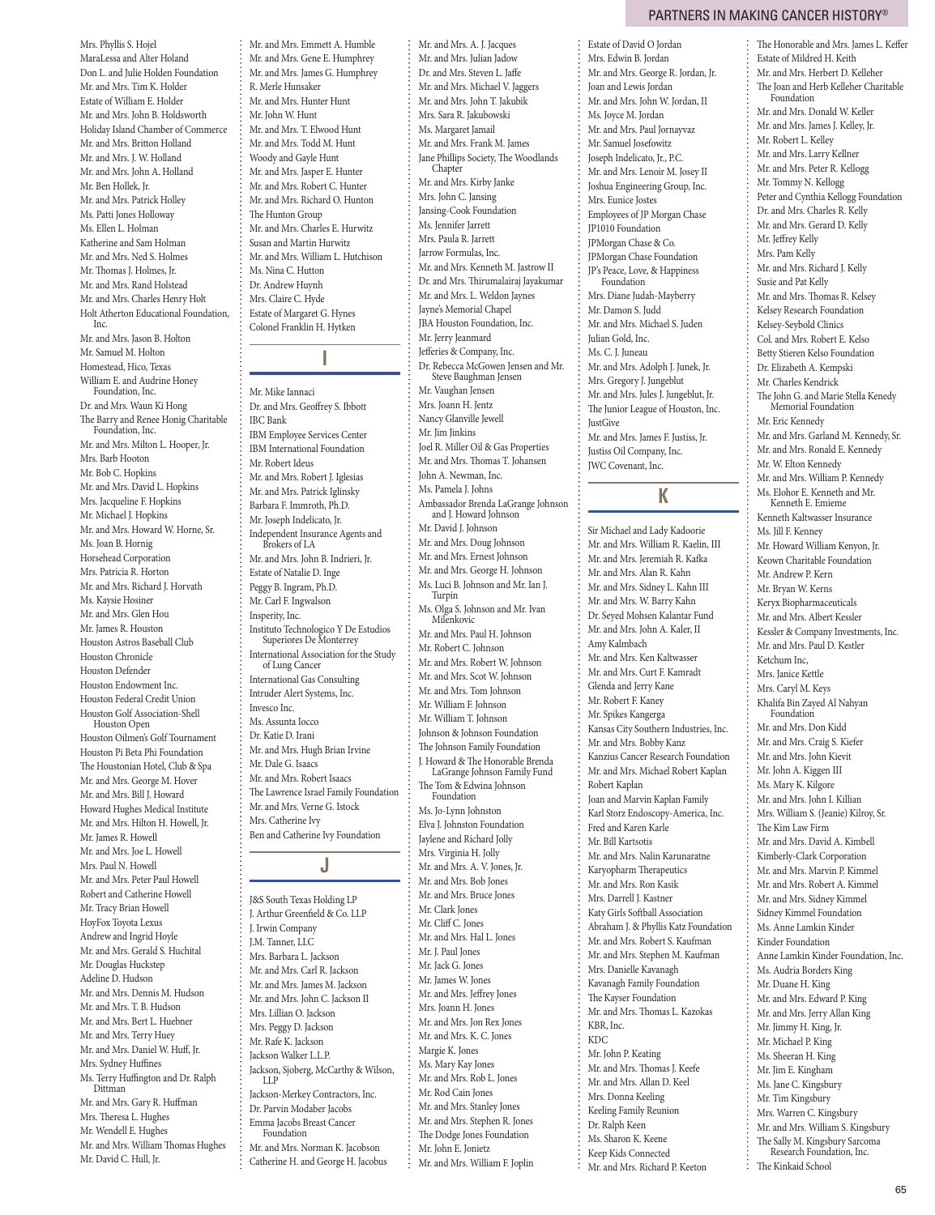Mrs. Phyllis S. Hojel MaraLessa and Alter Holand Don L. and Julie Holden Foundation Mr. and Mrs. Tim K. Holder Estate of William E. Holder Mr. and Mrs. John B. Holdsworth Holiday Island Chamber of Commerce Mr. and Mrs. Britton Holland Mr. and Mrs. J. W. Holland Mr. and Mrs. John A. Holland Mr. Ben Hollek, Jr. Mr. and Mrs. Patrick Holley Ms. Patti Jones Holloway Ms. Ellen L. Holman Katherine and Sam Holman Mr. and Mrs. Ned S. Holmes Mr. Thomas J. Holmes, Jr. Mr. and Mrs. Rand Holstead Mr. and Mrs. Charles Henry Holt Holt Atherton Educational Foundation, Inc.

Mr. and Mrs. Jason B. Holton Mr. Samuel M. Holton Homestead, Hico, Texas William E. and Audrine Honey Foundation, Inc. Dr. and Mrs. Waun Ki Hong The Barry and Renee Honig Charitable Foundation, Inc. Mr. and Mrs. Milton L. Hooper, Jr. Mrs. Barb Hooton Mr. Bob C. Hopkins Mr. and Mrs. David L. Hopkins Mrs. Jacqueline F. Hopkins Mr. Michael J. Hopkins Mr. and Mrs. Howard W. Horne, Sr. Ms. Joan B. Hornig Horsehead Corporation Mrs. Patricia R. Horton Mr. and Mrs. Richard J. Horvath Ms. Kaysie Hosiner Mr. and Mrs. Glen Hou Mr. James R. Houston Houston Astros Baseball Club Houston Chronicle Houston Defender Houston Endowment Inc. Houston Federal Credit Union Houston Golf Association-Shell Houston Open Houston Oilmen's Golf Tournament Houston Pi Beta Phi Foundation The Houstonian Hotel, Club & Spa Mr. and Mrs. George M. Hover Mr. and Mrs. Bill J. Howard Howard Hughes Medical Institute Mr. and Mrs. Hilton H. Howell, Jr. Mr. James R. Howell Mr. and Mrs. Joe L. Howell Mrs. Paul N. Howell Mr. and Mrs. Peter Paul Howell Robert and Catherine Howell Mr. Tracy Brian Howell HoyFox Toyota Lexus Andrew and Ingrid Hoyle Mr. and Mrs. Gerald S. Huchital Mr. Douglas Huckstep Adeline D. Hudson Mr. and Mrs. Dennis M. Hudson Mr. and Mrs. T. B. Hudson Mr. and Mrs. Bert L. Huebner Mr. and Mrs. Terry Huey Mr. and Mrs. Daniel W. Huff, Jr. Mrs. Sydney Huffines Ms. Terry Huffington and Dr. Ralph Dittman Mr. and Mrs. Gary R. Huffman Mrs. Theresa L. Hughes Mr. Wendell E. Hughes Mr. and Mrs. William Thomas Hughes

Mr. David C. Hull, Jr.

Mr. and Mrs. Emmett A. Humble Mr. and Mrs. Gene E. Humphrey Mr. and Mrs. James G. Humphrey R. Merle Hunsaker Mr. and Mrs. Hunter Hunt Mr. John W. Hunt Mr. and Mrs. T. Elwood Hunt Mr. and Mrs. Todd M. Hunt Woody and Gayle Hunt Mr. and Mrs. Jasper E. Hunter Mr. and Mrs. Robert C. Hunter Mr. and Mrs. Richard O. Hunton The Hunton Group Mr. and Mrs. Charles E. Hurwitz Susan and Martin Hurwitz Mr. and Mrs. William L. Hutchison Ms. Nina C. Hutton Dr. Andrew Huynh Mrs. Claire C. Hyde Estate of Margaret G. Hynes Colonel Franklin H. Hytken

**I**

Mr. Mike Iannaci Dr. and Mrs. Geoffrey S. Ibbott IBC Bank IBM Employee Services Center IBM International Foundation Mr. Robert Ideus Mr. and Mrs. Robert J. Iglesias Mr. and Mrs. Patrick Iglinsky Barbara F. Immroth, Ph.D. Mr. Joseph Indelicato, Jr. Independent Insurance Agents and Brokers of LA Mr. and Mrs. John B. Indrieri, Jr. Estate of Natalie D. Inge Peggy B. Ingram, Ph.D. Mr. Carl F. Ingwalson Insperity, Inc. Instituto Technologico Y De Estudios Superiores De Monterrey International Association for the Study of Lung Cancer International Gas Consulting Intruder Alert Systems, Inc. Invesco Inc. Ms. Assunta Iocco Dr. Katie D. Irani Mr. and Mrs. Hugh Brian Irvine Mr. Dale G. Isaacs Mr. and Mrs. Robert Isaacs The Lawrence Israel Family Foundation Mr. and Mrs. Verne G. Istock Mrs. Catherine Ivy Ben and Catherine Ivy Foundation **J**

J&S South Texas Holding LP J. Arthur Greenfield & Co. LLP J. Irwin Company J.M. Tanner, LLC Mrs. Barbara L. Jackson Mr. and Mrs. Carl R. Jackson Mr. and Mrs. James M. Jackson Mr. and Mrs. John C. Jackson II Mrs. Lillian O. Jackson Mrs. Peggy D. Jackson Mr. Rafe K. Jackson Jackson Walker L.L.P. Jackson, Sjoberg, McCarthy & Wilson, LLP Jackson-Merkey Contractors, Inc. Dr. Parvin Modaber Jacobs Emma Jacobs Breast Cancer Foundation Mr. and Mrs. Norman K. Jacobson

Catherine H. and George H. Jacobus

Mr. and Mrs. Julian Jadow Dr. and Mrs. Steven L. Jaffe Mr. and Mrs. Michael V. Jaggers Mr. and Mrs. John T. Jakubik Mrs. Sara R. Jakubowski Ms. Margaret Jamail Mr. and Mrs. Frank M. James Jane Phillips Society, The Woodlands Chapter Mr. and Mrs. Kirby Janke Mrs. John C. Jansing Jansing-Cook Foundation Ms. Jennifer Jarrett Mrs. Paula R. Jarrett Jarrow Formulas, Inc. Mr. and Mrs. Kenneth M. Jastrow II Dr. and Mrs. Thirumalairaj Jayakumar Mr. and Mrs. L. Weldon Jaynes Jayne's Memorial Chapel JBA Houston Foundation, Inc. Mr. Jerry Jeanmard Jefferies & Company, Inc. Dr. Rebecca McGowen Jensen and Mr. Steve Baughman Jensen Mr. Vaughan Jensen Mrs. Joann H. Jentz Nancy Glanville Jewell Mr. Jim Jinkins Joel R. Miller Oil & Gas Properties Mr. and Mrs. Thomas T. Johansen John A. Newman, Inc. Ms. Pamela J. Johns Ambassador Brenda LaGrange Johnson and J. Howard Johnson Mr. David J. Johnson Mr. and Mrs. Doug Johnson Mr. and Mrs. Ernest Johnson Mr. and Mrs. George H. Johnson Ms. Luci B. Johnson and Mr. Ian J. Turpin Ms. Olga S. Johnson and Mr. Ivan Milenkovic Mr. and Mrs. Paul H. Johnson Mr. Robert C. Johnson Mr. and Mrs. Robert W. Johnson Mr. and Mrs. Scot W. Johnson Mr. and Mrs. Tom Johnson Mr. William F. Johnson Mr. William T. Johnson Johnson & Johnson Foundation The Johnson Family Foundation J. Howard & The Honorable Brenda LaGrange Johnson Family Fund The Tom & Edwina Johnson Foundation Ms. Jo-Lynn Johnston Elva J. Johnston Foundation Jaylene and Richard Jolly Mrs. Virginia H. Jolly Mr. and Mrs. A. V. Jones, Jr. Mr. and Mrs. Bob Jones Mr. and Mrs. Bruce Jones Mr. Clark Jones Mr. Cliff C. Jones Mr. and Mrs. Hal L. Jones Mr. J. Paul Jones Mr. Jack G. Jones Mr. James W. Jones Mr. and Mrs. Jeffrey Jones Mrs. Joann H. Jones Mr. and Mrs. Jon Rex Jones Mr. and Mrs. K. C. Jones Margie K. Jones Ms. Mary Kay Jones Mr. and Mrs. Rob L. Jones Mr. Rod Cain Jones Mr. and Mrs. Stanley Jones Mr. and Mrs. Stephen R. Jones The Dodge Jones Foundation Mr. John E. Jonietz Mr. and Mrs. William F. Joplin

Mr. and Mrs. A. J. Jacques

Estate of David O Jordan Mrs. Edwin B. Jordan Mr. and Mrs. George R. Jordan, Jr. Joan and Lewis Jordan Mr. and Mrs. John W. Jordan, II Ms. Joyce M. Jordan Mr. and Mrs. Paul Jornayvaz Mr. Samuel Josefowitz Joseph Indelicato, Jr., P.C. Mr. and Mrs. Lenoir M. Josey II Joshua Engineering Group, Inc. Mrs. Eunice Jostes Employees of JP Morgan Chase JP1010 Foundation JPMorgan Chase & Co. JPMorgan Chase Foundation JP's Peace, Love, & Happiness Foundation Mrs. Diane Judah-Mayberry Mr. Damon S. Judd Mr. and Mrs. Michael S. Juden Julian Gold, Inc. Ms. C. J. Juneau Mr. and Mrs. Adolph J. Junek, Jr. Mrs. Gregory J. Jungeblut Mr. and Mrs. Jules J. Jungeblut, Jr. The Junior League of Houston, Inc. **JustGive** Mr. and Mrs. James F. Justiss, Jr. Justiss Oil Company, Inc. JWC Covenant, Inc.

### K  $\overline{\phantom{0}}$

Sir Michael and Lady Kadoorie Mr. and Mrs. William R. Kaelin, III Mr. and Mrs. Jeremiah R. Kafka Mr. and Mrs. Alan R. Kahn Mr. and Mrs. Sidney L. Kahn III Mr. and Mrs. W. Barry Kahn Dr. Seyed Mohsen Kalantar Fund Mr. and Mrs. John A. Kaler, II Amy Kalmbach Mr. and Mrs. Ken Kaltwasser Mr. and Mrs. Curt F. Kamradt Glenda and Jerry Kane Mr. Robert F. Kaney Mr. Spikes Kangerga Kansas City Southern Industries, Inc. Mr. and Mrs. Bobby Kanz Kanzius Cancer Research Foundation Mr. and Mrs. Michael Robert Kaplan Robert Kaplan Joan and Marvin Kaplan Family Karl Storz Endoscopy-America, Inc. Fred and Karen Karle Mr. Bill Kartsotis Mr. and Mrs. Nalin Karunaratne Karyopharm Therapeutics Mr. and Mrs. Ron Kasik Mrs. Darrell J. Kastner Katy Girls Softball Association Abraham J. & Phyllis Katz Foundation Mr. and Mrs. Robert S. Kaufman Mr. and Mrs. Stephen M. Kaufman Mrs. Danielle Kavanagh Kavanagh Family Foundation The Kayser Foundation Mr. and Mrs. Thomas L. Kazokas KBR, Inc. KDC Mr. John P. Keating Mr. and Mrs. Thomas J. Keefe Mr. and Mrs. Allan D. Keel Mrs. Donna Keeling Keeling Family Reunion Dr. Ralph Keen Ms. Sharon K. Keene Keep Kids Connected Mr. and Mrs. Richard P. Keeton

The Honorable and Mrs. James L. Keffer Estate of Mildred H. Keith Mr. and Mrs. Herbert D. Kelleher The Joan and Herb Kelleher Charitable Foundation Mr. and Mrs. Donald W. Keller Mr. and Mrs. James J. Kelley, Jr. Mr. Robert L. Kelley Mr. and Mrs. Larry Kellner Mr. and Mrs. Peter R. Kellogg Mr. Tommy N. Kellogg Peter and Cynthia Kellogg Foundation Dr. and Mrs. Charles R. Kelly Mr. and Mrs. Gerard D. Kelly Mr. Jeffrey Kelly Mrs. Pam Kelly Mr. and Mrs. Richard J. Kelly Susie and Pat Kelly Mr. and Mrs. Thomas R. Kelsey Kelsey Research Foundation Kelsey-Seybold Clinics Col. and Mrs. Robert E. Kelso Betty Stieren Kelso Foundation Dr. Elizabeth A. Kempski Mr. Charles Kendrick The John G. and Marie Stella Kenedy Memorial Foundation Mr. Eric Kennedy Mr. and Mrs. Garland M. Kennedy, Sr. Mr. and Mrs. Ronald E. Kennedy Mr. W. Elton Kennedy Mr. and Mrs. William P. Kennedy Ms. Elohor E. Kenneth and Mr. Kenneth E. Emieme Kenneth Kaltwasser Insurance

Ms. Jill F. Kenney Mr. Howard William Kenyon, Jr. Keown Charitable Foundation Mr. Andrew P. Kern Mr. Bryan W. Kerns Keryx Biopharmaceuticals Mr. and Mrs. Albert Kessler Kessler & Company Investments, Inc. Mr. and Mrs. Paul D. Kestler Ketchum Inc, Mrs. Janice Kettle Mrs. Caryl M. Keys Khalifa Bin Zayed Al Nahyan Foundation Mr. and Mrs. Don Kidd Mr. and Mrs. Craig S. Kiefer Mr. and Mrs. John Kievit Mr. John A. Kiggen III Ms. Mary K. Kilgore Mr. and Mrs. John I. Killian Mrs. William S. (Jeanie) Kilroy, Sr. The Kim Law Firm Mr. and Mrs. David A. Kimbell Kimberly-Clark Corporation Mr. and Mrs. Marvin P. Kimmel Mr. and Mrs. Robert A. Kimmel Mr. and Mrs. Sidney Kimmel Sidney Kimmel Foundation Ms. Anne Lamkin Kinder Kinder Foundation Anne Lamkin Kinder Foundation, Inc. Ms. Audria Borders King Mr. Duane H. King Mr. and Mrs. Edward P. King Mr. and Mrs. Jerry Allan King Mr. Jimmy H. King, Jr. Mr. Michael P. King Ms. Sheeran H. King Mr. Jim E. Kingham Ms. Jane C. Kingsbury Mr. Tim Kingsbury Mrs. Warren C. Kingsbury Mr. and Mrs. William S. Kingsbury The Sally M. Kingsbury Sarcoma Research Foundation, Inc.

65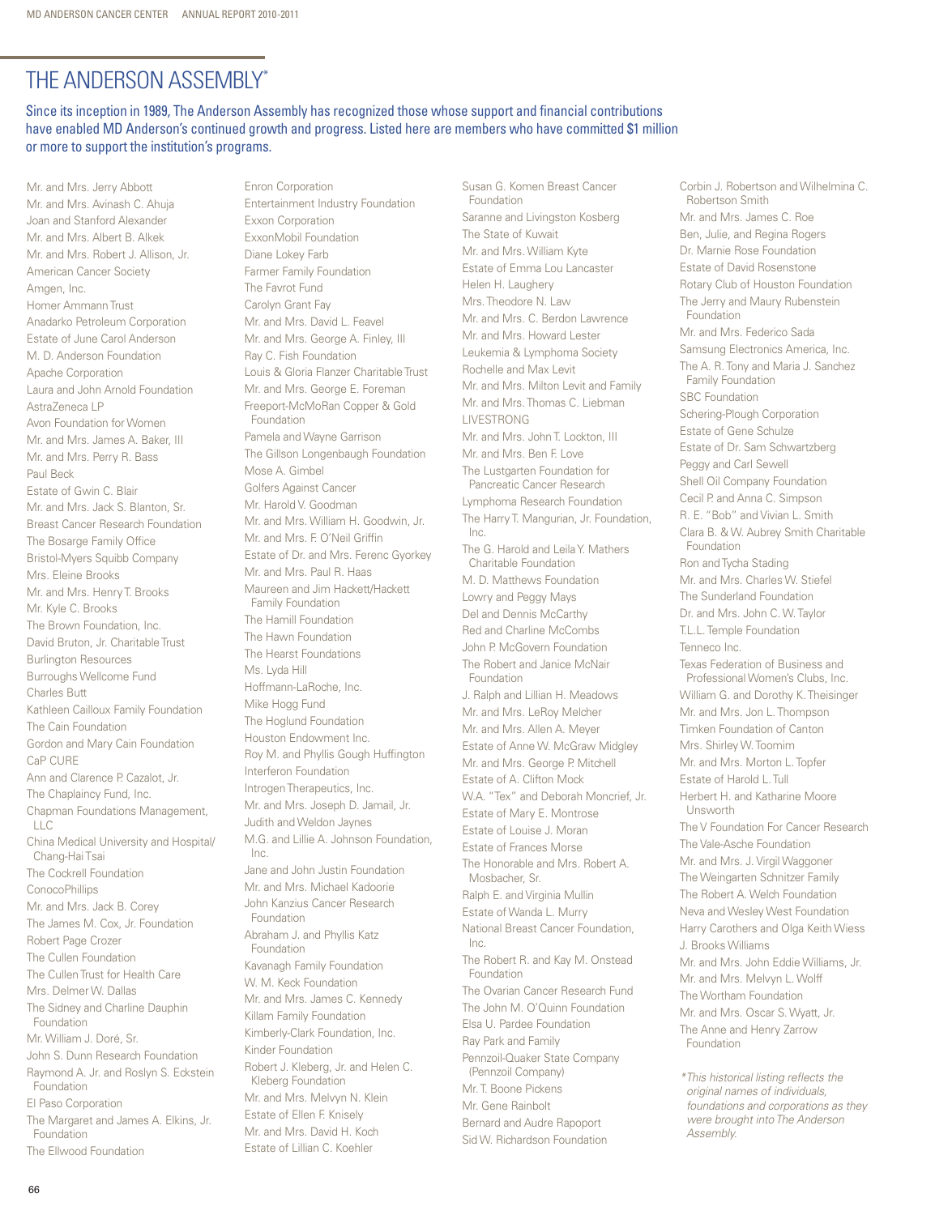# The Anderson Assembly\*

Since its inception in 1989, The Anderson Assembly has recognized those whose support and financial contributions have enabled MD Anderson's continued growth and progress. Listed here are members who have committed \$1 million or more to support the institution's programs.

Mr. and Mrs. Jerry Abbott Mr. and Mrs. Avinash C. Ahuja Joan and Stanford Alexander Mr. and Mrs. Albert B. Alkek Mr. and Mrs. Robert J. Allison, Jr. American Cancer Society Amgen, Inc. Homer Ammann Trust Anadarko Petroleum Corporation Estate of June Carol Anderson M. D. Anderson Foundation Apache Corporation Laura and John Arnold Foundation AstraZeneca LP Avon Foundation for Women Mr. and Mrs. James A. Baker, III Mr. and Mrs. Perry R. Bass Paul Beck Estate of Gwin C. Blair Mr. and Mrs. Jack S. Blanton, Sr. Breast Cancer Research Foundation The Bosarge Family Office Bristol-Myers Squibb Company Mrs. Eleine Brooks Mr. and Mrs. Henry T. Brooks Mr. Kyle C. Brooks The Brown Foundation, Inc. David Bruton, Jr. Charitable Trust Burlington Resources Burroughs Wellcome Fund Charles Butt Kathleen Cailloux Family Foundation The Cain Foundation Gordon and Mary Cain Foundation CaP CURE Ann and Clarence P. Cazalot, Jr. The Chaplaincy Fund, Inc. Chapman Foundations Management, LLC China Medical University and Hospital/ Chang-Hai Tsai The Cockrell Foundation **ConocoPhillips** Mr. and Mrs. Jack B. Corey The James M. Cox, Jr. Foundation Robert Page Crozer The Cullen Foundation The Cullen Trust for Health Care Mrs. Delmer W. Dallas The Sidney and Charline Dauphin Foundation Mr. William J. Doré, Sr. John S. Dunn Research Foundation Raymond A. Jr. and Roslyn S. Eckstein Foundation El Paso Corporation The Margaret and James A. Elkins, Jr. Foundation

Enron Corporation Entertainment Industry Foundation Exxon Corporation ExxonMobil Foundation Diane Lokey Farb Farmer Family Foundation The Favrot Fund Carolyn Grant Fay Mr. and Mrs. David L. Feavel Mr. and Mrs. George A. Finley, III Ray C. Fish Foundation Louis & Gloria Flanzer Charitable Trust Mr. and Mrs. George E. Foreman Freeport-McMoRan Copper & Gold Foundation Pamela and Wayne Garrison The Gillson Longenbaugh Foundation Mose A. Gimbel Golfers Against Cancer Mr. Harold V. Goodman Mr. and Mrs. William H. Goodwin, Jr. Mr. and Mrs. F. O'Neil Griffin Estate of Dr. and Mrs. Ferenc Gyorkey Mr. and Mrs. Paul R. Haas Maureen and Jim Hackett/Hackett Family Foundation The Hamill Foundation The Hawn Foundation The Hearst Foundations Ms. Lyda Hill Hoffmann-LaRoche, Inc. Mike Hogg Fund The Hoglund Foundation Houston Endowment Inc. Roy M. and Phyllis Gough Huffington Interferon Foundation Introgen Therapeutics, Inc. Mr. and Mrs. Joseph D. Jamail, Jr. Judith and Weldon Jaynes M.G. and Lillie A. Johnson Foundation, Inc. Jane and John Justin Foundation Mr. and Mrs. Michael Kadoorie John Kanzius Cancer Research Foundation Abraham J. and Phyllis Katz Foundation Kavanagh Family Foundation W. M. Keck Foundation Mr. and Mrs. James C. Kennedy Killam Family Foundation Kimberly-Clark Foundation, Inc. Kinder Foundation Robert J. Kleberg, Jr. and Helen C. Kleberg Foundation Mr. and Mrs. Melvyn N. Klein Estate of Ellen F. Knisely Mr. and Mrs. David H. Koch

Estate of Lillian C. Koehler

Foundation Saranne and Livingston Kosberg The State of Kuwait Mr. and Mrs. William Kyte Estate of Emma Lou Lancaster Helen H. Laughery Mrs. Theodore N. Law Mr. and Mrs. C. Berdon Lawrence Mr. and Mrs. Howard Lester Leukemia & Lymphoma Society Rochelle and Max Levit Mr. and Mrs. Milton Levit and Family Mr. and Mrs. Thomas C. Liebman LIVESTRONG Mr. and Mrs. John T. Lockton, III Mr. and Mrs. Ben F. Love The Lustgarten Foundation for Pancreatic Cancer Research Lymphoma Research Foundation The Harry T. Mangurian, Jr. Foundation, Inc. The G. Harold and Leila Y. Mathers Charitable Foundation M. D. Matthews Foundation Lowry and Peggy Mays Del and Dennis McCarthy Red and Charline McCombs John P. McGovern Foundation The Robert and Janice McNair Foundation J. Ralph and Lillian H. Meadows Mr. and Mrs. LeRoy Melcher Mr. and Mrs. Allen A. Meyer Estate of Anne W. McGraw Midgley Mr. and Mrs. George P. Mitchell Estate of A. Clifton Mock W.A. "Tex" and Deborah Moncrief, Jr. Estate of Mary E. Montrose Estate of Louise J. Moran Estate of Frances Morse The Honorable and Mrs. Robert A. Mosbacher, Sr. Ralph E. and Virginia Mullin Estate of Wanda L. Murry National Breast Cancer Foundation,  $Inc$ The Robert R. and Kay M. Onstead Foundation The Ovarian Cancer Research Fund The John M. O'Quinn Foundation Elsa U. Pardee Foundation Ray Park and Family Pennzoil-Quaker State Company (Pennzoil Company) Mr. T. Boone Pickens Mr. Gene Rainbolt Bernard and Audre Rapoport Sid W. Richardson Foundation

Susan G. Komen Breast Cancer

Corbin J. Robertson and Wilhelmina C. Robertson Smith Mr. and Mrs. James C. Roe Ben, Julie, and Regina Rogers Dr. Marnie Rose Foundation Estate of David Rosenstone Rotary Club of Houston Foundation The Jerry and Maury Rubenstein Foundation Mr. and Mrs. Federico Sada Samsung Electronics America, Inc. The A. R. Tony and Maria J. Sanchez Family Foundation SBC Foundation Schering-Plough Corporation Estate of Gene Schulze Estate of Dr. Sam Schwartzberg Peggy and Carl Sewell Shell Oil Company Foundation Cecil P. and Anna C. Simpson R. E. "Bob" and Vivian L. Smith Clara B. & W. Aubrey Smith Charitable Foundation Ron and Tycha Stading Mr. and Mrs. Charles W. Stiefel The Sunderland Foundation Dr. and Mrs. John C. W. Taylor T.L.L. Temple Foundation Tenneco Inc. Texas Federation of Business and Professional Women's Clubs, Inc. William G. and Dorothy K. Theisinger Mr. and Mrs. Jon L. Thompson Timken Foundation of Canton Mrs. Shirley W. Toomim Mr. and Mrs. Morton L. Topfer Estate of Harold L. Tull Herbert H. and Katharine Moore Unsworth The V Foundation For Cancer Research The Vale-Asche Foundation Mr. and Mrs. J. Virgil Waggoner The Weingarten Schnitzer Family The Robert A. Welch Foundation Neva and Wesley West Foundation Harry Carothers and Olga Keith Wiess J. Brooks Williams Mr. and Mrs. John Eddie Williams, Jr. Mr. and Mrs. Melvyn L. Wolff The Wortham Foundation Mr. and Mrs. Oscar S. Wyatt, Jr. The Anne and Henry Zarrow Foundation

*\*This historical listing reflects the original names of individuals, foundations and corporations as they were brought into The Anderson Assembly.* 

The Ellwood Foundation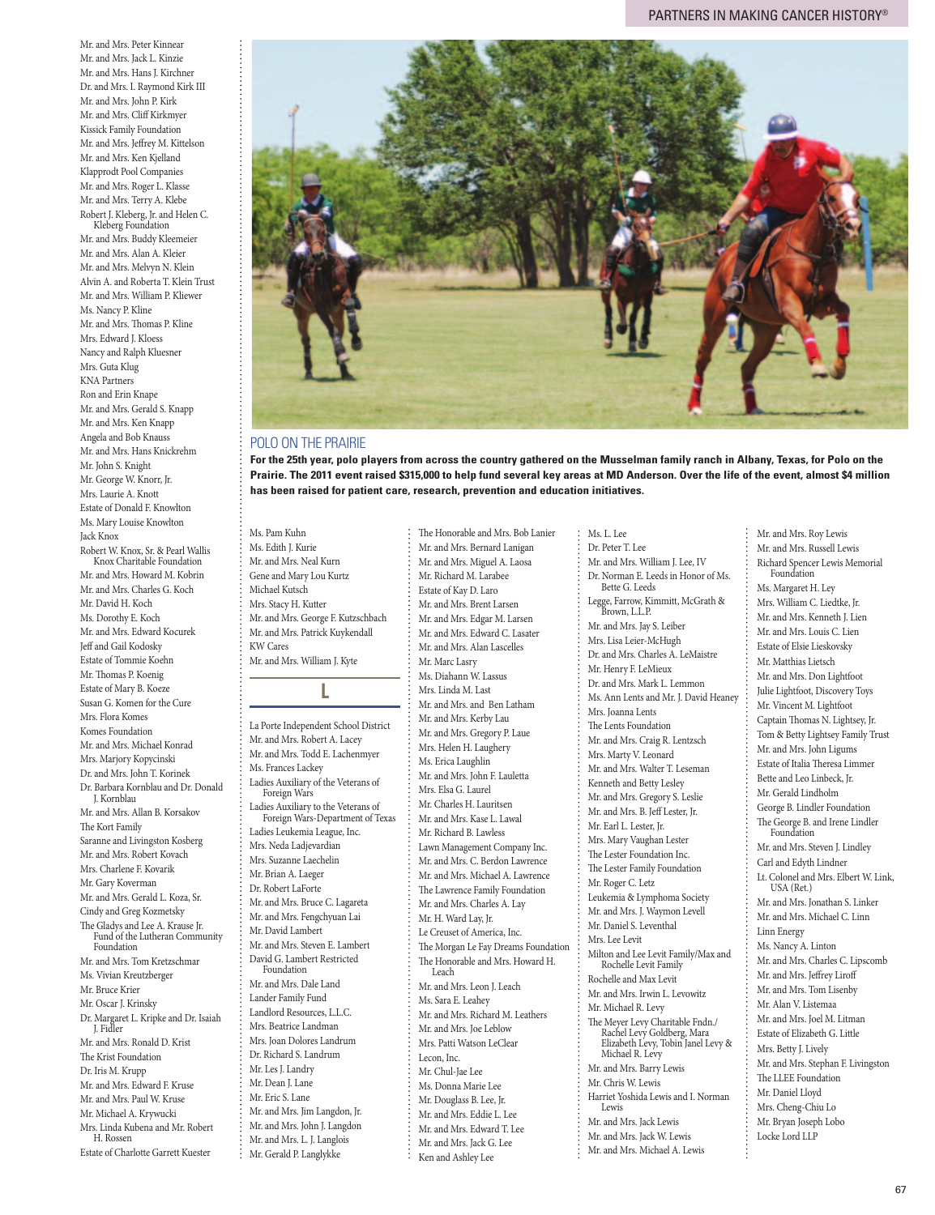Mr. and Mrs. Peter Kinnear Mr. and Mrs. Jack L. Kinzie Mr. and Mrs. Hans J. Kirchner Dr. and Mrs. I. Raymond Kirk III Mr. and Mrs. John P. Kirk Mr. and Mrs. Cliff Kirkmyer Kissick Family Foundation Mr. and Mrs. Jeffrey M. Kittelson Mr. and Mrs. Ken Kjelland Klapprodt Pool Companies Mr. and Mrs. Roger L. Klasse Mr. and Mrs. Terry A. Klebe

Robert J. Kleberg, Jr. and Helen C. Kleberg Foundation Mr. and Mrs. Buddy Kleemeier Mr. and Mrs. Alan A. Kleier Mr. and Mrs. Melvyn N. Klein Alvin A. and Roberta T. Klein Trust Mr. and Mrs. William P. Kliewer Ms. Nancy P. Kline Mr. and Mrs. Thomas P. Kline Mrs. Edward J. Kloess Nancy and Ralph Kluesner Mrs. Guta Klug KNA Partners Ron and Erin Knape Mr. and Mrs. Gerald S. Knapp Mr. and Mrs. Ken Knapp Angela and Bob Knauss Mr. and Mrs. Hans Knickrehm Mr. John S. Knight Mr. George W. Knorr, Jr. Mrs. Laurie A. Knott Estate of Donald F. Knowlton Ms. Mary Louise Knowlton Jack Knox Robert W. Knox, Sr. & Pearl Wallis Knox Charitable Foundation Mr. and Mrs. Howard M. Kobrin Mr. and Mrs. Charles G. Koch Mr. David H. Koch Ms. Dorothy E. Koch Mr. and Mrs. Edward Kocurek Jeff and Gail Kodosky Estate of Tommie Koehn Mr. Thomas P. Koenig Estate of Mary B. Koeze Susan G. Komen for the Cure Mrs. Flora Komes Komes Foundation Mr. and Mrs. Michael Konrad Mrs. Marjory Kopycinski Dr. and Mrs. John T. Korinek Dr. Barbara Kornblau and Dr. Donald J. Kornblau Mr. and Mrs. Allan B. Korsakov The Kort Family Saranne and Livingston Kosberg Mr. and Mrs. Robert Kovach Mrs. Charlene F. Kovarik Mr. Gary Koverman Mr. and Mrs. Gerald L. Koza, Sr. Cindy and Greg Kozmetsky The Gladys and Lee A. Krause Jr. Fund of the Lutheran Community Foundation Mr. and Mrs. Tom Kretzschmar Ms. Vivian Kreutzberger Mr. Bruce Krier Mr. Oscar J. Krinsky Dr. Margaret L. Kripke and Dr. Isaiah J. Fidler Mr. and Mrs. Ronald D. Krist The Krist Foundation Dr. Iris M. Krupp Mr. and Mrs. Edward F. Kruse Mr. and Mrs. Paul W. Kruse Mr. Michael A. Krywucki Mrs. Linda Kubena and Mr. Robert

H. Rossen

Estate of Charlotte Garrett Kuester



### POLO ON THE PRAIRIE

**For the 25th year, polo players from across the country gathered on the Musselman family ranch in Albany, Texas, for Polo on the Prairie. The 2011 event raised \$315,000 to help fund several key areas at MD Anderson. Over the life of the event, almost \$4 million has been raised for patient care, research, prevention and education initiatives.**

Ms. Pam Kuhn Ms. Edith J. Kurie Mr. and Mrs. Neal Kurn Gene and Mary Lou Kurtz Michael Kutsch Mrs. Stacy H. Kutter Mr. and Mrs. George F. Kutzschbach Mr. and Mrs. Patrick Kuykendall KW Cares Mr. and Mrs. William J. Kyte

**L**

La Porte Independent School District Mr. and Mrs. Robert A. Lacey Mr. and Mrs. Todd E. Lachenmyer Ms. Frances Lackey Ladies Auxiliary of the Veterans of Foreign Wars<br>Ladies Auxiliary to the Veterans of Ladies Auxiliary to the Veterans of Foreign Wars-Department of Texas Ladies Leukemia League, Inc. Mrs. Neda Ladjevardian Mrs. Suzanne Laechelin Mr. Brian A. Laeger Dr. Robert LaForte Mr. and Mrs. Bruce C. Lagareta Mr. and Mrs. Fengchyuan Lai Mr. David Lambert Mr. and Mrs. Steven E. Lambert David G. Lambert Restricted Foundation Mr. and Mrs. Dale Land Lander Family Fund Landlord Resources, L.L.C. Mrs. Beatrice Landman Mrs. Joan Dolores Landrum Dr. Richard S. Landrum Mr. Les J. Landry Mr. Dean J. Lane Mr. Eric S. Lane Mr. and Mrs. Jim Langdon, Jr. Mr. and Mrs. John J. Langdon Mr. and Mrs. L. J. Langlois

Mr. Gerald P. Langlykke

Mr. and Mrs. Miguel A. Laosa Mr. Richard M. Larabee Estate of Kay D. Laro Mr. and Mrs. Brent Larsen Mr. and Mrs. Edgar M. Larsen Mr. and Mrs. Edward C. Lasater Mr. and Mrs. Alan Lascelles Mr. Marc Lasry Ms. Diahann W. Lassus Mrs. Linda M. Last Mr. and Mrs. and Ben Latham Mr. and Mrs. Kerby Lau Mr. and Mrs. Gregory P. Laue Mrs. Helen H. Laughery Ms. Erica Laughlin Mr. and Mrs. John F. Lauletta Mrs. Elsa G. Laurel Mr. Charles H. Lauritsen Mr. and Mrs. Kase L. Lawal Mr. Richard B. Lawless Lawn Management Company Inc. Mr. and Mrs. C. Berdon Lawrence Mr. and Mrs. Michael A. Lawrence The Lawrence Family Foundation Mr. and Mrs. Charles A. Lay Mr. H. Ward Lay, Jr. Le Creuset of America, Inc. The Morgan Le Fay Dreams Foundation The Honorable and Mrs. Howard H. Leach Mr. and Mrs. Leon J. Leach Ms. Sara E. Leahey Mr. and Mrs. Richard M. Leathers Mr. and Mrs. Joe Leblow Mrs. Patti Watson LeClear Lecon, Inc. Mr. Chul-Jae Lee Ms. Donna Marie Lee Mr. Douglass B. Lee, Jr. Mr. and Mrs. Eddie L. Lee Mr. and Mrs. Edward T. Lee Mr. and Mrs. Jack G. Lee Ken and Ashley Lee

The Honorable and Mrs. Bob Lanier Mr. and Mrs. Bernard Lanigan

Ms. L. Lee Dr. Peter T. Lee Mr. and Mrs. William J. Lee, IV Dr. Norman E. Leeds in Honor of Ms. Bette G. Leeds Legge, Farrow, Kimmitt, McGrath & Brown, L.L.P. Mr. and Mrs. Jay S. Leiber Mrs. Lisa Leier-McHugh Dr. and Mrs. Charles A. LeMaistre Mr. Henry F. LeMieux Dr. and Mrs. Mark L. Lemmon Ms. Ann Lents and Mr. J. David Heaney Mrs. Joanna Lents The Lents Foundation Mr. and Mrs. Craig R. Lentzsch Mrs. Marty V. Leonard Mr. and Mrs. Walter T. Leseman Kenneth and Betty Lesley Mr. and Mrs. Gregory S. Leslie Mr. and Mrs. B. Jeff Lester, Jr. Mr. Earl L. Lester, Jr. Mrs. Mary Vaughan Lester The Lester Foundation Inc. The Lester Family Foundation Mr. Roger C. Letz Leukemia & Lymphoma Society Mr. and Mrs. J. Waymon Levell Mr. Daniel S. Leventhal Mrs. Lee Levit Milton and Lee Levit Family/Max and Rochelle Levit Family Rochelle and Max Levit Mr. and Mrs. Irwin L. Levowitz Mr. Michael R. Levy The Meyer Levy Charitable Fndn./ Rachel Levy Goldberg, Mara Elizabeth Levy, Tobin Janel Levy & Michael R. Levy Mr. and Mrs. Barry Lewis Mr. Chris W. Lewis Harriet Yoshida Lewis and I. Norman Lewis Mr. and Mrs. Jack Lewis Mr. and Mrs. Jack W. Lewis Mr. and Mrs. Michael A. Lewis

Mr. and Mrs. Roy Lewis Mr. and Mrs. Russell Lewis Richard Spencer Lewis Memorial Foundation Ms. Margaret H. Ley Mrs. William C. Liedtke, Jr. Mr. and Mrs. Kenneth J. Lien Mr. and Mrs. Louis C. Lien Estate of Elsie Lieskovsky Mr. Matthias Lietsch Mr. and Mrs. Don Lightfoot Julie Lightfoot, Discovery Toys Mr. Vincent M. Lightfoot Captain Thomas N. Lightsey, Jr. Tom & Betty Lightsey Family Trust Mr. and Mrs. John Ligums Estate of Italia Theresa Limmer Bette and Leo Linbeck, Jr. Mr. Gerald Lindholm George B. Lindler Foundation The George B. and Irene Lindler Foundation Mr. and Mrs. Steven J. Lindley Carl and Edyth Lindner Lt. Colonel and Mrs. Elbert W. Link, USA (Ret.) Mr. and Mrs. Jonathan S. Linker Mr. and Mrs. Michael C. Linn Linn Energy Ms. Nancy A. Linton Mr. and Mrs. Charles C. Lipscomb Mr. and Mrs. Jeffrey Liroff Mr. and Mrs. Tom Lisenby Mr. Alan V. Listemaa Mr. and Mrs. Joel M. Litman Estate of Elizabeth G. Little Mrs. Betty J. Lively Mr. and Mrs. Stephan F. Livingston The LLEE Foundation Mr. Daniel Lloyd Mrs. Cheng-Chiu Lo Mr. Bryan Joseph Lobo Locke Lord LLP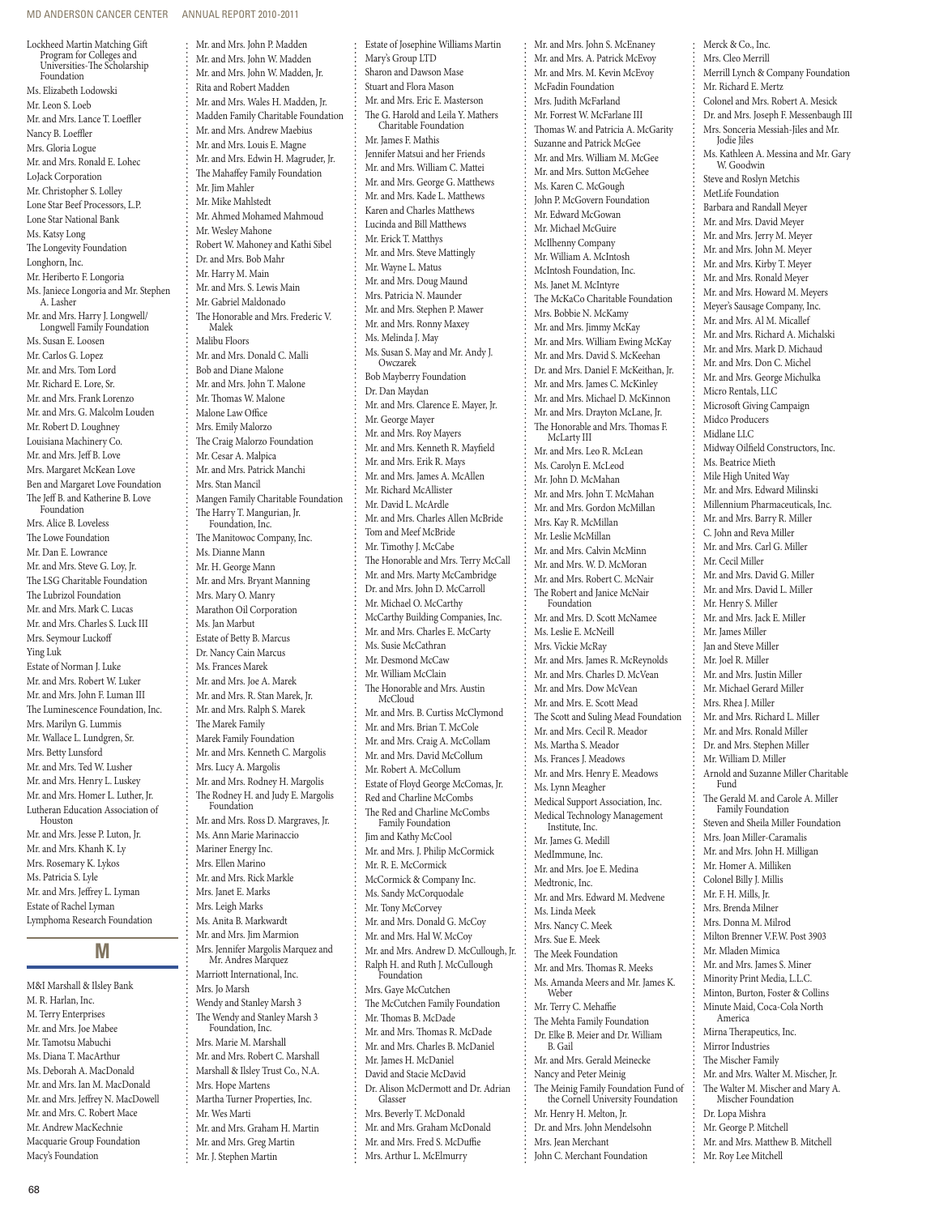### MD ANDERSON CANCER CENTER ANNUAL REPORT 2010-2011

Mr. and Mrs. John P. Madden

Lockheed Martin Matching Gift Program for Colleges and Universities-The Scholarship Foundation Ms. Elizabeth Lodowski Mr. Leon S. Loeb Mr. and Mrs. Lance T. Loeffler Nancy B. Loeffler Mrs. Gloria Logue Mr. and Mrs. Ronald E. Lohec LoJack Corporation Mr. Christopher S. Lolley Lone Star Beef Processors, L.P. Lone Star National Bank Ms. Katsy Long The Longevity Foundation Longhorn, Inc. Mr. Heriberto F. Longoria Ms. Janiece Longoria and Mr. Stephen A. Lasher Mr. and Mrs. Harry J. Longwell/ Longwell Family Foundation Ms. Susan E. Loosen Mr. Carlos G. Lopez Mr. and Mrs. Tom Lord Mr. Richard E. Lore, Sr. Mr. and Mrs. Frank Lorenzo Mr. and Mrs. G. Malcolm Louden Mr. Robert D. Loughney Louisiana Machinery Co. Mr. and Mrs. Jeff B. Love Mrs. Margaret McKean Love Ben and Margaret Love Foundation The Jeff B. and Katherine B. Love Foundation Mrs. Alice B. Loveless The Lowe Foundation Mr. Dan E. Lowrance Mr. and Mrs. Steve G. Loy, Jr. The LSG Charitable Foundation The Lubrizol Foundation Mr. and Mrs. Mark C. Lucas Mr. and Mrs. Charles S. Luck III Mrs. Seymour Luckoff Ying Luk Estate of Norman J. Luke Mr. and Mrs. Robert W. Luker Mr. and Mrs. John F. Luman III The Luminescence Foundation, Inc. Mrs. Marilyn G. Lummis Mr. Wallace L. Lundgren, Sr. Mrs. Betty Lunsford Mr. and Mrs. Ted W. Lusher Mr. and Mrs. Henry L. Luskey Mr. and Mrs. Homer L. Luther, Jr. Lutheran Education Association of Houston Mr. and Mrs. Jesse P. Luton, Jr. Mr. and Mrs. Khanh K. Ly Mrs. Rosemary K. Lykos Ms. Patricia S. Lyle Mr. and Mrs. Jeffrey L. Lyman Estate of Rachel Lyman Lymphoma Research Foundation **M** M&I Marshall & Ilsley Bank M. R. Harlan, Inc.

M. Terry Enterprises Mr. and Mrs. Joe Mabee Mr. Tamotsu Mabuchi Ms. Diana T. MacArthur Ms. Deborah A. MacDonald Mr. and Mrs. Ian M. MacDonald Mr. and Mrs. Jeffrey N. MacDowell Mr. and Mrs. C. Robert Mace Mr. Andrew MacKechnie Macquarie Group Foundation Macy's Foundation

Mr. and Mrs. John W. Madden Mr. and Mrs. John W. Madden, Jr. Rita and Robert Madden Mr. and Mrs. Wales H. Madden, Jr. Madden Family Charitable Foundation Mr. and Mrs. Andrew Maebius Mr. and Mrs. Louis E. Magne Mr. and Mrs. Edwin H. Magruder, Jr. The Mahaffey Family Foundation Mr. Jim Mahler Mr. Mike Mahlstedt Mr. Ahmed Mohamed Mahmoud Mr. Wesley Mahone Robert W. Mahoney and Kathi Sibel Dr. and Mrs. Bob Mahr Mr. Harry M. Main Mr. and Mrs. S. Lewis Main Mr. Gabriel Maldonado The Honorable and Mrs. Frederic V. Malek Malibu Floors Mr. and Mrs. Donald C. Malli Bob and Diane Malone Mr. and Mrs. John T. Malone Mr. Thomas W. Malone Malone Law Office Mrs. Emily Malorzo The Craig Malorzo Foundation Mr. Cesar A. Malpica Mr. and Mrs. Patrick Manchi Mrs. Stan Mancil Mangen Family Charitable Foundation The Harry T. Mangurian, Jr. Foundation, Inc. The Manitowoc Company, Inc. Ms. Dianne Mann Mr. H. George Mann Mr. and Mrs. Bryant Manning Mrs. Mary O. Manry Marathon Oil Corporation Ms. Jan Marbut Estate of Betty B. Marcus Dr. Nancy Cain Marcus Ms. Frances Marek Mr. and Mrs. Joe A. Marek Mr. and Mrs. R. Stan Marek, Jr. Mr. and Mrs. Ralph S. Marek The Marek Family Marek Family Foundation Mr. and Mrs. Kenneth C. Margolis Mrs. Lucy A. Margolis Mr. and Mrs. Rodney H. Margolis The Rodney H. and Judy E. Margolis Foundation Mr. and Mrs. Ross D. Margraves, Jr. Ms. Ann Marie Marinaccio Mariner Energy Inc. Mrs. Ellen Marino Mr. and Mrs. Rick Markle Mrs. Janet E. Marks Mrs. Leigh Marks Ms. Anita B. Markwardt Mr. and Mrs. Jim Marmion Mrs. Jennifer Margolis Marquez and Mr. Andres Marquez Marriott International, Inc. Mrs. Jo Marsh Wendy and Stanley Marsh 3 The Wendy and Stanley Marsh 3 Foundation, Inc. Mrs. Marie M. Marshall Mr. and Mrs. Robert C. Marshall Marshall & Ilsley Trust Co., N.A. Mrs. Hope Martens Martha Turner Properties, Inc. Mr. Wes Marti Mr. and Mrs. Graham H. Martin Mr. and Mrs. Greg Martin Mr. J. Stephen Martin

Estate of Josephine Williams Martin Mary's Group LTD Sharon and Dawson Mase Stuart and Flora Mason Mr. and Mrs. Eric E. Masterson The G. Harold and Leila Y. Mathers Charitable Foundation Mr. James F. Mathis Jennifer Matsui and her Friends Mr. and Mrs. William C. Mattei Mr. and Mrs. George G. Matthews Mr. and Mrs. Kade L. Matthews Karen and Charles Matthews Lucinda and Bill Matthews Mr. Erick T. Matthys Mr. and Mrs. Steve Mattingly Mr. Wayne L. Matus Mr. and Mrs. Doug Maund Mrs. Patricia N. Maunder Mr. and Mrs. Stephen P. Mawer Mr. and Mrs. Ronny Maxey Ms. Melinda J. May Ms. Susan S. May and Mr. Andy J. Owczarek Bob Mayberry Foundation Dr. Dan Maydan Mr. and Mrs. Clarence E. Mayer, Jr. Mr. George Mayer Mr. and Mrs. Roy Mayers Mr. and Mrs. Kenneth R. Mayfield Mr. and Mrs. Erik R. Mays Mr. and Mrs. James A. McAllen Mr. Richard McAllister Mr. David L. McArdle Mr. and Mrs. Charles Allen McBride Tom and Meef McBride Mr. Timothy J. McCabe The Honorable and Mrs. Terry McCall Mr. and Mrs. Marty McCambridge Dr. and Mrs. John D. McCarroll Mr. Michael O. McCarthy McCarthy Building Companies, Inc. Mr. and Mrs. Charles E. McCarty Ms. Susie McCathran Mr. Desmond McCaw Mr. William McClain The Honorable and Mrs. Austin McCloud Mr. and Mrs. B. Curtiss McClymond Mr. and Mrs. Brian T. McCole Mr. and Mrs. Craig A. McCollam Mr. and Mrs. David McCollum Mr. Robert A. McCollum Estate of Floyd George McComas, Jr. Red and Charline McCombs The Red and Charline McCombs Family Foundation Jim and Kathy McCool Mr. and Mrs. J. Philip McCormick Mr. R. E. McCormick McCormick & Company Inc. Ms. Sandy McCorquodale Mr. Tony McCorvey Mr. and Mrs. Donald G. McCoy Mr. and Mrs. Hal W. McCoy Mr. and Mrs. Andrew D. McCullough, Jr. Ralph H. and Ruth J. McCullough Foundation Mrs. Gaye McCutchen The McCutchen Family Foundation Mr. Thomas B. McDade Mr. and Mrs. Thomas R. McDade Mr. and Mrs. Charles B. McDaniel Mr. James H. McDaniel David and Stacie McDavid Dr. Alison McDermott and Dr. Adrian Glasser Mrs. Beverly T. McDonald Mr. and Mrs. Graham McDonald Mr. and Mrs. Fred S. McDuffie Mrs. Arthur L. McElmurry

Mr. and Mrs. John S. McEnaney Mr. and Mrs. A. Patrick McEvoy Mr. and Mrs. M. Kevin McEvoy McFadin Foundation Mrs. Judith McFarland Mr. Forrest W. McFarlane III Thomas W. and Patricia A. McGarity Suzanne and Patrick McGee Mr. and Mrs. William M. McGee Mr. and Mrs. Sutton McGehee Ms. Karen C. McGough John P. McGovern Foundation Mr. Edward McGowan Mr. Michael McGuire McIlhenny Company Mr. William A. McIntosh McIntosh Foundation, Inc. Ms. Janet M. McIntyre The McKaCo Charitable Foundation Mrs. Bobbie N. McKamy Mr. and Mrs. Jimmy McKay Mr. and Mrs. William Ewing McKay Mr. and Mrs. David S. McKeehan Dr. and Mrs. Daniel F. McKeithan, Jr. Mr. and Mrs. James C. McKinley Mr. and Mrs. Michael D. McKinnon Mr. and Mrs. Drayton McLane, Jr. The Honorable and Mrs. Thomas F. McLarty III Mr. and Mrs. Leo R. McLean Ms. Carolyn E. McLeod Mr. John D. McMahan Mr. and Mrs. John T. McMahan Mr. and Mrs. Gordon McMillan Mrs. Kay R. McMillan Mr. Leslie McMillan Mr. and Mrs. Calvin McMinn Mr. and Mrs. W. D. McMoran Mr. and Mrs. Robert C. McNair The Robert and Janice McNair Foundation Mr. and Mrs. D. Scott McNamee Ms. Leslie E. McNeill Mrs. Vickie McRay Mr. and Mrs. James R. McReynolds Mr. and Mrs. Charles D. McVean Mr. and Mrs. Dow McVean Mr. and Mrs. E. Scott Mead The Scott and Suling Mead Foundation Mr. and Mrs. Cecil R. Meador Ms. Martha S. Meador Ms. Frances J. Meadows Mr. and Mrs. Henry E. Meadows Ms. Lynn Meagher Medical Support Association, Inc. Medical Technology Management Institute, Inc. Mr. James G. Medill MedImmune, Inc. Mr. and Mrs. Joe E. Medina Medtronic, Inc. Mr. and Mrs. Edward M. Medvene Ms. Linda Meek Mrs. Nancy C. Meek Mrs. Sue E. Meek The Meek Foundation Mr. and Mrs. Thomas R. Meeks Ms. Amanda Meers and Mr. James K. Weber Mr. Terry C. Mehaffie The Mehta Family Foundation Dr. Elke B. Meier and Dr. William B. Gail Mr. and Mrs. Gerald Meinecke Nancy and Peter Meinig The Meinig Family Foundation Fund of the Cornell University Foundation Mr. Henry H. Melton, Jr. Dr. and Mrs. John Mendelsohn Mrs. Jean Merchant John C. Merchant Foundation

Merck & Co., Inc. Mrs. Cleo Merrill Merrill Lynch & Company Foundation Mr. Richard E. Mertz Colonel and Mrs. Robert A. Mesick Dr. and Mrs. Joseph F. Messenbaugh III Mrs. Sonceria Messiah-Jiles and Mr. Jodie Jiles Ms. Kathleen A. Messina and Mr. Gary W. Goodwin Steve and Roslyn Metchis MetLife Foundation Barbara and Randall Meyer Mr. and Mrs. David Meyer Mr. and Mrs. Jerry M. Meyer Mr. and Mrs. John M. Meyer Mr. and Mrs. Kirby T. Meyer Mr. and Mrs. Ronald Meyer Mr. and Mrs. Howard M. Meyers Meyer's Sausage Company, Inc. Mr. and Mrs. Al M. Micallef Mr. and Mrs. Richard A. Michalski Mr. and Mrs. Mark D. Michaud Mr. and Mrs. Don C. Michel Mr. and Mrs. George Michulka Micro Rentals, LLC Microsoft Giving Campaign Midco Producers Midlane LLC Midway Oilfield Constructors, Inc. Ms. Beatrice Mieth Mile High United Way Mr. and Mrs. Edward Milinski Millennium Pharmaceuticals, Inc. Mr. and Mrs. Barry R. Miller C. John and Reva Miller Mr. and Mrs. Carl G. Miller Mr. Cecil Miller Mr. and Mrs. David G. Miller Mr. and Mrs. David L. Miller Mr. Henry S. Miller Mr. and Mrs. Jack E. Miller Mr. James Miller Jan and Steve Miller Mr. Joel R. Miller Mr. and Mrs. Justin Miller Mr. Michael Gerard Miller Mrs. Rhea J. Miller Mr. and Mrs. Richard L. Miller Mr. and Mrs. Ronald Miller Dr. and Mrs. Stephen Miller Mr. William D. Miller Arnold and Suzanne Miller Charitable Fund The Gerald M. and Carole A. Miller Family Foundation Steven and Sheila Miller Foundation Mrs. Joan Miller-Caramalis Mr. and Mrs. John H. Milligan Mr. Homer A. Milliken Colonel Billy J. Millis Mr. F. H. Mills, Jr. Mrs. Brenda Milner Mrs. Donna M. Milrod Milton Brenner V.F.W. Post 3903 Mr. Mladen Mimica Mr. and Mrs. James S. Miner Minority Print Media, L.L.C. Minton, Burton, Foster & Collins Minute Maid, Coca-Cola North America Mirna Therapeutics, Inc. Mirror Industries The Mischer Family Mr. and Mrs. Walter M. Mischer, Jr. The Walter M. Mischer and Mary A. Mischer Foundation Dr. Lopa Mishra Mr. George P. Mitchell Mr. and Mrs. Matthew B. Mitchell Mr. Roy Lee Mitchell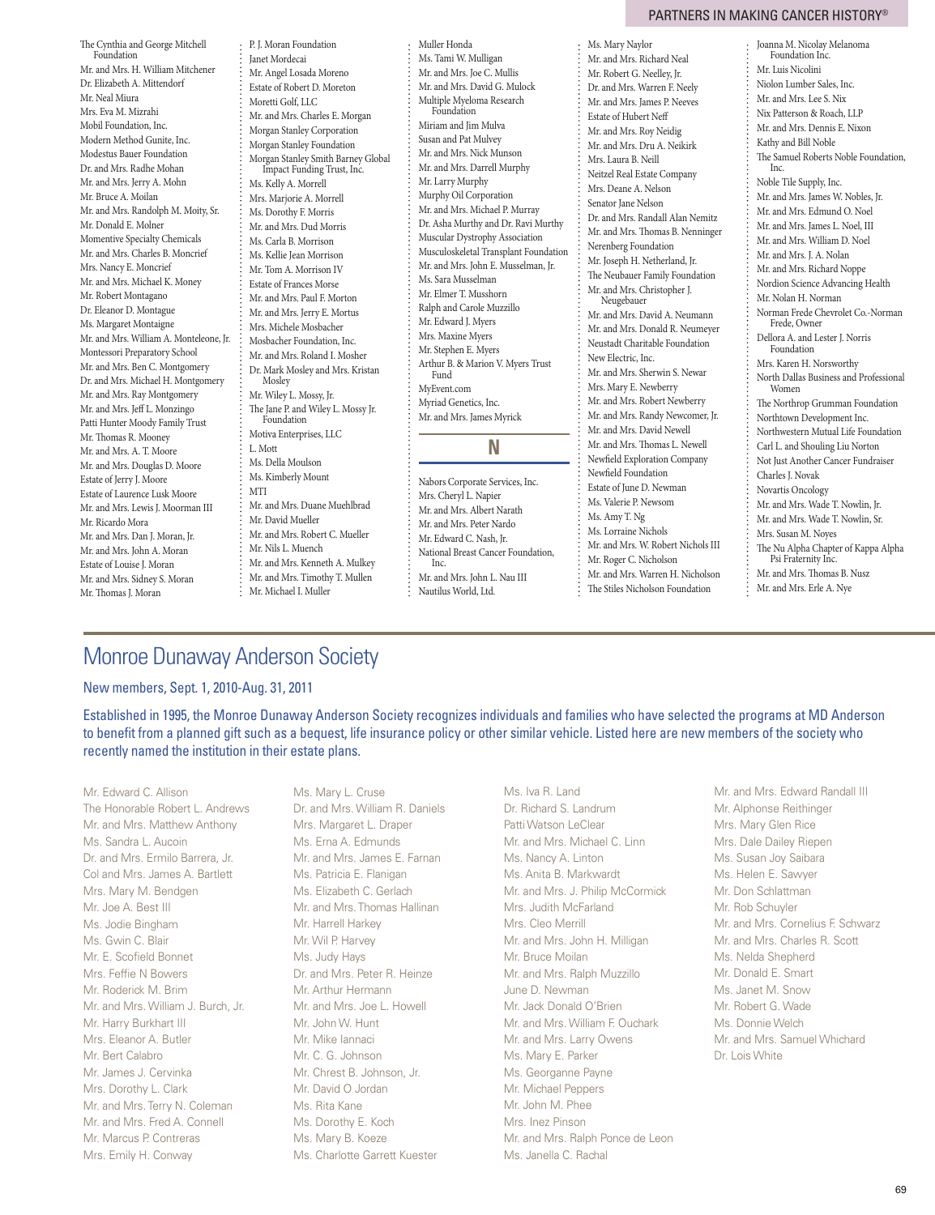The Cynthia and George Mitchell Foundation Mr. and Mrs. H. William Mitchener Dr. Elizabeth A. Mittendorf Mr. Neal Miura Mrs. Eva M. Mizrahi Mobil Foundation, Inc. Modern Method Gunite, Inc. Modestus Bauer Foundation Dr. and Mrs. Radhe Mohan Mr. and Mrs. Jerry A. Mohn Mr. Bruce A. Moilan Mr. and Mrs. Randolph M. Moity, Sr. Mr. Donald E. Molner Momentive Specialty Chemicals Mr. and Mrs. Charles B. Moncrief Mrs. Nancy E. Moncrief Mr. and Mrs. Michael K. Money Mr. Robert Montagano Dr. Eleanor D. Montague Ms. Margaret Montaigne Mr. and Mrs. William A. Monteleone, Jr. Montessori Preparatory School Mr. and Mrs. Ben C. Montgomery Dr. and Mrs. Michael H. Montgomery Mr. and Mrs. Ray Montgomery Mr. and Mrs. Jeff L. Monzingo Patti Hunter Moody Family Trust Mr. Thomas R. Mooney Mr. and Mrs. A. T. Moore Mr. and Mrs. Douglas D. Moore Estate of Jerry J. Moore Estate of Laurence Lusk Moore Mr. and Mrs. Lewis J. Moorman III Mr. Ricardo Mora Mr. and Mrs. Dan J. Moran, Jr. Mr. and Mrs. John A. Moran Estate of Louise J. Moran Mr. and Mrs. Sidney S. Moran Mr. Thomas J. Moran

P. J. Moran Foundation Janet Mordecai Mr. Angel Losada Moreno Estate of Robert D. Moreton Moretti Golf, LLC Mr. and Mrs. Charles E. Morgan Morgan Stanley Corporation Morgan Stanley Foundation Morgan Stanley Smith Barney Global Impact Funding Trust, Inc. Ms. Kelly A. Morrell Mrs. Marjorie A. Morrell Ms. Dorothy F. Morris Mr. and Mrs. Dud Morris Ms. Carla B. Morrison Ms. Kellie Jean Morrison Mr. Tom A. Morrison IV Estate of Frances Morse Mr. and Mrs. Paul F. Morton Mr. and Mrs. Jerry E. Mortus Mrs. Michele Mosbacher Mosbacher Foundation, Inc. Mr. and Mrs. Roland I. Mosher Dr. Mark Mosley and Mrs. Kristan Mosley Mr. Wiley L. Mossy, Jr. The Jane P. and Wiley L. Mossy Jr. Foundation Motiva Enterprises, LLC L. Mott Ms. Della Moulson Ms. Kimberly Mount MTI Mr. and Mrs. Duane Muehlbrad Mr. David Mueller Mr. and Mrs. Robert C. Mueller Mr. Nils L. Muench Mr. and Mrs. Kenneth A. Mulkey Mr. and Mrs. Timothy T. Mullen Mr. Michael I. Muller

Muller Honda Ms. Tami W. Mulligan Mr. and Mrs. Joe C. Mullis Mr. and Mrs. David G. Mulock Multiple Myeloma Research Foundation Miriam and Jim Mulva Susan and Pat Mulvey Mr. and Mrs. Nick Munson Mr. and Mrs. Darrell Murphy Mr. Larry Murphy Murphy Oil Corporation Mr. and Mrs. Michael P. Murray Dr. Asha Murthy and Dr. Ravi Murthy Muscular Dystrophy Association Musculoskeletal Transplant Foundation Mr. and Mrs. John E. Musselman, Jr. Ms. Sara Musselman Mr. Elmer T. Musshorn Ralph and Carole Muzzillo Mr. Edward J. Myers Mrs. Maxine Myers Mr. Stephen E. Myers Arthur B. & Marion V. Myers Trust Fund MyEvent.com Myriad Genetics, Inc. Mr. and Mrs. James Myrick **N** Nabors Corporate Services, Inc. Mrs. Cheryl L. Napier Mr. and Mrs. Albert Narath Mr. and Mrs. Peter Nardo Mr. Edward C. Nash, Jr. National Breast Cancer Foundation, Inc.

Mr. Robert G. Neelley, Jr. Dr. and Mrs. Warren F. Neely Mr. and Mrs. James P. Neeves Estate of Hubert Neff Mr. and Mrs. Roy Neidig Mr. and Mrs. Dru A. Neikirk Mrs. Laura B. Neill Neitzel Real Estate Company Mrs. Deane A. Nelson Senator Jane Nelson Dr. and Mrs. Randall Alan Nemitz Mr. and Mrs. Thomas B. Nenninger Nerenberg Foundation Mr. Joseph H. Netherland, Jr. The Neubauer Family Foundation Mr. and Mrs. Christopher J. Neugebauer Mr. and Mrs. David A. Neumann Mr. and Mrs. Donald R. Neumeyer Neustadt Charitable Foundation New Electric, Inc. Mr. and Mrs. Sherwin S. Newar Mrs. Mary E. Newberry Mr. and Mrs. Robert Newberry Mr. and Mrs. Randy Newcomer, Jr. Mr. and Mrs. David Newell Mr. and Mrs. Thomas L. Newell Newfield Exploration Company Newfield Foundation Estate of June D. Newman Ms. Valerie P. Newsom Ms. Amy T. Ng Ms. Lorraine Nichols Mr. and Mrs. W. Robert Nichols III Mr. Roger C. Nicholson Mr. and Mrs. Warren H. Nicholson The Stiles Nicholson Foundation

Ms. Mary Naylor Mr. and Mrs. Richard Neal

Joanna M. Nicolay Melanoma Foundation Inc. Mr. Luis Nicolini Niolon Lumber Sales, Inc. Mr. and Mrs. Lee S. Nix Nix Patterson & Roach, LLP Mr. and Mrs. Dennis E. Nixon Kathy and Bill Noble The Samuel Roberts Noble Foundation, Inc. Noble Tile Supply, Inc. Mr. and Mrs. James W. Nobles, Jr. Mr. and Mrs. Edmund O. Noel Mr. and Mrs. James L. Noel, III Mr. and Mrs. William D. Noel Mr. and Mrs. J. A. Nolan Mr. and Mrs. Richard Noppe Nordion Science Advancing Health Mr. Nolan H. Norman Norman Frede Chevrolet Co.-Norman Frede, Owner Dellora A. and Lester J. Norris Foundation Mrs. Karen H. Norsworthy North Dallas Business and Professional Women The Northrop Grumman Foundation Northtown Development Inc. Northwestern Mutual Life Foundation Carl L. and Shouling Liu Norton Not Just Another Cancer Fundraiser Charles J. Novak Novartis Oncology Mr. and Mrs. Wade T. Nowlin, Jr. Mr. and Mrs. Wade T. Nowlin, Sr. Mrs. Susan M. Noyes The Nu Alpha Chapter of Kappa Alpha Psi Fraternity Inc. Mr. and Mrs. Thomas B. Nusz Mr. and Mrs. Erle A. Nye

# Monroe Dunaway Anderson Society

## New members, Sept. 1, 2010-Aug. 31, 2011

Established in 1995, the Monroe Dunaway Anderson Society recognizes individuals and families who have selected the programs at MD Anderson to benefit from a planned gift such as a bequest, life insurance policy or other similar vehicle. Listed here are new members of the society who recently named the institution in their estate plans.

Mr. Edward C. Allison The Honorable Robert L. Andrews Mr. and Mrs. Matthew Anthony Ms. Sandra L. Aucoin Dr. and Mrs. Ermilo Barrera, Jr. Col and Mrs. James A. Bartlett Mrs. Mary M. Bendgen Mr. Joe A. Best III Ms. Jodie Bingham Ms. Gwin C. Blair Mr. E. Scofield Bonnet Mrs. Feffie N Bowers Mr. Roderick M. Brim Mr. and Mrs. William J. Burch, Jr. Mr. Harry Burkhart III Mrs. Eleanor A. Butler Mr. Bert Calabro Mr. James J. Cervinka Mrs. Dorothy L. Clark Mr. and Mrs. Terry N. Coleman Mr. and Mrs. Fred A. Connell Mr. Marcus P. Contreras Mrs. Emily H. Conway

Ms. Mary L. Cruse Dr. and Mrs. William R. Daniels Mrs. Margaret L. Draper Ms. Erna A. Edmunds Mr. and Mrs. James E. Farnan Ms. Patricia E. Flanigan Ms. Elizabeth C. Gerlach Mr. and Mrs. Thomas Hallinan Mr. Harrell Harkey Mr. Wil P. Harvey Ms. Judy Hays Dr. and Mrs. Peter R. Heinze Mr. Arthur Hermann Mr. and Mrs. Joe L. Howell Mr. John W. Hunt Mr. Mike Iannaci Mr. C. G. Johnson Mr. Chrest B. Johnson, Jr. Mr. David O Jordan Ms. Rita Kane Ms. Dorothy E. Koch Ms. Mary B. Koeze Ms. Charlotte Garrett Kuester

Ms. Iva R. Land Dr. Richard S. Landrum Patti Watson LeClear Mr. and Mrs. Michael C. Linn Ms. Nancy A. Linton Ms. Anita B. Markwardt Mr. and Mrs. J. Philip McCormick Mrs. Judith McFarland Mrs. Cleo Merrill Mr. and Mrs. John H. Milligan Mr. Bruce Moilan Mr. and Mrs. Ralph Muzzillo June D. Newman Mr. Jack Donald O'Brien Mr. and Mrs. William F. Ouchark Mr. and Mrs. Larry Owens Ms. Mary E. Parker Ms. Georganne Payne Mr. Michael Peppers Mr. John M. Phee Mrs. Inez Pinson Mr. and Mrs. Ralph Ponce de Leon

Ms. Janella C. Rachal

Mr. and Mrs. Edward Randall III Mr. Alphonse Reithinger Mrs. Mary Glen Rice Mrs. Dale Dailey Riepen Ms. Susan Joy Saibara Ms. Helen E. Sawyer Mr. Don Schlattman Mr. Rob Schuyler Mr. and Mrs. Cornelius F. Schwarz Mr. and Mrs. Charles R. Scott Ms. Nelda Shepherd Mr. Donald E. Smart Ms. Janet M. Snow Mr. Robert G. Wade Ms. Donnie Welch Mr. and Mrs. Samuel Whichard Dr. Lois White

Mr. and Mrs. John L. Nau III Nautilus World, Ltd.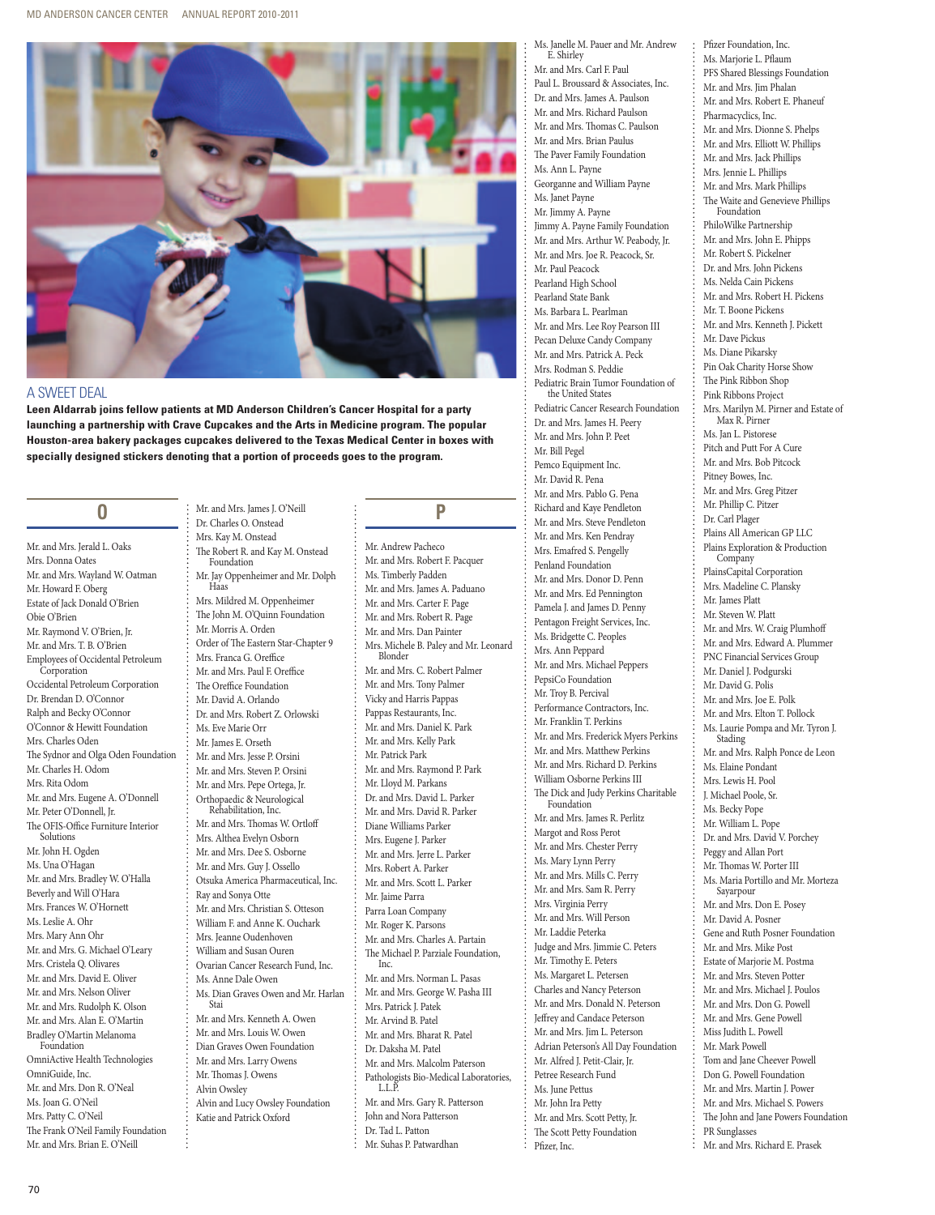

### a sweet deal

**Leen Aldarrab joins fellow patients at MD Anderson Children's Cancer Hospital for a party launching a partnership with Crave Cupcakes and the Arts in Medicine program. The popular Houston-area bakery packages cupcakes delivered to the Texas Medical Center in boxes with specially designed stickers denoting that a portion of proceeds goes to the program.**

Mr. and Mrs. James J. O'Neill

## $\mathbf{0}$

Mr. and Mrs. Jerald L. Oaks Mrs. Donna Oates Mr. and Mrs. Wayland W. Oatman Mr. Howard F. Oberg Estate of Jack Donald O'Brien Obie O'Brien Mr. Raymond V. O'Brien, Jr. Mr. and Mrs. T. B. O'Brien Employees of Occidental Petroleum **Corporation** Occidental Petroleum Corporation Dr. Brendan D. O'Connor Ralph and Becky O'Connor O'Connor & Hewitt Foundation Mrs. Charles Oden The Sydnor and Olga Oden Foundation Mr. Charles H. Odom Mrs. Rita Odom Mr. and Mrs. Eugene A. O'Donnell Mr. Peter O'Donnell, Jr. The OFIS-Office Furniture Interior Solutions Mr. John H. Ogden Ms. Una O'Hagan Mr. and Mrs. Bradley W. O'Halla Beverly and Will O'Hara Mrs. Frances W. O'Hornett Ms. Leslie A. Ohr Mrs. Mary Ann Ohr Mr. and Mrs. G. Michael O'Leary Mrs. Cristela Q. Olivares Mr. and Mrs. David E. Oliver Mr. and Mrs. Nelson Oliver Mr. and Mrs. Rudolph K. Olson Mr. and Mrs. Alan E. O'Martin Bradley O'Martin Melanoma Foundation OmniActive Health Technologies OmniGuide, Inc. Mr. and Mrs. Don R. O'Neal Ms. Joan G. O'Neil Mrs. Patty C. O'Neil The Frank O'Neil Family Foundation

Dr. Charles O. Onstead Mrs. Kay M. Onstead The Robert R. and Kay M. Onstead Foundation Mr. Jay Oppenheimer and Mr. Dolph Haas Mrs. Mildred M. Oppenheimer The John M. O'Quinn Foundation Mr. Morris A. Orden Order of The Eastern Star-Chapter 9 Mrs. Franca G. Oreffice Mr. and Mrs. Paul F. Oreffice The Oreffice Foundation Mr. David A. Orlando Dr. and Mrs. Robert Z. Orlowski Ms. Eve Marie Orr Mr. James E. Orseth Mr. and Mrs. Jesse P. Orsini Mr. and Mrs. Steven P. Orsini Mr. and Mrs. Pepe Ortega, Jr.<br>Orthopaedic & Neurological Rehabilitation, Inc. Mr. and Mrs. Thomas W. Ortloff Mrs. Althea Evelyn Osborn Mr. and Mrs. Dee S. Osborne Mr. and Mrs. Guy J. Ossello Otsuka America Pharmaceutical, Inc. Ray and Sonya Otte Mr. and Mrs. Christian S. Otteson William F. and Anne K. Ouchark Mrs. Jeanne Oudenhoven William and Susan Ouren Ovarian Cancer Research Fund, Inc. Ms. Anne Dale Owen Ms. Dian Graves Owen and Mr. Harlan Stai Mr. and Mrs. Kenneth A. Owen Mr. and Mrs. Louis W. Owen Dian Graves Owen Foundation Mr. and Mrs. Larry Owens Mr. Thomas J. Owens Alvin Owsley Alvin and Lucy Owsley Foundation Katie and Patrick Oxford

### P **P**

Mr. Andrew Pacheco Mr. and Mrs. Robert F. Pacquer Ms. Timberly Padden Mr. and Mrs. James A. Paduano Mr. and Mrs. Carter F. Page Mr. and Mrs. Robert R. Page Mr. and Mrs. Dan Painter Mrs. Michele B. Paley and Mr. Leonard Blonder Mr. and Mrs. C. Robert Palmer Mr. and Mrs. Tony Palmer Vicky and Harris Pappas Pappas Restaurants, Inc. Mr. and Mrs. Daniel K. Park Mr. and Mrs. Kelly Park Mr. Patrick Park Mr. and Mrs. Raymond P. Park Mr. Lloyd M. Parkans Dr. and Mrs. David L. Parker Mr. and Mrs. David R. Parker Diane Williams Parker Mrs. Eugene J. Parker Mr. and Mrs. Jerre L. Parker Mrs. Robert A. Parker Mr. and Mrs. Scott L. Parker Mr. Jaime Parra Parra Loan Company Mr. Roger K. Parsons Mr. and Mrs. Charles A. Partain The Michael P. Parziale Foundation, Inc. Mr. and Mrs. Norman L. Pasas Mr. and Mrs. George W. Pasha III Mrs. Patrick J. Patek Mr. Arvind B. Patel Mr. and Mrs. Bharat R. Patel Dr. Daksha M. Patel Mr. and Mrs. Malcolm Paterson Pathologists Bio-Medical Laboratories, L.L.P. Mr. and Mrs. Gary R. Patterson John and Nora Patterson Dr. Tad L. Patton Mr. Suhas P. Patwardhan

Ms. Janelle M. Pauer and Mr. Andrew E. Shirley

Pfizer Foundation, Inc. Ms. Marjorie L. Pflaum PFS Shared Blessings Foundation Mr. and Mrs. Jim Phalan Mr. and Mrs. Robert E. Phaneuf Pharmacyclics, Inc. Mr. and Mrs. Dionne S. Phelps Mr. and Mrs. Elliott W. Phillips Mr. and Mrs. Jack Phillips Mrs. Jennie L. Phillips Mr. and Mrs. Mark Phillips The Waite and Genevieve Phillips Foundation PhiloWilke Partnership Mr. and Mrs. John E. Phipps Mr. Robert S. Pickelner Dr. and Mrs. John Pickens Ms. Nelda Cain Pickens Mr. and Mrs. Robert H. Pickens Mr. T. Boone Pickens Mr. and Mrs. Kenneth J. Pickett

Mr. Dave Pickus Ms. Diane Pikarsky Pin Oak Charity Horse Show The Pink Ribbon Shop Pink Ribbons Project

Max R. Pirner Ms. Jan L. Pistorese Pitch and Putt For A Cure Mr. and Mrs. Bob Pitcock Pitney Bowes, Inc. Mr. and Mrs. Greg Pitzer Mr. Phillip C. Pitzer Dr. Carl Plager

Plains All American GP LLC

Mrs. Marilyn M. Pirner and Estate of

- Mr. and Mrs. Carl F. Paul
- Paul L. Broussard & Associates, Inc.
- Dr. and Mrs. James A. Paulson
- Mr. and Mrs. Richard Paulson
- Mr. and Mrs. Thomas C. Paulson Mr. and Mrs. Brian Paulus
	- The Paver Family Foundation
- Ms. Ann L. Payne
- Georganne and William Payne
- Ms. Janet Payne
- Mr. Jimmy A. Payne
- Jimmy A. Payne Family Foundation Mr. and Mrs. Arthur W. Peabody, Jr.
- Mr. and Mrs. Joe R. Peacock, Sr.
- Mr. Paul Peacock
- Pearland High School
- Pearland State Bank
- Ms. Barbara L. Pearlman
- Mr. and Mrs. Lee Roy Pearson III
- 
- Pecan Deluxe Candy Company Mr. and Mrs. Patrick A. Peck Mrs. Rodman S. Peddie Pediatric Brain Tumor Foundation of the United States Pediatric Cancer Research Foundation Dr. and Mrs. James H. Peery Mr. and Mrs. John P. Peet Mr. Bill Pegel Pemco Equipment Inc. Mr. David R. Pena Mr. and Mrs. Pablo G. Pena Richard and Kaye Pendleton Mr. and Mrs. Steve Pendleton Mr. and Mrs. Ken Pendray Mrs. Emafred S. Pengelly Penland Foundation Mr. and Mrs. Donor D. Penn Mr. and Mrs. Ed Pennington Pamela J. and James D. Penny Pentagon Freight Services, Inc. Ms. Bridgette C. Peoples Mrs. Ann Peppard Mr. and Mrs. Michael Peppers PepsiCo Foundation Mr. Troy B. Percival Performance Contractors, Inc. Mr. Franklin T. Perkins Mr. and Mrs. Frederick Myers Perkins Mr. and Mrs. Matthew Perkins Mr. and Mrs. Richard D. Perkins William Osborne Perkins III The Dick and Judy Perkins Charitable Foundation Mr. and Mrs. James R. Perlitz Margot and Ross Perot Mr. and Mrs. Chester Perry Ms. Mary Lynn Perry

Mr. and Mrs. Mills C. Perry Mr. and Mrs. Sam R. Perry Mrs. Virginia Perry Mr. and Mrs. Will Person Mr. Laddie Peterka

Judge and Mrs. Jimmie C. Peters Mr. Timothy E. Peters Ms. Margaret L. Petersen Charles and Nancy Peterson Mr. and Mrs. Donald N. Peterson Jeffrey and Candace Peterson Mr. and Mrs. Jim L. Peterson Adrian Peterson's All Day Foundation Mr. Alfred J. Petit-Clair, Jr. Petree Research Fund Ms. June Pettus Mr. John Ira Petty Mr. and Mrs. Scott Petty, Jr. The Scott Petty Foundation

Pfizer, Inc.

Plains Exploration & Production **Company** PlainsCapital Corporation Mrs. Madeline C. Plansky Mr. James Platt Mr. Steven W. Platt Mr. and Mrs. W. Craig Plumhoff Mr. and Mrs. Edward A. Plummer PNC Financial Services Group Mr. Daniel J. Podgurski Mr. David G. Polis Mr. and Mrs. Joe E. Polk Mr. and Mrs. Elton T. Pollock Ms. Laurie Pompa and Mr. Tyron J. Stading Mr. and Mrs. Ralph Ponce de Leon Ms. Elaine Pondant Mrs. Lewis H. Pool J. Michael Poole, Sr. Ms. Becky Pope Mr. William L. Pope Dr. and Mrs. David V. Porchey Peggy and Allan Port Mr. Thomas W. Porter III Ms. Maria Portillo and Mr. Morteza Sayarpour Mr. and Mrs. Don E. Posey Mr. David A. Posner Gene and Ruth Posner Foundation Mr. and Mrs. Mike Post Estate of Marjorie M. Postma Mr. and Mrs. Steven Potter Mr. and Mrs. Michael J. Poulos Mr. and Mrs. Don G. Powell Mr. and Mrs. Gene Powell Miss Judith L. Powell Mr. Mark Powell Tom and Jane Cheever Powell Don G. Powell Foundation Mr. and Mrs. Martin J. Power Mr. and Mrs. Michael S. Powers The John and Jane Powers Foundation PR Sunglasses Mr. and Mrs. Richard E. Prasek

Mr. and Mrs. Brian E. O'Neill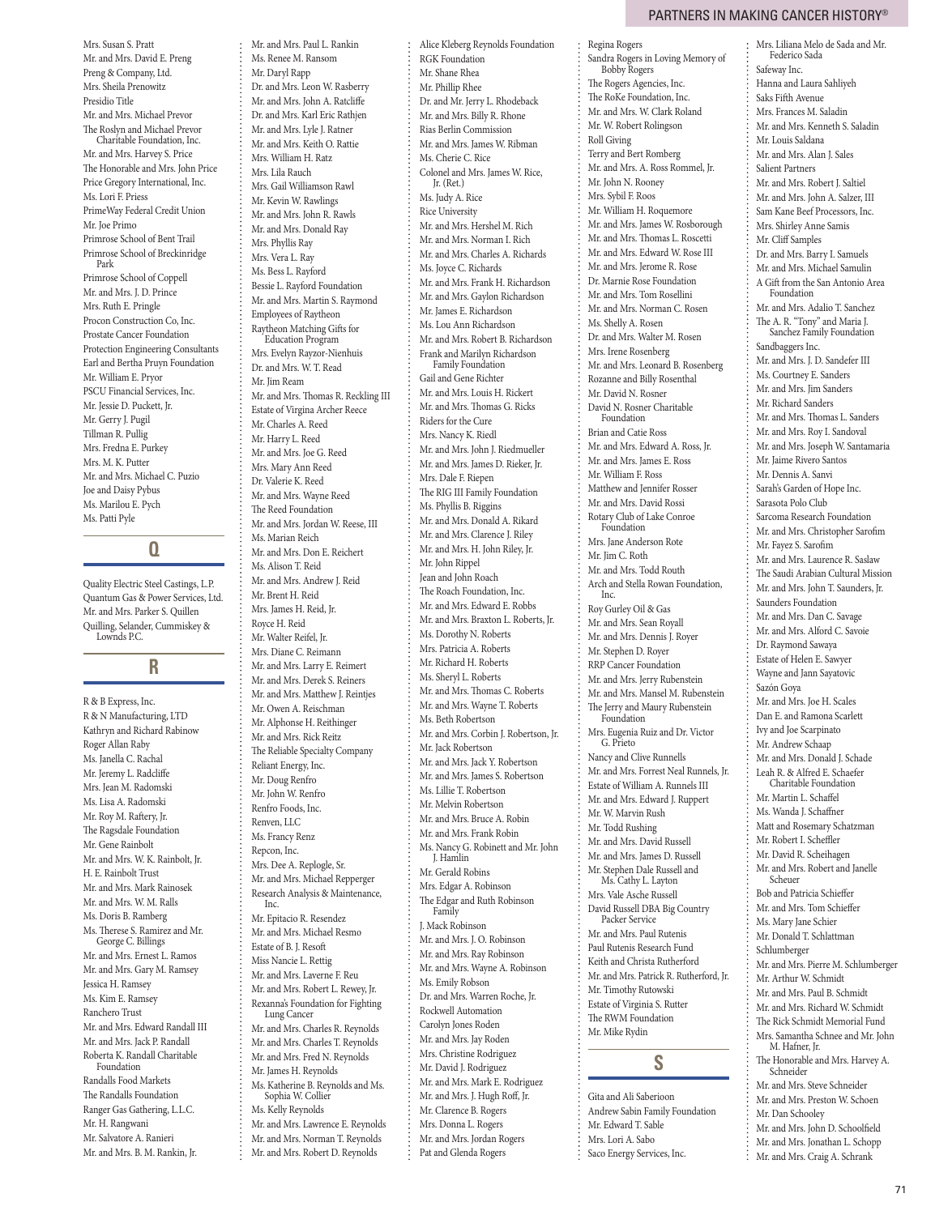Mrs. Liliana Melo de Sada and Mr. Federico Sada

Mrs. Susan S. Pratt Mr. and Mrs. David E. Preng Preng & Company, Ltd. Mrs. Sheila Prenowitz Presidio Title Mr. and Mrs. Michael Prevor The Roslyn and Michael Prevor Charitable Foundation, Inc. Mr. and Mrs. Harvey S. Price The Honorable and Mrs. John Price Price Gregory International, Inc. Ms. Lori F. Priess PrimeWay Federal Credit Union Mr. Joe Primo Primrose School of Bent Trail Primrose School of Breckinridge Park Primrose School of Coppell Mr. and Mrs. J. D. Prince Mrs. Ruth E. Pringle Procon Construction Co, Inc. Prostate Cancer Foundation Protection Engineering Consultants Earl and Bertha Pruyn Foundation Mr. William E. Pryor PSCU Financial Services, Inc. Mr. Jessie D. Puckett, Jr. Mr. Gerry J. Pugil Tillman R. Pullig Mrs. Fredna E. Purkey Mrs. M. K. Putter Mr. and Mrs. Michael C. Puzio Joe and Daisy Pybus Ms. Marilou E. Pych Ms. Patti Pyle

### $\bf{0}$ **Q**

Quality Electric Steel Castings, L.P. Quantum Gas & Power Services, Ltd. Mr. and Mrs. Parker S. Quillen Quilling, Selander, Cummiskey & Lownds P.C.

### R **R**

R & B Express, Inc. R & N Manufacturing, LTD Kathryn and Richard Rabinow Roger Allan Raby Ms. Janella C. Rachal Mr. Jeremy L. Radcliffe Mrs. Jean M. Radomski Ms. Lisa A. Radomski Mr. Roy M. Raftery, Jr. The Ragsdale Foundation Mr. Gene Rainbolt Mr. and Mrs. W. K. Rainbolt, Jr. H. E. Rainbolt Trust Mr. and Mrs. Mark Rainosek Mr. and Mrs. W. M. Ralls Ms. Doris B. Ramberg Ms. Therese S. Ramirez and Mr. George C. Billings Mr. and Mrs. Ernest L. Ramos Mr. and Mrs. Gary M. Ramsey Jessica H. Ramsey Ms. Kim E. Ramsey Ranchero Trust Mr. and Mrs. Edward Randall III Mr. and Mrs. Jack P. Randall Roberta K. Randall Charitable Foundation Randalls Food Markets The Randalls Foundation Ranger Gas Gathering, L.L.C. Mr. H. Rangwani Mr. Salvatore A. Ranieri Mr. and Mrs. B. M. Rankin, Jr.

Mr. and Mrs. Paul L. Rankin Ms. Renee M. Ransom Mr. Daryl Rapp Dr. and Mrs. Leon W. Rasberry Mr. and Mrs. John A. Ratcliffe Dr. and Mrs. Karl Eric Rathjen Mr. and Mrs. Lyle J. Ratner Mr. and Mrs. Keith O. Rattie Mrs. William H. Ratz Mrs. Lila Rauch Mrs. Gail Williamson Rawl Mr. Kevin W. Rawlings Mr. and Mrs. John R. Rawls Mr. and Mrs. Donald Ray Mrs. Phyllis Ray Mrs. Vera L. Ray Ms. Bess L. Rayford Bessie L. Rayford Foundation Mr. and Mrs. Martin S. Raymond Employees of Raytheon Raytheon Matching Gifts for Education Program Mrs. Evelyn Rayzor-Nienhuis Dr. and Mrs. W. T. Read Mr. Jim Ream Mr. and Mrs. Thomas R. Reckling III Estate of Virgina Archer Reece Mr. Charles A. Reed Mr. Harry L. Reed Mr. and Mrs. Joe G. Reed Mrs. Mary Ann Reed Dr. Valerie K. Reed Mr. and Mrs. Wayne Reed The Reed Foundation Mr. and Mrs. Jordan W. Reese, III Ms. Marian Reich Mr. and Mrs. Don E. Reichert Ms. Alison T. Reid Mr. and Mrs. Andrew J. Reid Mr. Brent H. Reid Mrs. James H. Reid, Jr. Royce H. Reid Mr. Walter Reifel, Jr. Mrs. Diane C. Reimann Mr. and Mrs. Larry E. Reimert Mr. and Mrs. Derek S. Reiners Mr. and Mrs. Matthew J. Reintjes Mr. Owen A. Reischman Mr. Alphonse H. Reithinger Mr. and Mrs. Rick Reitz The Reliable Specialty Company Reliant Energy, Inc. Mr. Doug Renfro Mr. John W. Renfro Renfro Foods, Inc. Renven, LLC Ms. Francy Renz Repcon, Inc. Mrs. Dee A. Replogle, Sr. Mr. and Mrs. Michael Repperger Research Analysis & Maintenance, Inc. Mr. Epitacio R. Resendez Mr. and Mrs. Michael Resmo Estate of B. J. Resoft Miss Nancie L. Rettig Mr. and Mrs. Laverne F. Reu Mr. and Mrs. Robert L. Rewey, Jr. Rexanna's Foundation for Fighting Lung Cancer Mr. and Mrs. Charles R. Reynolds Mr. and Mrs. Charles T. Reynolds Mr. and Mrs. Fred N. Reynolds Mr. James H. Reynolds Ms. Katherine B. Reynolds and Ms. Sophia W. Collier Ms. Kelly Reynolds Mr. and Mrs. Lawrence E. Reynolds Mr. and Mrs. Norman T. Reynolds Mr. and Mrs. Robert D. Reynolds

Alice Kleberg Reynolds Foundation RGK Foundation Mr. Shane Rhea Mr. Phillip Rhee Dr. and Mr. Jerry L. Rhodeback Mr. and Mrs. Billy R. Rhone Rias Berlin Commission Mr. and Mrs. James W. Ribman Ms. Cherie C. Rice Colonel and Mrs. James W. Rice, Jr. (Ret.) Ms. Judy A. Rice Rice University Mr. and Mrs. Hershel M. Rich Mr. and Mrs. Norman I. Rich Mr. and Mrs. Charles A. Richards Ms. Joyce C. Richards Mr. and Mrs. Frank H. Richardson Mr. and Mrs. Gaylon Richardson Mr. James E. Richardson Ms. Lou Ann Richardson Mr. and Mrs. Robert B. Richardson Frank and Marilyn Richardson Family Foundation Gail and Gene Richter Mr. and Mrs. Louis H. Rickert Mr. and Mrs. Thomas G. Ricks Riders for the Cure Mrs. Nancy K. Riedl Mr. and Mrs. John J. Riedmueller Mr. and Mrs. James D. Rieker, Jr. Mrs. Dale F. Riepen The RIG III Family Foundation Ms. Phyllis B. Riggins Mr. and Mrs. Donald A. Rikard Mr. and Mrs. Clarence J. Riley Mr. and Mrs. H. John Riley, Jr. Mr. John Rippel Jean and John Roach The Roach Foundation, Inc. Mr. and Mrs. Edward E. Robbs Mr. and Mrs. Braxton L. Roberts, Jr. Ms. Dorothy N. Roberts Mrs. Patricia A. Roberts Mr. Richard H. Roberts Ms. Sheryl L. Roberts Mr. and Mrs. Thomas C. Roberts Mr. and Mrs. Wayne T. Roberts Ms. Beth Robertson Mr. and Mrs. Corbin J. Robertson, Jr. Mr. Jack Robertson Mr. and Mrs. Jack Y. Robertson Mr. and Mrs. James S. Robertson Ms. Lillie T. Robertson Mr. Melvin Robertson Mr. and Mrs. Bruce A. Robin Mr. and Mrs. Frank Robin Ms. Nancy G. Robinett and Mr. John<br>J. Hamlin Mr. Gerald Robins Mrs. Edgar A. Robinson The Edgar and Ruth Robinson Family J. Mack Robinson Mr. and Mrs. J. O. Robinson Mr. and Mrs. Ray Robinson Mr. and Mrs. Wayne A. Robinson Ms. Emily Robson Dr. and Mrs. Warren Roche, Jr. Rockwell Automation Carolyn Jones Roden Mr. and Mrs. Jay Roden Mrs. Christine Rodriguez Mr. David J. Rodriguez Mr. and Mrs. Mark E. Rodriguez Mr. and Mrs. J. Hugh Roff, Jr. Mr. Clarence B. Rogers Mrs. Donna L. Rogers Mr. and Mrs. Jordan Rogers Pat and Glenda Rogers

Regina Rogers Sandra Rogers in Loving Memory of Bobby Rogers The Rogers Agencies, Inc. The RoKe Foundation, Inc. Mr. and Mrs. W. Clark Roland Mr. W. Robert Rolingson Roll Giving Terry and Bert Romberg Mr. and Mrs. A. Ross Rommel, Jr. Mr. John N. Rooney Mrs. Sybil F. Roos Mr. William H. Roquemore Mr. and Mrs. James W. Rosborough Mr. and Mrs. Thomas L. Roscetti Mr. and Mrs. Edward W. Rose III Mr. and Mrs. Jerome R. Rose Dr. Marnie Rose Foundation Mr. and Mrs. Tom Rosellini Mr. and Mrs. Norman C. Rosen Ms. Shelly A. Rosen Dr. and Mrs. Walter M. Rosen Mrs. Irene Rosenberg Mr. and Mrs. Leonard B. Rosenberg Rozanne and Billy Rosenthal Mr. David N. Rosner David N. Rosner Charitable Foundation Brian and Catie Ross Mr. and Mrs. Edward A. Ross, Jr. Mr. and Mrs. James E. Ross Mr. William F. Ross Matthew and Jennifer Rosser Mr. and Mrs. David Rossi Rotary Club of Lake Conroe Foundation Mrs. Jane Anderson Rote Mr. Jim C. Roth Mr. and Mrs. Todd Routh Arch and Stella Rowan Foundation, Inc. Roy Gurley Oil & Gas Mr. and Mrs. Sean Royall Mr. and Mrs. Dennis J. Royer Mr. Stephen D. Royer RRP Cancer Foundation Mr. and Mrs. Jerry Rubenstein Mr. and Mrs. Mansel M. Rubenstein The Jerry and Maury Rubenstein Foundation Mrs. Eugenia Ruiz and Dr. Victor G. Prieto Nancy and Clive Runnells Mr. and Mrs. Forrest Neal Runnels, Jr. Estate of William A. Runnels III Mr. and Mrs. Edward J. Ruppert Mr. W. Marvin Rush Mr. Todd Rushing Mr. and Mrs. David Russell Mr. and Mrs. James D. Russell Mr. Stephen Dale Russell and Ms. Cathy L. Layton Mrs. Vale Asche Russell David Russell DBA Big Country Packer Service Mr. and Mrs. Paul Rutenis Paul Rutenis Research Fund Keith and Christa Rutherford Mr. and Mrs. Patrick R. Rutherford, Jr. Mr. Timothy Rutowski Estate of Virginia S. Rutter The RWM Foundation Mr. Mike Rydin **S**

Gita and Ali Saberioon Andrew Sabin Family Foundation Mr. Edward T. Sable Mrs. Lori A. Sabo Saco Energy Services, Inc.

Safeway Inc. Hanna and Laura Sahliyeh Saks Fifth Avenue Mrs. Frances M. Saladin Mr. and Mrs. Kenneth S. Saladin Mr. Louis Saldana Mr. and Mrs. Alan I. Sales Salient Partners Mr. and Mrs. Robert J. Saltiel Mr. and Mrs. John A. Salzer, III Sam Kane Beef Processors, Inc. Mrs. Shirley Anne Samis Mr. Cliff Samples Dr. and Mrs. Barry I. Samuels Mr. and Mrs. Michael Samulin A Gift from the San Antonio Area Foundation Mr. and Mrs. Adalio T. Sanchez The A. R. "Tony" and Maria J. Sanchez Family Foundation Sandbaggers Inc. Mr. and Mrs. J. D. Sandefer III Ms. Courtney E. Sanders Mr. and Mrs. Jim Sanders Mr. Richard Sanders Mr. and Mrs. Thomas L. Sanders Mr. and Mrs. Roy I. Sandoval Mr. and Mrs. Joseph W. Santamaria Mr. Jaime Rivero Santos Mr. Dennis A. Sanvi Sarah's Garden of Hope Inc. Sarasota Polo Club Sarcoma Research Foundation Mr. and Mrs. Christopher Sarofim Mr. Fayez S. Sarofim Mr. and Mrs. Laurence R. Saslaw The Saudi Arabian Cultural Mission Mr. and Mrs. John T. Saunders, Jr. Saunders Foundation Mr. and Mrs. Dan C. Savage Mr. and Mrs. Alford C. Savoie Dr. Raymond Sawaya Estate of Helen E. Sawyer Wayne and Jann Sayatovic Sazón Goya Mr. and Mrs. Joe H. Scales Dan E. and Ramona Scarlett Ivy and Joe Scarpinato Mr. Andrew Schaap Mr. and Mrs. Donald J. Schade Leah R. & Alfred E. Schaefer Charitable Foundation Mr. Martin L. Schaffel Ms. Wanda J. Schaffner Matt and Rosemary Schatzman Mr. Robert I. Scheffler Mr. David R. Scheihagen Mr. and Mrs. Robert and Janelle Scheuer Bob and Patricia Schieffer Mr. and Mrs. Tom Schieffer Ms. Mary Jane Schier Mr. Donald T. Schlattman Schlumberger Mr. and Mrs. Pierre M. Schlumberger Mr. Arthur W. Schmidt Mr. and Mrs. Paul B. Schmidt Mr. and Mrs. Richard W. Schmidt The Rick Schmidt Memorial Fund Mrs. Samantha Schnee and Mr. John M. Hafner, Jr. The Honorable and Mrs. Harvey A. Schneider Mr. and Mrs. Steve Schneider Mr. and Mrs. Preston W. Schoen Mr. Dan Schooley

Mr. and Mrs. John D. Schoolfield Mr. and Mrs. Jonathan L. Schopp Mr. and Mrs. Craig A. Schrank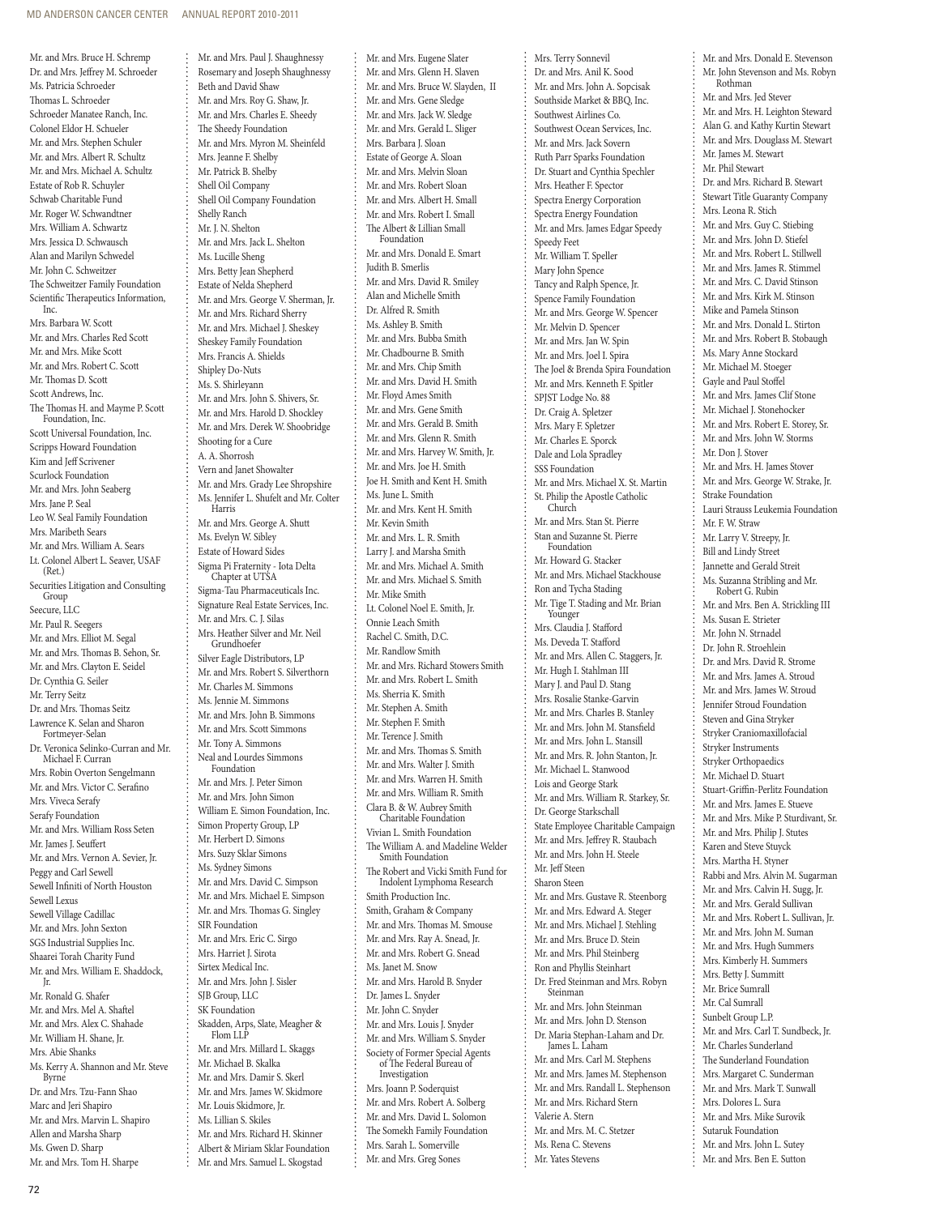Mr. and Mrs. Bruce H. Schremp Dr. and Mrs. Jeffrey M. Schroeder Ms. Patricia Schroeder Thomas L. Schroeder Schroeder Manatee Ranch, Inc. Colonel Eldor H. Schueler Mr. and Mrs. Stephen Schuler Mr. and Mrs. Albert R. Schultz Mr. and Mrs. Michael A. Schultz Estate of Rob R. Schuyler Schwab Charitable Fund Mr. Roger W. Schwandtner Mrs. William A. Schwartz Mrs. Jessica D. Schwausch Alan and Marilyn Schwedel Mr. John C. Schweitzer The Schweitzer Family Foundation Scientific Therapeutics Information, Inc. Mrs. Barbara W. Scott Mr. and Mrs. Charles Red Scott Mr. and Mrs. Mike Scott Mr. and Mrs. Robert C. Scott Mr. Thomas D. Scott Scott Andrews, Inc. The Thomas H. and Mayme P. Scott Foundation, Inc. Scott Universal Foundation, Inc. Scripps Howard Foundation Kim and Jeff Scrivener Scurlock Foundation Mr. and Mrs. John Seaberg Mrs. Jane P. Seal Leo W. Seal Family Foundation Mrs. Maribeth Sears Mr. and Mrs. William A. Sears Lt. Colonel Albert L. Seaver, USAF (Ret.) Securities Litigation and Consulting Group Seecure, LLC Mr. Paul R. Seegers Mr. and Mrs. Elliot M. Segal Mr. and Mrs. Thomas B. Sehon, Sr. Mr. and Mrs. Clayton E. Seidel Dr. Cynthia G. Seiler Mr. Terry Seitz Dr. and Mrs. Thomas Seitz Lawrence K. Selan and Sharon Fortmeyer-Selan Dr. Veronica Selinko-Curran and Mr. Michael F. Curran Mrs. Robin Overton Sengelmann Mr. and Mrs. Victor C. Serafino Mrs. Viveca Serafy Serafy Foundation Mr. and Mrs. William Ross Seten Mr. James J. Seuffert Mr. and Mrs. Vernon A. Sevier, Jr. Peggy and Carl Sewell Sewell Infiniti of North Houston Sewell Lexus Sewell Village Cadillac Mr. and Mrs. John Sexton SGS Industrial Supplies Inc. Shaarei Torah Charity Fund Mr. and Mrs. William E. Shaddock, Jr. Mr. Ronald G. Shafer Mr. and Mrs. Mel A. Shaftel Mr. and Mrs. Alex C. Shahade Mr. William H. Shane, Jr. Mrs. Abie Shanks Ms. Kerry A. Shannon and Mr. Steve Byrne Dr. and Mrs. Tzu-Fann Shao Marc and Jeri Shapiro Mr. and Mrs. Marvin L. Shapiro Allen and Marsha Sharp Ms. Gwen D. Sharp

Mr. and Mrs. Paul J. Shaughnessy Rosemary and Joseph Shaughnessy Beth and David Shaw Mr. and Mrs. Roy G. Shaw, Jr. Mr. and Mrs. Charles E. Sheedy The Sheedy Foundation Mr. and Mrs. Myron M. Sheinfeld Mrs. Jeanne F. Shelby Mr. Patrick B. Shelby Shell Oil Company Shell Oil Company Foundation Shelly Ranch Mr. J. N. Shelton Mr. and Mrs. Jack L. Shelton Ms. Lucille Sheng Mrs. Betty Jean Shepherd Estate of Nelda Shepherd Mr. and Mrs. George V. Sherman, Jr. Mr. and Mrs. Richard Sherry Mr. and Mrs. Michael J. Sheskey Sheskey Family Foundation Mrs. Francis A. Shields Shipley Do-Nuts Ms. S. Shirleyann Mr. and Mrs. John S. Shivers, Sr. Mr. and Mrs. Harold D. Shockley Mr. and Mrs. Derek W. Shoobridge Shooting for a Cure A. A. Shorrosh Vern and Janet Showalter Mr. and Mrs. Grady Lee Shropshire Ms. Jennifer L. Shufelt and Mr. Colter Harris Mr. and Mrs. George A. Shutt Ms. Evelyn W. Sibley Estate of Howard Sides Sigma Pi Fraternity - Iota Delta Chapter at UTSA Sigma-Tau Pharmaceuticals Inc. Signature Real Estate Services, Inc. Mr. and Mrs. C. J. Silas Mrs. Heather Silver and Mr. Neil Grundhoefer Silver Eagle Distributors, LP Mr. and Mrs. Robert S. Silverthorn Mr. Charles M. Simmons Ms. Jennie M. Simmons Mr. and Mrs. John B. Simmons Mr. and Mrs. Scott Simmons Mr. Tony A. Simmons Neal and Lourdes Simmons Foundation Mr. and Mrs. J. Peter Simon Mr. and Mrs. John Simon William E. Simon Foundation, Inc. Simon Property Group, LP Mr. Herbert D. Simons Mrs. Suzy Sklar Simons Ms. Sydney Simons Mr. and Mrs. David C. Simpson Mr. and Mrs. Michael E. Simpson Mr. and Mrs. Thomas G. Singley SIR Foundation Mr. and Mrs. Eric C. Sirgo Mrs. Harriet J. Sirota Sirtex Medical Inc. Mr. and Mrs. John J. Sisler SJB Group, LLC SK Foundation Skadden, Arps, Slate, Meagher & Flom LLP Mr. and Mrs. Millard L. Skaggs Mr. Michael B. Skalka Mr. and Mrs. Damir S. Skerl Mr. and Mrs. James W. Skidmore Mr. Louis Skidmore, Jr. Ms. Lillian S. Skiles Mr. and Mrs. Richard H. Skinner Albert & Miriam Sklar Foundation Mr. and Mrs. Samuel L. Skogstad

Mr. and Mrs. Eugene Slater Mr. and Mrs. Glenn H. Slaven Mr. and Mrs. Bruce W. Slayden, II Mr. and Mrs. Gene Sledge Mr. and Mrs. Jack W. Sledge Mr. and Mrs. Gerald L. Sliger Mrs. Barbara J. Sloan Estate of George A. Sloan Mr. and Mrs. Melvin Sloan Mr. and Mrs. Robert Sloan Mr. and Mrs. Albert H. Small Mr. and Mrs. Robert I. Small The Albert & Lillian Small Foundation Mr. and Mrs. Donald E. Smart Judith B. Smerlis Mr. and Mrs. David R. Smiley Alan and Michelle Smith Dr. Alfred R. Smith Ms. Ashley B. Smith Mr. and Mrs. Bubba Smith Mr. Chadbourne B. Smith Mr. and Mrs. Chip Smith Mr. and Mrs. David H. Smith Mr. Floyd Ames Smith Mr. and Mrs. Gene Smith Mr. and Mrs. Gerald B. Smith Mr. and Mrs. Glenn R. Smith Mr. and Mrs. Harvey W. Smith, Jr. Mr. and Mrs. Joe H. Smith Joe H. Smith and Kent H. Smith Ms. June L. Smith Mr. and Mrs. Kent H. Smith Mr. Kevin Smith Mr. and Mrs. L. R. Smith Larry J. and Marsha Smith Mr. and Mrs. Michael A. Smith Mr. and Mrs. Michael S. Smith Mr. Mike Smith Lt. Colonel Noel E. Smith, Jr. Onnie Leach Smith Rachel C. Smith, D.C. Mr. Randlow Smith Mr. and Mrs. Richard Stowers Smith Mr. and Mrs. Robert L. Smith Ms. Sherria K. Smith Mr. Stephen A. Smith Mr. Stephen F. Smith Mr. Terence J. Smith Mr. and Mrs. Thomas S. Smith Mr. and Mrs. Walter J. Smith Mr. and Mrs. Warren H. Smith Mr. and Mrs. William R. Smith Clara B. & W. Aubrey Smith Charitable Foundation Vivian L. Smith Foundation The William A. and Madeline Welder Smith Foundation The Robert and Vicki Smith Fund for Indolent Lymphoma Research Smith Production Inc. Smith, Graham & Company Mr. and Mrs. Thomas M. Smouse Mr. and Mrs. Ray A. Snead, Jr. Mr. and Mrs. Robert G. Snead Ms. Janet M. Snow Mr. and Mrs. Harold B. Snyder Dr. James L. Snyder Mr. John C. Snyder Mr. and Mrs. Louis J. Snyder Mr. and Mrs. William S. Snyder Society of Former Special Agents of The Federal Bureau of Investigation Mrs. Joann P. Soderquist Mr. and Mrs. Robert A. Solberg Mr. and Mrs. David L. Solomon The Somekh Family Foundation Mrs. Sarah L. Somerville Mr. and Mrs. Greg Sones

Mrs. Terry Sonnevil Dr. and Mrs. Anil K. Sood Mr. and Mrs. John A. Sopcisak Southside Market & BBQ, Inc. Southwest Airlines Co. Southwest Ocean Services, Inc. Mr. and Mrs. Jack Sovern Ruth Parr Sparks Foundation Dr. Stuart and Cynthia Spechler Mrs. Heather F. Spector Spectra Energy Corporation Spectra Energy Foundation Mr. and Mrs. James Edgar Speedy Speedy Feet Mr. William T. Speller Mary John Spence Tancy and Ralph Spence, Jr. Spence Family Foundation Mr. and Mrs. George W. Spencer Mr. Melvin D. Spencer Mr. and Mrs. Jan W. Spin Mr. and Mrs. Joel I. Spira The Joel & Brenda Spira Foundation Mr. and Mrs. Kenneth F. Spitler SPJST Lodge No. 88 Dr. Craig A. Spletzer Mrs. Mary F. Spletzer Mr. Charles E. Sporck Dale and Lola Spradley SSS Foundation Mr. and Mrs. Michael X. St. Martin St. Philip the Apostle Catholic Church Mr. and Mrs. Stan St. Pierre Stan and Suzanne St. Pierre Foundation Mr. Howard G. Stacker Mr. and Mrs. Michael Stackhouse Ron and Tycha Stading Mr. Tige T. Stading and Mr. Brian Younger Mrs. Claudia J. Stafford Ms. Deveda T. Stafford Mr. and Mrs. Allen C. Staggers, Jr. Mr. Hugh I. Stahlman III Mary J. and Paul D. Stang Mrs. Rosalie Stanke-Garvin Mr. and Mrs. Charles B. Stanley Mr. and Mrs. John M. Stansfield Mr. and Mrs. John L. Stansill Mr. and Mrs. R. John Stanton, Jr. Mr. Michael L. Stanwood Lois and George Stark Mr. and Mrs. William R. Starkey, Sr. Dr. George Starkschall State Employee Charitable Campaign Mr. and Mrs. Jeffrey R. Staubach Mr. and Mrs. John H. Steele Mr. Jeff Steen Sharon Steen Mr. and Mrs. Gustave R. Steenborg Mr. and Mrs. Edward A. Steger Mr. and Mrs. Michael J. Stehling Mr. and Mrs. Bruce D. Stein Mr. and Mrs. Phil Steinberg Ron and Phyllis Steinhart Dr. Fred Steinman and Mrs. Robyn Steinman Mr. and Mrs. John Steinman Mr. and Mrs. John D. Stenson Dr. Maria Stephan-Laham and Dr. James L. Laham Mr. and Mrs. Carl M. Stephens Mr. and Mrs. James M. Stephenson Mr. and Mrs. Randall L. Stephenson Mr. and Mrs. Richard Stern Valerie A. Stern Mr. and Mrs. M. C. Stetzer Ms. Rena C. Stevens Mr. Yates Stevens

Mr. and Mrs. Donald E. Stevenson Mr. John Stevenson and Ms. Robyn Rothman Mr. and Mrs. Jed Stever Mr. and Mrs. H. Leighton Steward Alan G. and Kathy Kurtin Stewart Mr. and Mrs. Douglass M. Stewart Mr. James M. Stewart Mr. Phil Stewart Dr. and Mrs. Richard B. Stewart Stewart Title Guaranty Company Mrs. Leona R. Stich Mr. and Mrs. Guy C. Stiebing Mr. and Mrs. John D. Stiefel Mr. and Mrs. Robert L. Stillwell Mr. and Mrs. James R. Stimmel Mr. and Mrs. C. David Stinson Mr. and Mrs. Kirk M. Stinson Mike and Pamela Stinson Mr. and Mrs. Donald L. Stirton Mr. and Mrs. Robert B. Stobaugh Ms. Mary Anne Stockard Mr. Michael M. Stoeger Gayle and Paul Stoffel Mr. and Mrs. James Clif Stone Mr. Michael J. Stonehocker Mr. and Mrs. Robert E. Storey, Sr. Mr. and Mrs. John W. Storms Mr. Don J. Stover Mr. and Mrs. H. James Stover Mr. and Mrs. George W. Strake, Jr. Strake Foundation Lauri Strauss Leukemia Foundation Mr. F. W. Straw Mr. Larry V. Streepy, Jr. Bill and Lindy Street Jannette and Gerald Streit Ms. Suzanna Stribling and Mr. Robert G. Rubin Mr. and Mrs. Ben A. Strickling III Ms. Susan E. Strieter Mr. John N. Strnadel Dr. John R. Stroehlein Dr. and Mrs. David R. Strome Mr. and Mrs. James A. Stroud Mr. and Mrs. James W. Stroud Jennifer Stroud Foundation Steven and Gina Stryker Stryker Craniomaxillofacial Stryker Instruments Stryker Orthopaedics Mr. Michael D. Stuart Stuart-Griffin-Perlitz Foundation Mr. and Mrs. James E. Stueve Mr. and Mrs. Mike P. Sturdivant, Sr. Mr. and Mrs. Philip J. Stutes Karen and Steve Stuyck Mrs. Martha H. Styner Rabbi and Mrs. Alvin M. Sugarman Mr. and Mrs. Calvin H. Sugg, Jr. Mr. and Mrs. Gerald Sullivan Mr. and Mrs. Robert L. Sullivan, Jr. Mr. and Mrs. John M. Suman Mr. and Mrs. Hugh Summers Mrs. Kimberly H. Summers Mrs. Betty J. Summitt Mr. Brice Sumrall Mr. Cal Sumrall Sunbelt Group L.P. Mr. and Mrs. Carl T. Sundbeck, Jr. Mr. Charles Sunderland The Sunderland Foundation Mrs. Margaret C. Sunderman Mr. and Mrs. Mark T. Sunwall Mrs. Dolores L. Sura Mr. and Mrs. Mike Surovik Sutaruk Foundation Mr. and Mrs. John L. Sutey Mr. and Mrs. Ben E. Sutton

Mr. and Mrs. Tom H. Sharpe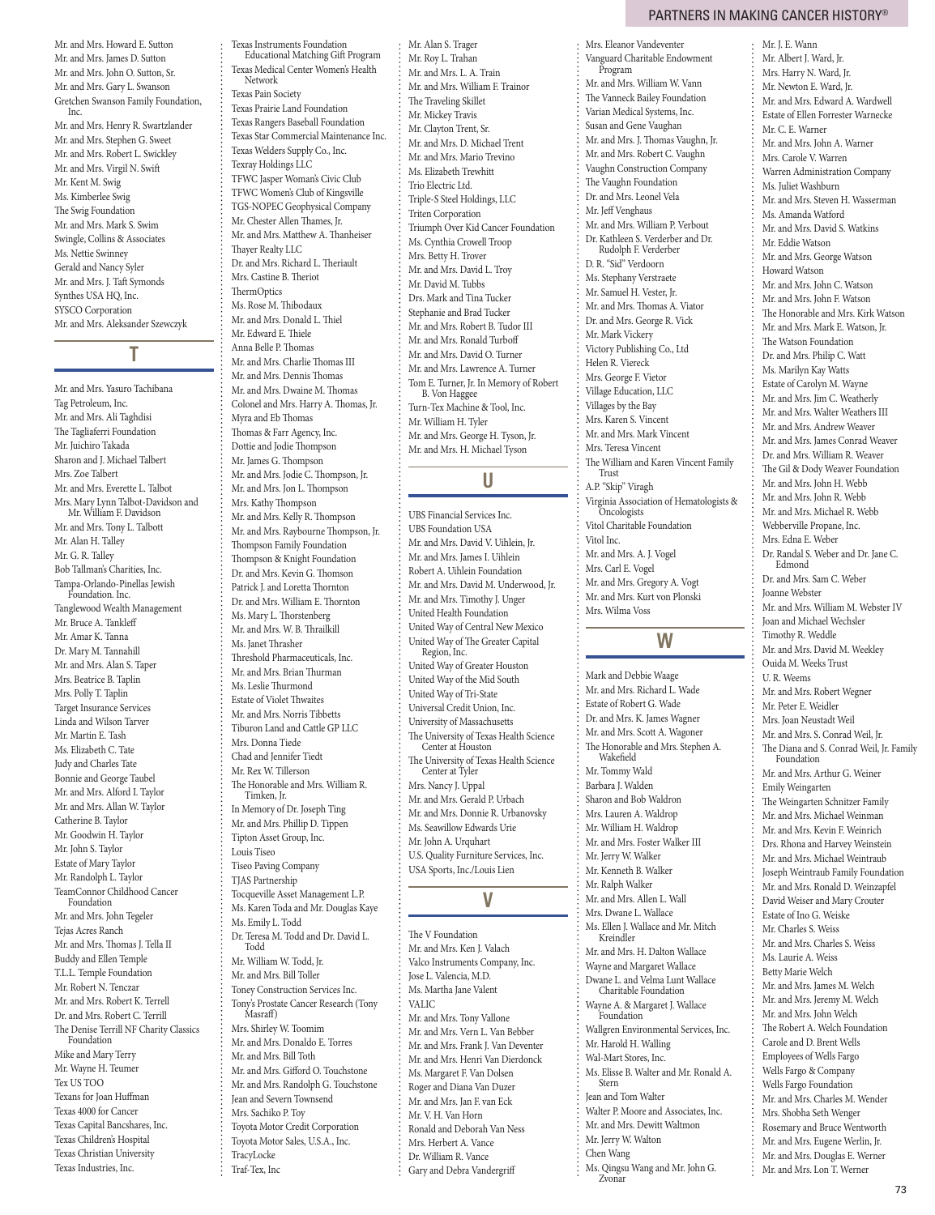Mr. and Mrs. Howard E. Sutton Mr. and Mrs. James D. Sutton Mr. and Mrs. John O. Sutton, Sr. Mr. and Mrs. Gary L. Swanson Gretchen Swanson Family Foundation, Inc. Mr. and Mrs. Henry R. Swartzlander Mr. and Mrs. Stephen G. Sweet Mr. and Mrs. Robert L. Swickley Mr. and Mrs. Virgil N. Swift Mr. Kent M. Swig Ms. Kimberlee Swig The Swig Foundation Mr. and Mrs. Mark S. Swim Swingle, Collins & Associates Ms. Nettie Swinney Gerald and Nancy Syler Mr. and Mrs. J. Taft Symonds Synthes USA HQ, Inc. SYSCO Corporation Mr. and Mrs. Aleksander Szewczyk

## **T**

Mr. and Mrs. Yasuro Tachibana Tag Petroleum, Inc. Mr. and Mrs. Ali Taghdisi The Tagliaferri Foundation Mr. Juichiro Takada Sharon and J. Michael Talbert Mrs. Zoe Talbert Mr. and Mrs. Everette L. Talbot Mrs. Mary Lynn Talbot-Davidson and Mr. William F. Davidson Mr. and Mrs. Tony L. Talbott Mr. Alan H. Talley Mr. G. R. Talley Bob Tallman's Charities, Inc. Tampa-Orlando-Pinellas Jewish Foundation. Inc. Tanglewood Wealth Management Mr. Bruce A. Tankleff Mr. Amar K. Tanna Dr. Mary M. Tannahill Mr. and Mrs. Alan S. Taper Mrs. Beatrice B. Taplin Mrs. Polly T. Taplin Target Insurance Services Linda and Wilson Tarver Mr. Martin E. Tash Ms. Elizabeth C. Tate Judy and Charles Tate Bonnie and George Taubel Mr. and Mrs. Alford I. Taylor Mr. and Mrs. Allan W. Taylor Catherine B. Taylor Mr. Goodwin H. Taylor Mr. John S. Taylor Estate of Mary Taylor Mr. Randolph L. Taylor TeamConnor Childhood Cancer Foundation Mr. and Mrs. John Tegeler Tejas Acres Ranch Mr. and Mrs. Thomas J. Tella II Buddy and Ellen Temple T.L.L. Temple Foundation Mr. Robert N. Tenczar Mr. and Mrs. Robert K. Terrell Dr. and Mrs. Robert C. Terrill The Denise Terrill NF Charity Classics Foundation Mike and Mary Terry Mr. Wayne H. Teumer Tex US TOO Texans for Joan Huffman Texas 4000 for Cancer Texas Capital Bancshares, Inc. Texas Children's Hospital Texas Christian University Texas Industries, Inc.

Texas Instruments Foundation Educational Matching Gift Program Texas Medical Center Women's Health Network Texas Pain Society Texas Prairie Land Foundation Texas Rangers Baseball Foundation Texas Star Commercial Maintenance Inc. Texas Welders Supply Co., Inc. Texray Holdings LLC TFWC Jasper Woman's Civic Club TFWC Women's Club of Kingsville TGS-NOPEC Geophysical Company Mr. Chester Allen Thames, Jr. Mr. and Mrs. Matthew A. Thanheiser Thayer Realty LLC Dr. and Mrs. Richard L. Theriault Mrs. Castine B. Theriot **ThermOptics** Ms. Rose M. Thibodaux Mr. and Mrs. Donald L. Thiel Mr. Edward E. Thiele Anna Belle P. Thomas Mr. and Mrs. Charlie Thomas III Mr. and Mrs. Dennis Thomas Mr. and Mrs. Dwaine M. Thomas Colonel and Mrs. Harry A. Thomas, Jr. Myra and Eb Thomas Thomas & Farr Agency, Inc. Dottie and Jodie Thompson Mr. James G. Thompson Mr. and Mrs. Jodie C. Thompson, Jr. Mr. and Mrs. Jon L. Thompson Mrs. Kathy Thompson Mr. and Mrs. Kelly R. Thompson Mr. and Mrs. Raybourne Thompson, Jr. Thompson Family Foundation Thompson & Knight Foundation Dr. and Mrs. Kevin G. Thomson Patrick J. and Loretta Thornton Dr. and Mrs. William E. Thornton Ms. Mary L. Thorstenberg Mr. and Mrs. W. B. Thrailkill Ms. Janet Thrasher Threshold Pharmaceuticals, Inc. Mr. and Mrs. Brian Thurman Ms. Leslie Thurmond Estate of Violet Thwaites Mr. and Mrs. Norris Tibbetts Tiburon Land and Cattle GP LLC Mrs. Donna Tiede Chad and Jennifer Tiedt Mr. Rex W. Tillerson The Honorable and Mrs. William R. Timken, Jr. In Memory of Dr. Joseph Ting Mr. and Mrs. Phillip D. Tippen Tipton Asset Group, Inc. Louis Tiseo Tiseo Paving Company TJAS Partnership Tocqueville Asset Management L.P. Ms. Karen Toda and Mr. Douglas Kaye Ms. Emily L. Todd Dr. Teresa M. Todd and Dr. David L. Todd Mr. William W. Todd, Jr. Mr. and Mrs. Bill Toller Toney Construction Services Inc. Tony's Prostate Cancer Research (Tony Masraff) Mrs. Shirley W. Toomim Mr. and Mrs. Donaldo E. Torres Mr. and Mrs. Bill Toth Mr. and Mrs. Gifford O. Touchstone Mr. and Mrs. Randolph G. Touchstone Jean and Severn Townsend Mrs. Sachiko P. Toy Toyota Motor Credit Corporation Toyota Motor Sales, U.S.A., Inc.

TracyLocke Traf-Tex, Inc

Mr. Alan S. Trager Mr. Roy L. Trahan Mr. and Mrs. L. A. Train Mr. and Mrs. William F. Trainor The Traveling Skillet Mr. Mickey Travis Mr. Clayton Trent, Sr. Mr. and Mrs. D. Michael Trent Mr. and Mrs. Mario Trevino Ms. Elizabeth Trewhitt Trio Electric Ltd. Triple-S Steel Holdings, LLC Triten Corporation Triumph Over Kid Cancer Foundation Ms. Cynthia Crowell Troop Mrs. Betty H. Trover Mr. and Mrs. David L. Troy Mr. David M. Tubbs Drs. Mark and Tina Tucker Stephanie and Brad Tucker Mr. and Mrs. Robert B. Tudor III Mr. and Mrs. Ronald Turboff Mr. and Mrs. David O. Turner Mr. and Mrs. Lawrence A. Turner Tom E. Turner, Jr. In Memory of Robert B. Von Haggee Turn-Tex Machine & Tool, Inc. Mr. William H. Tyler Mr. and Mrs. George H. Tyson, Jr. Mr. and Mrs. H. Michael Tyson U **U**

### UBS Financial Services Inc. UBS Foundation USA Mr. and Mrs. David V. Uihlein, Jr. Mr. and Mrs. James I. Uihlein Robert A. Uihlein Foundation Mr. and Mrs. David M. Underwood, Jr. Mr. and Mrs. Timothy J. Unger United Health Foundation United Way of Central New Mexico United Way of The Greater Capital Region, Inc. United Way of Greater Houston United Way of the Mid South United Way of Tri-State Universal Credit Union, Inc. University of Massachusetts The University of Texas Health Science Center at Houston The University of Texas Health Science Center at Tyler Mrs. Nancy J. Uppal Mr. and Mrs. Gerald P. Urbach Mr. and Mrs. Donnie R. Urbanovsky Ms. Seawillow Edwards Urie Mr. John A. Urquhart U.S. Quality Furniture Services, Inc. USA Sports, Inc./Louis Lien

### V **V**

The V Foundation Mr. and Mrs. Ken J. Valach Valco Instruments Company, Inc. Jose L. Valencia, M.D. Ms. Martha Jane Valent VALIC Mr. and Mrs. Tony Vallone Mr. and Mrs. Vern L. Van Bebber Mr. and Mrs. Frank J. Van Deventer Mr. and Mrs. Henri Van Dierdonck Ms. Margaret F. Van Dolsen Roger and Diana Van Duzer Mr. and Mrs. Jan F. van Eck Mr. V. H. Van Horn Ronald and Deborah Van Ness Mrs. Herbert A. Vance Dr. William R. Vance Gary and Debra Vandergriff

### partners in making cancer history®

Mrs. Eleanor Vandeventer Vanguard Charitable Endowment Program Mr. and Mrs. William W. Vann The Vanneck Bailey Foundation Varian Medical Systems, Inc. Susan and Gene Vaughan Mr. and Mrs. J. Thomas Vaughn, Jr. Mr. and Mrs. Robert C. Vaughn Vaughn Construction Company The Vaughn Foundation Dr. and Mrs. Leonel Vela Mr. Jeff Venghaus Mr. and Mrs. William P. Verbout Dr. Kathleen S. Verderber and Dr. Rudolph F. Verderber D. R. "Sid" Verdoorn Ms. Stephany Verstraete Mr. Samuel H. Vester, Jr. Mr. and Mrs. Thomas A. Viator Dr. and Mrs. George R. Vick Mr. Mark Vickery Victory Publishing Co., Ltd Helen R. Viereck Mrs. George F. Vietor Village Education, LLC Villages by the Bay Mrs. Karen S. Vincent Mr. and Mrs. Mark Vincent Mrs. Teresa Vincent The William and Karen Vincent Family Trust A.P. "Skip" Viragh Virginia Association of Hematologists & Oncologists Vitol Charitable Foundation Vitol Inc. Mr. and Mrs. A. J. Vogel Mrs. Carl E. Vogel Mr. and Mrs. Gregory A. Vogt Mr. and Mrs. Kurt von Plonski Mrs. Wilma Voss W **W** Mark and Debbie Waage

Mr. and Mrs. Richard L. Wade Estate of Robert G. Wade Dr. and Mrs. K. James Wagner Mr. and Mrs. Scott A. Wagoner The Honorable and Mrs. Stephen A. Wakefield Mr. Tommy Wald Barbara J. Walden Sharon and Bob Waldron Mrs. Lauren A. Waldrop Mr. William H. Waldrop Mr. and Mrs. Foster Walker III Mr. Jerry W. Walker Mr. Kenneth B. Walker Mr. Ralph Walker Mr. and Mrs. Allen L. Wall Mrs. Dwane L. Wallace Ms. Ellen J. Wallace and Mr. Mitch Kreindler Mr. and Mrs. H. Dalton Wallace Wayne and Margaret Wallace Dwane L. and Velma Lunt Wallace Charitable Foundation Wayne A. & Margaret J. Wallace Foundation Wallgren Environmental Services, Inc. Mr. Harold H. Walling Wal-Mart Stores, Inc. Ms. Elisse B. Walter and Mr. Ronald A. Stern Jean and Tom Walter Walter P. Moore and Associates, Inc. Mr. and Mrs. Dewitt Waltmon Mr. Jerry W. Walton Chen Wang Ms. Qingsu Wang and Mr. John G.

Zvonar

Mr. J. E. Wann Mr. Albert J. Ward, Jr. Mrs. Harry N. Ward, Jr. Mr. Newton E. Ward, Jr. Mr. and Mrs. Edward A. Wardwell Estate of Ellen Forrester Warnecke Mr. C. E. Warner Mr. and Mrs. John A. Warner Mrs. Carole V. Warren Warren Administration Company Ms. Juliet Washburn Mr. and Mrs. Steven H. Wasserman Ms. Amanda Watford Mr. and Mrs. David S. Watkins Mr. Eddie Watson Mr. and Mrs. George Watson Howard Watson Mr. and Mrs. John C. Watson Mr. and Mrs. John F. Watson The Honorable and Mrs. Kirk Watson Mr. and Mrs. Mark E. Watson, Jr. The Watson Foundation Dr. and Mrs. Philip C. Watt Ms. Marilyn Kay Watts Estate of Carolyn M. Wayne Mr. and Mrs. Jim C. Weatherly Mr. and Mrs. Walter Weathers III Mr. and Mrs. Andrew Weaver Mr. and Mrs. James Conrad Weaver Dr. and Mrs. William R. Weaver The Gil & Dody Weaver Foundation Mr. and Mrs. John H. Webb Mr. and Mrs. John R. Webb Mr. and Mrs. Michael R. Webb Webberville Propane, Inc. Mrs. Edna E. Weber Dr. Randal S. Weber and Dr. Jane C. Edmond Dr. and Mrs. Sam C. Weber Joanne Webster Mr. and Mrs. William M. Webster IV Joan and Michael Wechsler Timothy R. Weddle Mr. and Mrs. David M. Weekley Ouida M. Weeks Trust U. R. Weems Mr. and Mrs. Robert Wegner Mr. Peter E. Weidler Mrs. Joan Neustadt Weil Mr. and Mrs. S. Conrad Weil, Jr. The Diana and S. Conrad Weil, Jr. Family Foundation Mr. and Mrs. Arthur G. Weiner Emily Weingarten The Weingarten Schnitzer Family Mr. and Mrs. Michael Weinman Mr. and Mrs. Kevin F. Weinrich Drs. Rhona and Harvey Weinstein Mr. and Mrs. Michael Weintraub Joseph Weintraub Family Foundation Mr. and Mrs. Ronald D. Weinzapfel David Weiser and Mary Crouter Estate of Ino G. Weiske Mr. Charles S. Weiss Mr. and Mrs. Charles S. Weiss Ms. Laurie A. Weiss Betty Marie Welch Mr. and Mrs. James M. Welch Mr. and Mrs. Jeremy M. Welch Mr. and Mrs. John Welch The Robert A. Welch Foundation Carole and D. Brent Wells

Employees of Wells Fargo Wells Fargo & Company Wells Fargo Foundation Mr. and Mrs. Charles M. Wender Mrs. Shobha Seth Wenger Rosemary and Bruce Wentworth Mr. and Mrs. Eugene Werlin, Jr. Mr. and Mrs. Douglas E. Werner Mr. and Mrs. Lon T. Werner